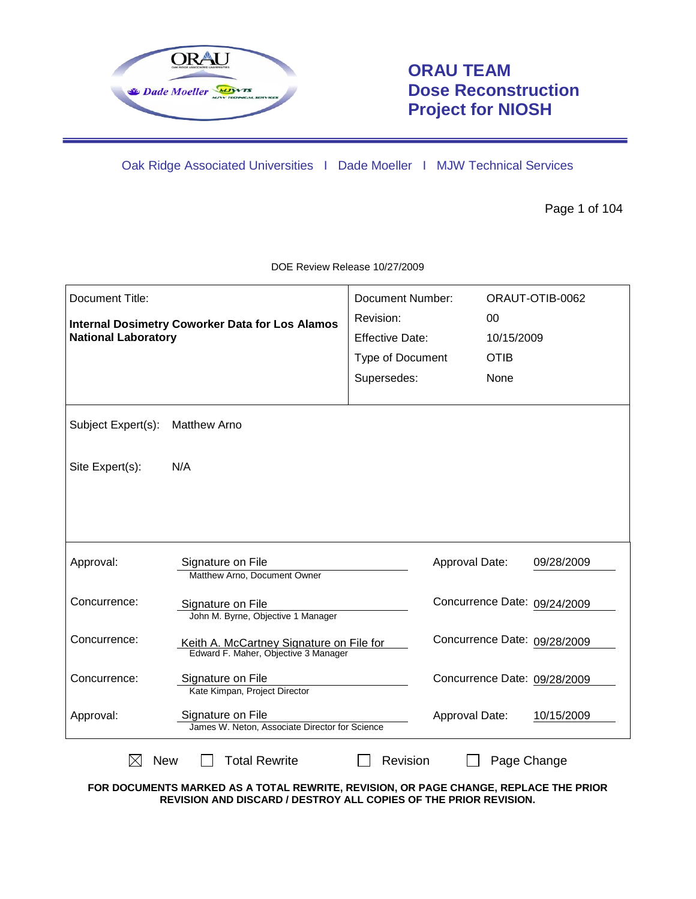

# **ORAU TEAM Dose Reconstruction Project for NIOSH**

Oak Ridge Associated Universities I Dade Moeller I MJW Technical Services

Page 1 of 104

| Document Title:                                        |                                                                                                                                                          | <b>Document Number:</b> | ORAUT-OTIB-0062              |  |
|--------------------------------------------------------|----------------------------------------------------------------------------------------------------------------------------------------------------------|-------------------------|------------------------------|--|
| <b>Internal Dosimetry Coworker Data for Los Alamos</b> |                                                                                                                                                          | Revision:               | $00\,$                       |  |
| <b>National Laboratory</b>                             |                                                                                                                                                          | <b>Effective Date:</b>  | 10/15/2009                   |  |
|                                                        |                                                                                                                                                          | Type of Document        | <b>OTIB</b>                  |  |
|                                                        |                                                                                                                                                          | Supersedes:             | None                         |  |
| Subject Expert(s):                                     | <b>Matthew Arno</b>                                                                                                                                      |                         |                              |  |
| Site Expert(s):                                        | N/A                                                                                                                                                      |                         |                              |  |
|                                                        |                                                                                                                                                          |                         |                              |  |
|                                                        |                                                                                                                                                          |                         |                              |  |
| Approval:                                              | Signature on File<br>Matthew Arno, Document Owner                                                                                                        | Approval Date:          | 09/28/2009                   |  |
| Concurrence:                                           | Signature on File<br>John M. Byrne, Objective 1 Manager                                                                                                  |                         | Concurrence Date: 09/24/2009 |  |
| Concurrence:                                           | Keith A. McCartney Signature on File for<br>Edward F. Maher, Objective 3 Manager                                                                         |                         | Concurrence Date: 09/28/2009 |  |
| Concurrence:                                           | Signature on File<br>Kate Kimpan, Project Director                                                                                                       |                         | Concurrence Date: 09/28/2009 |  |
| Approval:                                              | Signature on File<br>James W. Neton, Associate Director for Science                                                                                      | Approval Date:          | 10/15/2009                   |  |
| $\boxtimes$<br><b>New</b>                              | <b>Total Rewrite</b>                                                                                                                                     | Revision                | Page Change                  |  |
|                                                        | FOR DOCUMENTS MARKED AS A TOTAL REWRITE, REVISION, OR PAGE CHANGE, REPLACE THE PRIOR<br>REVISION AND DISCARD / DESTROY ALL COPIES OF THE PRIOR REVISION. |                         |                              |  |

DOE Review Release 10/27/2009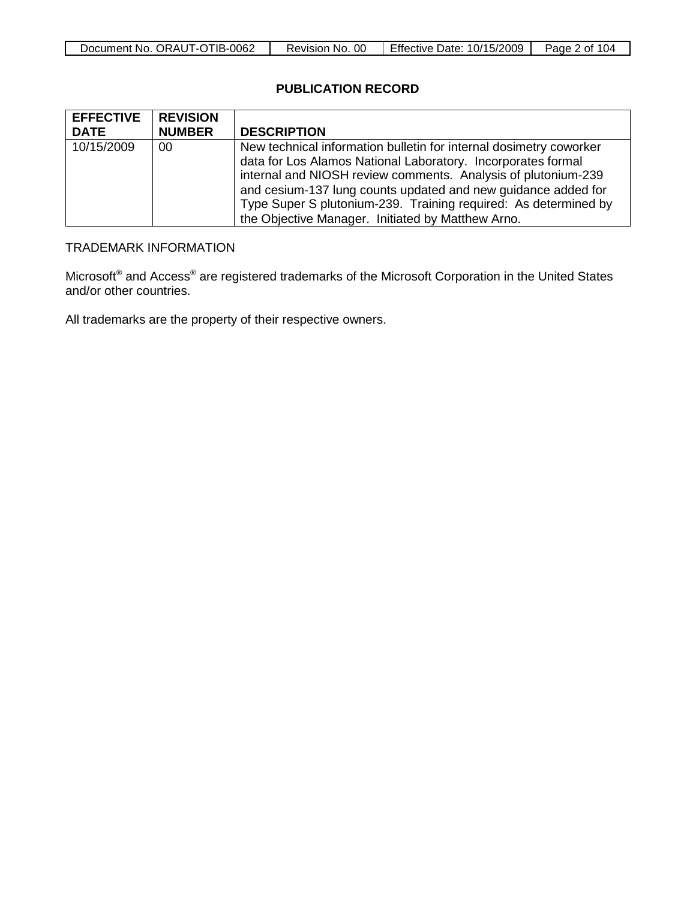| Document No. ORAUT-OTIB-0062 | 0C<br>Revision No. | <b>Effective Date: 10/15/2009</b> | 104<br>Page<br>≀ ot |
|------------------------------|--------------------|-----------------------------------|---------------------|

### **PUBLICATION RECORD**

| <b>EFFECTIVE</b> | <b>REVISION</b> |                                                                                                                                                                                                                                                                                                                                                                                              |
|------------------|-----------------|----------------------------------------------------------------------------------------------------------------------------------------------------------------------------------------------------------------------------------------------------------------------------------------------------------------------------------------------------------------------------------------------|
| <b>DATE</b>      | <b>NUMBER</b>   | <b>DESCRIPTION</b>                                                                                                                                                                                                                                                                                                                                                                           |
| 10/15/2009       | 00              | New technical information bulletin for internal dosimetry coworker<br>data for Los Alamos National Laboratory. Incorporates formal<br>internal and NIOSH review comments. Analysis of plutonium-239<br>and cesium-137 lung counts updated and new guidance added for<br>Type Super S plutonium-239. Training required: As determined by<br>the Objective Manager. Initiated by Matthew Arno. |

# TRADEMARK INFORMATION

Microsoft<sup>®</sup> and Access<sup>®</sup> are registered trademarks of the Microsoft Corporation in the United States and/or other countries.

All trademarks are the property of their respective owners.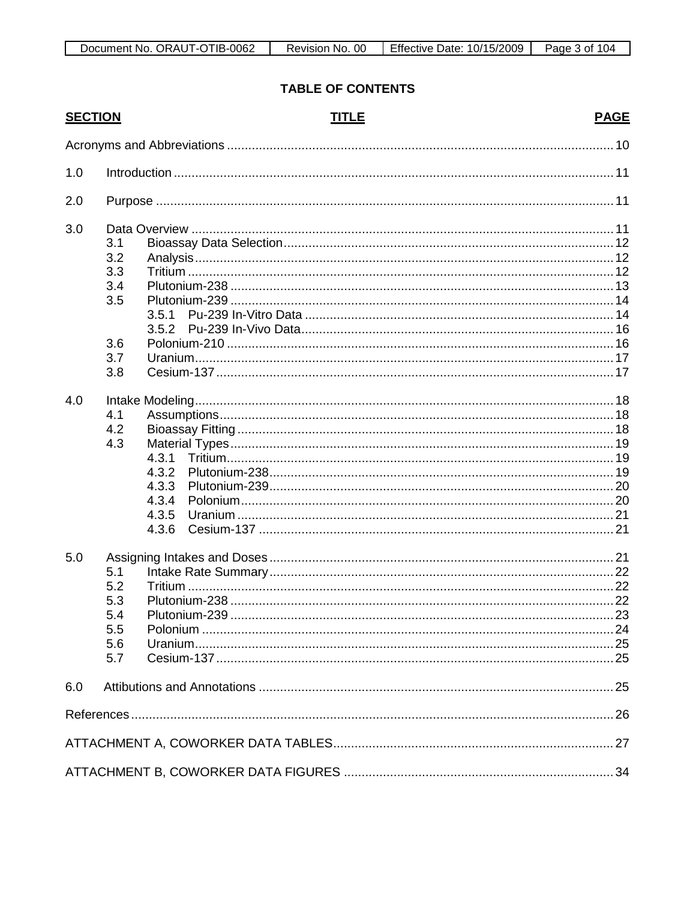# **TABLE OF CONTENTS**

| <b>SECTION</b> |                                               | <b>TITLE</b>                                       | <b>PAGE</b> |
|----------------|-----------------------------------------------|----------------------------------------------------|-------------|
|                |                                               |                                                    |             |
| 1.0            |                                               |                                                    |             |
| 2.0            |                                               |                                                    |             |
| 3.0            | 3.1<br>3.2<br>3.3<br>3.4<br>3.5<br>3.6        | 3.5.1<br>3.5.2                                     |             |
|                | 3.7<br>3.8                                    |                                                    |             |
| 4.0            | 4.1<br>4.2<br>4.3                             | 4.3.1<br>4.3.2<br>4.3.3<br>4.3.4<br>4.3.5<br>4.3.6 |             |
| 5.0            | 5.1<br>5.2<br>5.3<br>5.4<br>5.5<br>5.6<br>5.7 |                                                    |             |
| 6.0            |                                               |                                                    |             |
|                |                                               |                                                    |             |
|                |                                               |                                                    |             |
|                |                                               |                                                    |             |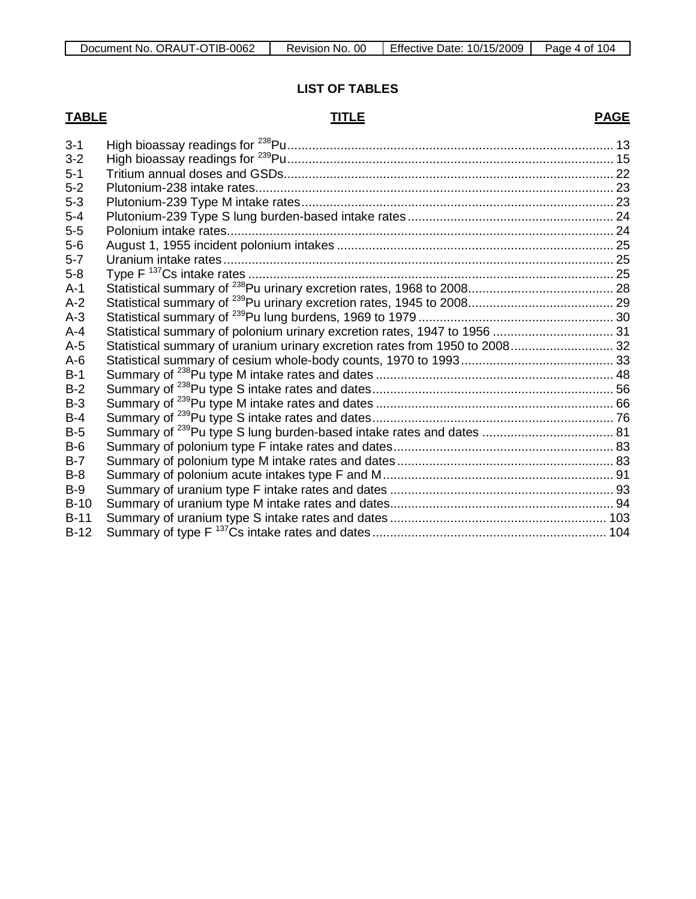## **LIST OF TABLES**

# **TABLE TITLE**

# **PAGE**

| Statistical summary of polonium urinary excretion rates, 1947 to 1956  31<br>Statistical summary of uranium urinary excretion rates from 1950 to 2008 32 |
|----------------------------------------------------------------------------------------------------------------------------------------------------------|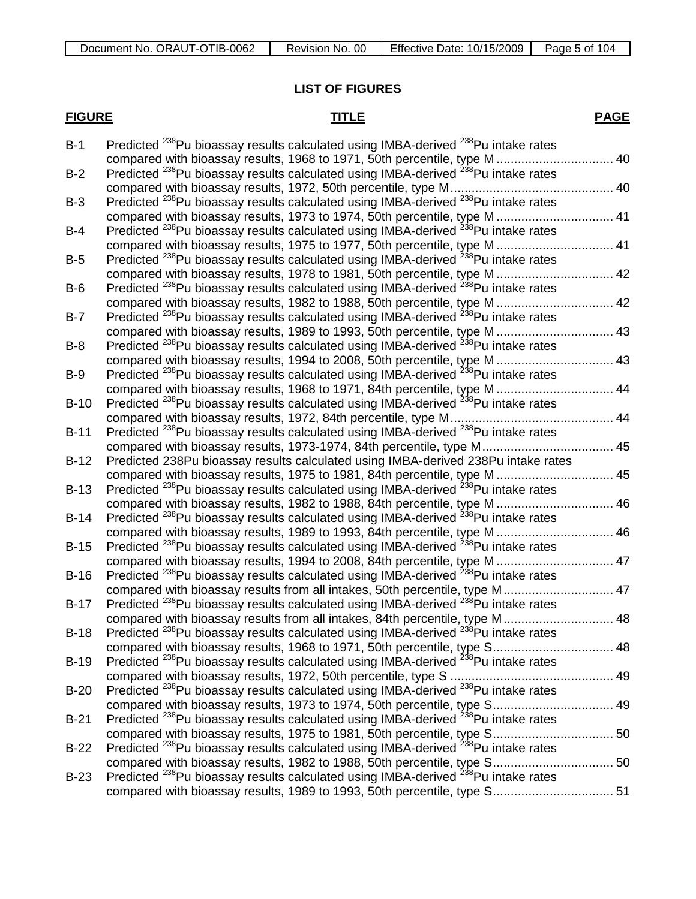## **LIST OF FIGURES**

# **FIGURE TITLE**

# **PAGE**

| $B-1$  | Predicted <sup>238</sup> Pu bioassay results calculated using IMBA-derived <sup>238</sup> Pu intake rates |  |
|--------|-----------------------------------------------------------------------------------------------------------|--|
|        | compared with bioassay results, 1968 to 1971, 50th percentile, type M 40                                  |  |
| $B-2$  | Predicted <sup>238</sup> Pu bioassay results calculated using IMBA-derived <sup>238</sup> Pu intake rates |  |
|        |                                                                                                           |  |
| $B-3$  | Predicted <sup>238</sup> Pu bioassay results calculated using IMBA-derived <sup>238</sup> Pu intake rates |  |
|        | compared with bioassay results, 1973 to 1974, 50th percentile, type M  41                                 |  |
| $B-4$  | Predicted <sup>238</sup> Pu bioassay results calculated using IMBA-derived <sup>238</sup> Pu intake rates |  |
|        | compared with bioassay results, 1975 to 1977, 50th percentile, type M 41                                  |  |
| $B-5$  | Predicted <sup>238</sup> Pu bioassay results calculated using IMBA-derived <sup>238</sup> Pu intake rates |  |
|        | compared with bioassay results, 1978 to 1981, 50th percentile, type M  42                                 |  |
| $B-6$  | Predicted <sup>238</sup> Pu bioassay results calculated using IMBA-derived <sup>238</sup> Pu intake rates |  |
|        | compared with bioassay results, 1982 to 1988, 50th percentile, type M 42                                  |  |
| $B-7$  | Predicted <sup>238</sup> Pu bioassay results calculated using IMBA-derived <sup>238</sup> Pu intake rates |  |
|        | compared with bioassay results, 1989 to 1993, 50th percentile, type M  43                                 |  |
| $B-8$  | Predicted <sup>238</sup> Pu bioassay results calculated using IMBA-derived <sup>238</sup> Pu intake rates |  |
|        | compared with bioassay results, 1994 to 2008, 50th percentile, type M  43                                 |  |
| $B-9$  | Predicted <sup>238</sup> Pu bioassay results calculated using IMBA-derived <sup>238</sup> Pu intake rates |  |
|        | compared with bioassay results, 1968 to 1971, 84th percentile, type M 44                                  |  |
| $B-10$ | Predicted <sup>238</sup> Pu bioassay results calculated using IMBA-derived <sup>238</sup> Pu intake rates |  |
|        |                                                                                                           |  |
| $B-11$ | Predicted <sup>238</sup> Pu bioassay results calculated using IMBA-derived <sup>238</sup> Pu intake rates |  |
|        | compared with bioassay results, 1973-1974, 84th percentile, type M 45                                     |  |
| $B-12$ | Predicted 238Pu bioassay results calculated using IMBA-derived 238Pu intake rates                         |  |
|        | compared with bioassay results, 1975 to 1981, 84th percentile, type M  45                                 |  |
| $B-13$ | Predicted <sup>238</sup> Pu bioassay results calculated using IMBA-derived <sup>238</sup> Pu intake rates |  |
|        | compared with bioassay results, 1982 to 1988, 84th percentile, type M 46                                  |  |
| $B-14$ | Predicted <sup>238</sup> Pu bioassay results calculated using IMBA-derived <sup>238</sup> Pu intake rates |  |
|        | compared with bioassay results, 1989 to 1993, 84th percentile, type M  46                                 |  |
| $B-15$ | Predicted <sup>238</sup> Pu bioassay results calculated using IMBA-derived <sup>238</sup> Pu intake rates |  |
|        | compared with bioassay results, 1994 to 2008, 84th percentile, type M 47                                  |  |
| $B-16$ | Predicted <sup>238</sup> Pu bioassay results calculated using IMBA-derived <sup>238</sup> Pu intake rates |  |
|        | compared with bioassay results from all intakes, 50th percentile, type M 47                               |  |
| $B-17$ | Predicted <sup>238</sup> Pu bioassay results calculated using IMBA-derived <sup>238</sup> Pu intake rates |  |
|        | compared with bioassay results from all intakes, 84th percentile, type M 48                               |  |
| $B-18$ | Predicted <sup>238</sup> Pu bioassay results calculated using IMBA-derived <sup>238</sup> Pu intake rates |  |
|        | compared with bioassay results, 1968 to 1971, 50th percentile, type S 48                                  |  |
| $B-19$ | Predicted <sup>238</sup> Pu bioassay results calculated using IMBA-derived <sup>238</sup> Pu intake rates |  |
|        |                                                                                                           |  |
| $B-20$ | Predicted <sup>238</sup> Pu bioassay results calculated using IMBA-derived <sup>238</sup> Pu intake rates |  |
|        | compared with bioassay results, 1973 to 1974, 50th percentile, type S 49                                  |  |
| $B-21$ | Predicted <sup>238</sup> Pu bioassay results calculated using IMBA-derived <sup>238</sup> Pu intake rates |  |
|        |                                                                                                           |  |
| $B-22$ | Predicted <sup>238</sup> Pu bioassay results calculated using IMBA-derived <sup>238</sup> Pu intake rates |  |
|        |                                                                                                           |  |
| $B-23$ | Predicted <sup>238</sup> Pu bioassay results calculated using IMBA-derived <sup>238</sup> Pu intake rates |  |
|        | compared with bioassay results, 1989 to 1993, 50th percentile, type S 51                                  |  |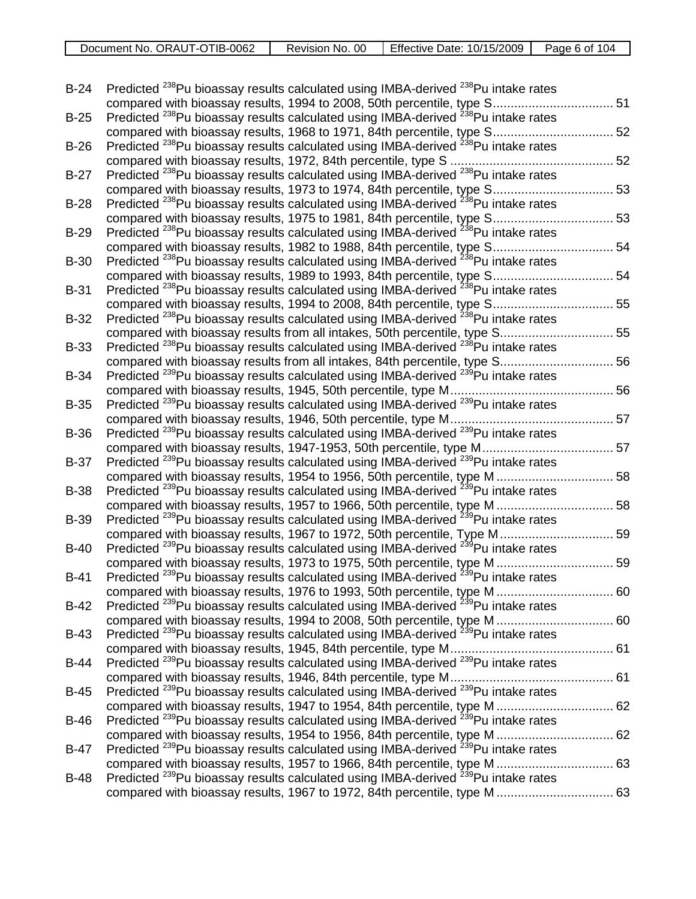| Document No. ORAUT-OTIB-0062 | Revision No. 00 | Effective Date: 10/15/2009 | Page 6<br>104<br>. nt |
|------------------------------|-----------------|----------------------------|-----------------------|
|                              |                 |                            |                       |

| $B-24$      | Predicted <sup>238</sup> Pu bioassay results calculated using IMBA-derived <sup>238</sup> Pu intake rates                                                                             |  |
|-------------|---------------------------------------------------------------------------------------------------------------------------------------------------------------------------------------|--|
| $B-25$      | compared with bioassay results, 1994 to 2008, 50th percentile, type S 51<br>Predicted <sup>238</sup> Pu bioassay results calculated using IMBA-derived <sup>238</sup> Pu intake rates |  |
|             | compared with bioassay results, 1968 to 1971, 84th percentile, type S 52                                                                                                              |  |
| $B-26$      | Predicted <sup>238</sup> Pu bioassay results calculated using IMBA-derived <sup>238</sup> Pu intake rates                                                                             |  |
|             |                                                                                                                                                                                       |  |
| $B-27$      | Predicted <sup>238</sup> Pu bioassay results calculated using IMBA-derived <sup>238</sup> Pu intake rates                                                                             |  |
|             | compared with bioassay results, 1973 to 1974, 84th percentile, type S 53                                                                                                              |  |
| $B-28$      | Predicted <sup>238</sup> Pu bioassay results calculated using IMBA-derived <sup>238</sup> Pu intake rates                                                                             |  |
|             | compared with bioassay results, 1975 to 1981, 84th percentile, type S 53                                                                                                              |  |
| $B-29$      | Predicted <sup>238</sup> Pu bioassay results calculated using IMBA-derived <sup>238</sup> Pu intake rates                                                                             |  |
|             | compared with bioassay results, 1982 to 1988, 84th percentile, type S 54                                                                                                              |  |
| <b>B-30</b> | Predicted <sup>238</sup> Pu bioassay results calculated using IMBA-derived <sup>238</sup> Pu intake rates                                                                             |  |
|             | compared with bioassay results, 1989 to 1993, 84th percentile, type S 54                                                                                                              |  |
| $B-31$      | Predicted <sup>238</sup> Pu bioassay results calculated using IMBA-derived <sup>238</sup> Pu intake rates                                                                             |  |
|             | compared with bioassay results, 1994 to 2008, 84th percentile, type S 55                                                                                                              |  |
| $B-32$      | Predicted <sup>238</sup> Pu bioassay results calculated using IMBA-derived <sup>238</sup> Pu intake rates                                                                             |  |
|             |                                                                                                                                                                                       |  |
| $B-33$      | Predicted <sup>238</sup> Pu bioassay results calculated using IMBA-derived <sup>238</sup> Pu intake rates                                                                             |  |
|             | compared with bioassay results from all intakes, 84th percentile, type S 56                                                                                                           |  |
| <b>B-34</b> | Predicted <sup>239</sup> Pu bioassay results calculated using IMBA-derived <sup>239</sup> Pu intake rates                                                                             |  |
|             |                                                                                                                                                                                       |  |
| $B-35$      | Predicted <sup>239</sup> Pu bioassay results calculated using IMBA-derived <sup>239</sup> Pu intake rates                                                                             |  |
|             |                                                                                                                                                                                       |  |
| <b>B-36</b> | Predicted <sup>239</sup> Pu bioassay results calculated using IMBA-derived <sup>239</sup> Pu intake rates                                                                             |  |
|             | compared with bioassay results, 1947-1953, 50th percentile, type M 57                                                                                                                 |  |
| $B-37$      | Predicted <sup>239</sup> Pu bioassay results calculated using IMBA-derived <sup>239</sup> Pu intake rates                                                                             |  |
|             | compared with bioassay results, 1954 to 1956, 50th percentile, type M  58                                                                                                             |  |
| <b>B-38</b> | Predicted <sup>239</sup> Pu bioassay results calculated using IMBA-derived <sup>239</sup> Pu intake rates                                                                             |  |
|             | compared with bioassay results, 1957 to 1966, 50th percentile, type M  58                                                                                                             |  |
| <b>B-39</b> | Predicted <sup>239</sup> Pu bioassay results calculated using IMBA-derived <sup>239</sup> Pu intake rates                                                                             |  |
|             | compared with bioassay results, 1967 to 1972, 50th percentile, Type M 59                                                                                                              |  |
| $B-40$      | Predicted <sup>239</sup> Pu bioassay results calculated using IMBA-derived <sup>239</sup> Pu intake rates                                                                             |  |
|             | compared with bioassay results, 1973 to 1975, 50th percentile, type M  59                                                                                                             |  |
| $B-41$      | Predicted <sup>239</sup> Pu bioassay results calculated using IMBA-derived <sup>239</sup> Pu intake rates                                                                             |  |
|             | compared with bioassay results, 1976 to 1993, 50th percentile, type M 60                                                                                                              |  |
| $B-42$      | Predicted <sup>239</sup> Pu bioassay results calculated using IMBA-derived <sup>239</sup> Pu intake rates                                                                             |  |
|             | compared with bioassay results, 1994 to 2008, 50th percentile, type M  60                                                                                                             |  |
| $B-43$      | Predicted <sup>239</sup> Pu bioassay results calculated using IMBA-derived <sup>239</sup> Pu intake rates                                                                             |  |
|             |                                                                                                                                                                                       |  |
| <b>B-44</b> | Predicted <sup>239</sup> Pu bioassay results calculated using IMBA-derived <sup>239</sup> Pu intake rates                                                                             |  |
|             |                                                                                                                                                                                       |  |
| <b>B-45</b> | Predicted <sup>239</sup> Pu bioassay results calculated using IMBA-derived <sup>239</sup> Pu intake rates                                                                             |  |
|             | compared with bioassay results, 1947 to 1954, 84th percentile, type M  62                                                                                                             |  |
| <b>B-46</b> | Predicted <sup>239</sup> Pu bioassay results calculated using IMBA-derived <sup>239</sup> Pu intake rates                                                                             |  |
|             | compared with bioassay results, 1954 to 1956, 84th percentile, type M  62                                                                                                             |  |
| $B-47$      | Predicted <sup>239</sup> Pu bioassay results calculated using IMBA-derived <sup>239</sup> Pu intake rates                                                                             |  |
|             | compared with bioassay results, 1957 to 1966, 84th percentile, type M  63                                                                                                             |  |
| <b>B-48</b> | Predicted <sup>239</sup> Pu bioassay results calculated using IMBA-derived <sup>239</sup> Pu intake rates                                                                             |  |
|             | compared with bioassay results, 1967 to 1972, 84th percentile, type M  63                                                                                                             |  |
|             |                                                                                                                                                                                       |  |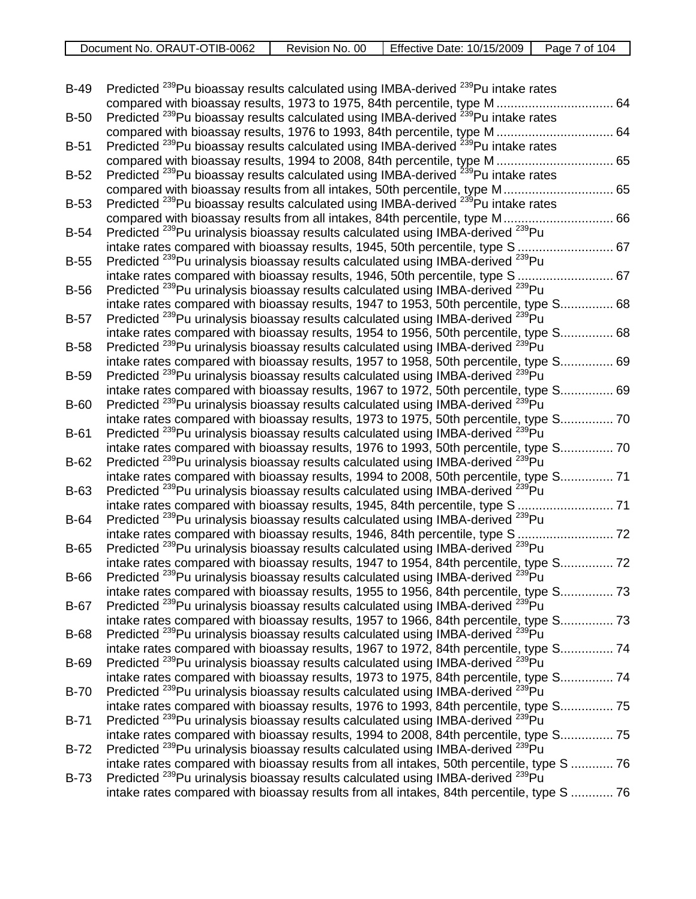| Document No. ORAUT-OTIB-0062 | Revision No. 00 | <b>Effective Date:</b><br>10/15/2009 | Page<br>04 ا<br>∩t |
|------------------------------|-----------------|--------------------------------------|--------------------|
|                              |                 |                                      |                    |

| $B-49$      | Predicted <sup>239</sup> Pu bioassay results calculated using IMBA-derived <sup>239</sup> Pu intake rates<br>64<br>compared with bioassay results, 1973 to 1975, 84th percentile, type M         |  |
|-------------|--------------------------------------------------------------------------------------------------------------------------------------------------------------------------------------------------|--|
| $B-50$      | Predicted <sup>239</sup> Pu bioassay results calculated using IMBA-derived <sup>239</sup> Pu intake rates                                                                                        |  |
|             | compared with bioassay results, 1976 to 1993, 84th percentile, type M  64                                                                                                                        |  |
| $B-51$      | Predicted <sup>239</sup> Pu bioassay results calculated using IMBA-derived <sup>239</sup> Pu intake rates                                                                                        |  |
|             | compared with bioassay results, 1994 to 2008, 84th percentile, type M  65                                                                                                                        |  |
| $B-52$      | Predicted <sup>239</sup> Pu bioassay results calculated using IMBA-derived <sup>239</sup> Pu intake rates                                                                                        |  |
|             | compared with bioassay results from all intakes, 50th percentile, type M 65                                                                                                                      |  |
| $B-53$      | Predicted <sup>239</sup> Pu bioassay results calculated using IMBA-derived <sup>239</sup> Pu intake rates                                                                                        |  |
|             | compared with bioassay results from all intakes, 84th percentile, type M 66                                                                                                                      |  |
| $B-54$      | Predicted <sup>239</sup> Pu urinalysis bioassay results calculated using IMBA-derived <sup>239</sup> Pu                                                                                          |  |
|             | 67<br>intake rates compared with bioassay results, 1945, 50th percentile, type S.                                                                                                                |  |
| $B-55$      | Predicted <sup>239</sup> Pu urinalysis bioassay results calculated using IMBA-derived <sup>239</sup> Pu                                                                                          |  |
|             | intake rates compared with bioassay results, 1946, 50th percentile, type S<br>67                                                                                                                 |  |
| $B-56$      | Predicted <sup>239</sup> Pu urinalysis bioassay results calculated using IMBA-derived <sup>239</sup> Pu                                                                                          |  |
|             | intake rates compared with bioassay results, 1947 to 1953, 50th percentile, type S 68                                                                                                            |  |
| $B-57$      | Predicted <sup>239</sup> Pu urinalysis bioassay results calculated using IMBA-derived <sup>239</sup> Pu                                                                                          |  |
|             | intake rates compared with bioassay results, 1954 to 1956, 50th percentile, type S<br>68                                                                                                         |  |
| $B-58$      | Predicted <sup>239</sup> Pu urinalysis bioassay results calculated using IMBA-derived <sup>239</sup> Pu                                                                                          |  |
|             | intake rates compared with bioassay results, 1957 to 1958, 50th percentile, type S 69                                                                                                            |  |
| <b>B-59</b> | Predicted <sup>239</sup> Pu urinalysis bioassay results calculated using IMBA-derived <sup>239</sup> Pu<br>intake rates compared with bioassay results, 1967 to 1972, 50th percentile, type S 69 |  |
| <b>B-60</b> | Predicted <sup>239</sup> Pu urinalysis bioassay results calculated using IMBA-derived <sup>239</sup> Pu                                                                                          |  |
|             | intake rates compared with bioassay results, 1973 to 1975, 50th percentile, type S 70                                                                                                            |  |
| $B-61$      | Predicted <sup>239</sup> Pu urinalysis bioassay results calculated using IMBA-derived <sup>239</sup> Pu                                                                                          |  |
|             | intake rates compared with bioassay results, 1976 to 1993, 50th percentile, type S 70                                                                                                            |  |
| $B-62$      | Predicted <sup>239</sup> Pu urinalysis bioassay results calculated using IMBA-derived <sup>239</sup> Pu                                                                                          |  |
|             | intake rates compared with bioassay results, 1994 to 2008, 50th percentile, type S 71                                                                                                            |  |
| B-63        | Predicted <sup>239</sup> Pu urinalysis bioassay results calculated using IMBA-derived <sup>239</sup> Pu                                                                                          |  |
|             | 71<br>intake rates compared with bioassay results, 1945, 84th percentile, type S.                                                                                                                |  |
| <b>B-64</b> | Predicted <sup>239</sup> Pu urinalysis bioassay results calculated using IMBA-derived <sup>239</sup> Pu                                                                                          |  |
|             | intake rates compared with bioassay results, 1946, 84th percentile, type S                                                                                                                       |  |
| $B-65$      | Predicted <sup>239</sup> Pu urinalysis bioassay results calculated using IMBA-derived <sup>239</sup> Pu                                                                                          |  |
|             | intake rates compared with bioassay results, 1947 to 1954, 84th percentile, type S 72                                                                                                            |  |
| <b>B-66</b> | Predicted <sup>239</sup> Pu urinalysis bioassay results calculated using IMBA-derived <sup>239</sup> Pu                                                                                          |  |
|             | intake rates compared with bioassay results, 1955 to 1956, 84th percentile, type S 73                                                                                                            |  |
| B-67        | Predicted <sup>239</sup> Pu urinalysis bioassay results calculated using IMBA-derived <sup>239</sup> Pu                                                                                          |  |
|             | intake rates compared with bioassay results, 1957 to 1966, 84th percentile, type S 73                                                                                                            |  |
| <b>B-68</b> | Predicted <sup>239</sup> Pu urinalysis bioassay results calculated using IMBA-derived <sup>239</sup> Pu                                                                                          |  |
|             | intake rates compared with bioassay results, 1967 to 1972, 84th percentile, type S 74                                                                                                            |  |
| <b>B-69</b> | Predicted <sup>239</sup> Pu urinalysis bioassay results calculated using IMBA-derived <sup>239</sup> Pu                                                                                          |  |
|             | intake rates compared with bioassay results, 1973 to 1975, 84th percentile, type S 74                                                                                                            |  |
| <b>B-70</b> | Predicted <sup>239</sup> Pu urinalysis bioassay results calculated using IMBA-derived <sup>239</sup> Pu                                                                                          |  |
| $B-71$      | intake rates compared with bioassay results, 1976 to 1993, 84th percentile, type S 75<br>Predicted <sup>239</sup> Pu urinalysis bioassay results calculated using IMBA-derived <sup>239</sup> Pu |  |
|             | intake rates compared with bioassay results, 1994 to 2008, 84th percentile, type S 75                                                                                                            |  |
| <b>B-72</b> | Predicted <sup>239</sup> Pu urinalysis bioassay results calculated using IMBA-derived <sup>239</sup> Pu                                                                                          |  |
|             | intake rates compared with bioassay results from all intakes, 50th percentile, type S  76                                                                                                        |  |
| <b>B-73</b> | Predicted <sup>239</sup> Pu urinalysis bioassay results calculated using IMBA-derived <sup>239</sup> Pu                                                                                          |  |
|             | intake rates compared with bioassay results from all intakes, 84th percentile, type S  76                                                                                                        |  |
|             |                                                                                                                                                                                                  |  |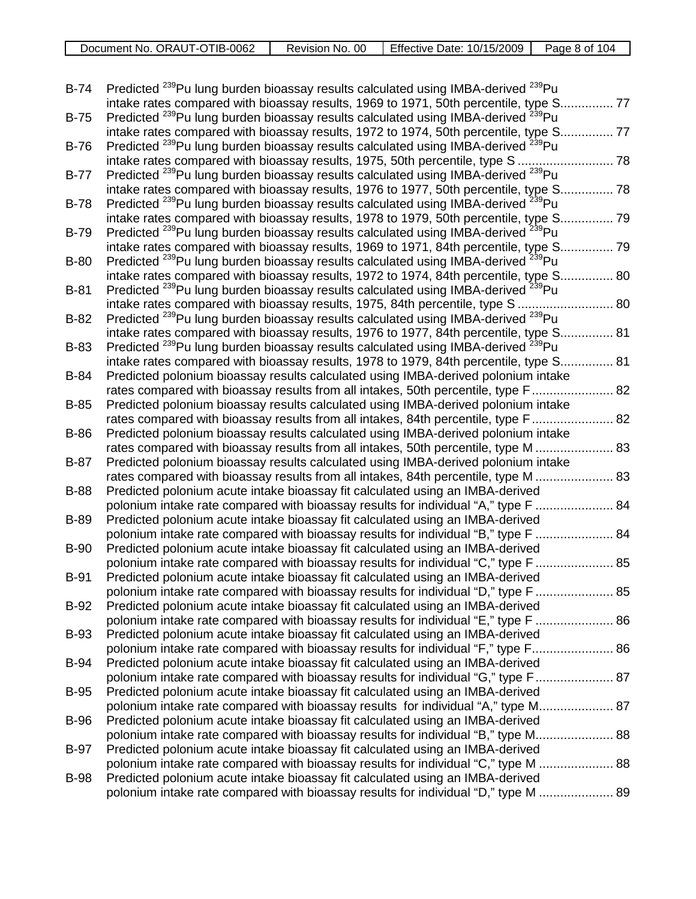| -0062<br>TIB-(<br>ORAUT-C<br>Document No.<br>ີ | 00<br>Revision No. | Effective I<br>10/15/2009<br>Date: | Page<br>104<br>Ωt |
|------------------------------------------------|--------------------|------------------------------------|-------------------|
|                                                |                    |                                    |                   |

| $B-74$      | Predicted <sup>239</sup> Pu lung burden bioassay results calculated using IMBA-derived <sup>239</sup> Pu                                                                                        | 77   |
|-------------|-------------------------------------------------------------------------------------------------------------------------------------------------------------------------------------------------|------|
| $B-75$      | intake rates compared with bioassay results, 1969 to 1971, 50th percentile, type S.<br>Predicted <sup>239</sup> Pu lung burden bioassay results calculated using IMBA-derived <sup>239</sup> Pu |      |
|             | intake rates compared with bioassay results, 1972 to 1974, 50th percentile, type S.                                                                                                             | . 77 |
| <b>B-76</b> | Predicted <sup>239</sup> Pu lung burden bioassay results calculated using IMBA-derived <sup>239</sup> Pu<br>intake rates compared with bioassay results, 1975, 50th percentile, type S          | 78   |
| $B-77$      | Predicted <sup>239</sup> Pu lung burden bioassay results calculated using IMBA-derived <sup>239</sup> Pu                                                                                        |      |
|             | intake rates compared with bioassay results, 1976 to 1977, 50th percentile, type S.                                                                                                             | 78   |
| $B-78$      | Predicted <sup>239</sup> Pu lung burden bioassay results calculated using IMBA-derived <sup>239</sup> Pu<br>intake rates compared with bioassay results, 1978 to 1979, 50th percentile, type S. | 79   |
| <b>B-79</b> | Predicted <sup>239</sup> Pu lung burden bioassay results calculated using IMBA-derived <sup>239</sup> Pu                                                                                        |      |
|             | intake rates compared with bioassay results, 1969 to 1971, 84th percentile, type S.                                                                                                             | 79   |
| <b>B-80</b> | Predicted <sup>239</sup> Pu lung burden bioassay results calculated using IMBA-derived <sup>239</sup> Pu<br>intake rates compared with bioassay results, 1972 to 1974, 84th percentile, type S. | 80   |
| $B-81$      | Predicted <sup>239</sup> Pu lung burden bioassay results calculated using IMBA-derived <sup>239</sup> Pu                                                                                        |      |
|             | intake rates compared with bioassay results, 1975, 84th percentile, type S                                                                                                                      | 80   |
| $B-82$      | Predicted <sup>239</sup> Pu lung burden bioassay results calculated using IMBA-derived <sup>239</sup> Pu<br>intake rates compared with bioassay results, 1976 to 1977, 84th percentile, type S. | 81   |
| B-83        | Predicted <sup>239</sup> Pu lung burden bioassay results calculated using IMBA-derived <sup>239</sup> Pu                                                                                        |      |
|             | intake rates compared with bioassay results, 1978 to 1979, 84th percentile, type S                                                                                                              | 81   |
| <b>B-84</b> | Predicted polonium bioassay results calculated using IMBA-derived polonium intake<br>rates compared with bioassay results from all intakes, 50th percentile, type F 82                          |      |
| $B-85$      | Predicted polonium bioassay results calculated using IMBA-derived polonium intake                                                                                                               |      |
|             | rates compared with bioassay results from all intakes, 84th percentile, type F 82                                                                                                               |      |
| <b>B-86</b> | Predicted polonium bioassay results calculated using IMBA-derived polonium intake<br>rates compared with bioassay results from all intakes, 50th percentile, type M  83                         |      |
| B-87        | Predicted polonium bioassay results calculated using IMBA-derived polonium intake                                                                                                               |      |
|             | rates compared with bioassay results from all intakes, 84th percentile, type M<br>83                                                                                                            |      |
| <b>B-88</b> | Predicted polonium acute intake bioassay fit calculated using an IMBA-derived<br>84<br>polonium intake rate compared with bioassay results for individual "A," type F                           |      |
| <b>B-89</b> | Predicted polonium acute intake bioassay fit calculated using an IMBA-derived                                                                                                                   |      |
|             | polonium intake rate compared with bioassay results for individual "B," type F  84                                                                                                              |      |
| <b>B-90</b> | Predicted polonium acute intake bioassay fit calculated using an IMBA-derived<br>polonium intake rate compared with bioassay results for individual "C," type F  85                             |      |
| <b>B-91</b> | Predicted polonium acute intake bioassay fit calculated using an IMBA-derived                                                                                                                   |      |
|             | polonium intake rate compared with bioassay results for individual "D," type F  85                                                                                                              |      |
| <b>B-92</b> | Predicted polonium acute intake bioassay fit calculated using an IMBA-derived<br>polonium intake rate compared with bioassay results for individual "E," type F  86                             |      |
| <b>B-93</b> | Predicted polonium acute intake bioassay fit calculated using an IMBA-derived                                                                                                                   |      |
|             | polonium intake rate compared with bioassay results for individual "F," type F 86                                                                                                               |      |
| <b>B-94</b> | Predicted polonium acute intake bioassay fit calculated using an IMBA-derived<br>polonium intake rate compared with bioassay results for individual "G," type F 87                              |      |
| $B-95$      | Predicted polonium acute intake bioassay fit calculated using an IMBA-derived                                                                                                                   |      |
|             | polonium intake rate compared with bioassay results for individual "A," type M 87                                                                                                               |      |
| <b>B-96</b> | Predicted polonium acute intake bioassay fit calculated using an IMBA-derived<br>polonium intake rate compared with bioassay results for individual "B," type M 88                              |      |
| <b>B-97</b> | Predicted polonium acute intake bioassay fit calculated using an IMBA-derived                                                                                                                   |      |
|             | polonium intake rate compared with bioassay results for individual "C," type M  88                                                                                                              |      |
| <b>B-98</b> | Predicted polonium acute intake bioassay fit calculated using an IMBA-derived<br>polonium intake rate compared with bioassay results for individual "D," type M  89                             |      |
|             |                                                                                                                                                                                                 |      |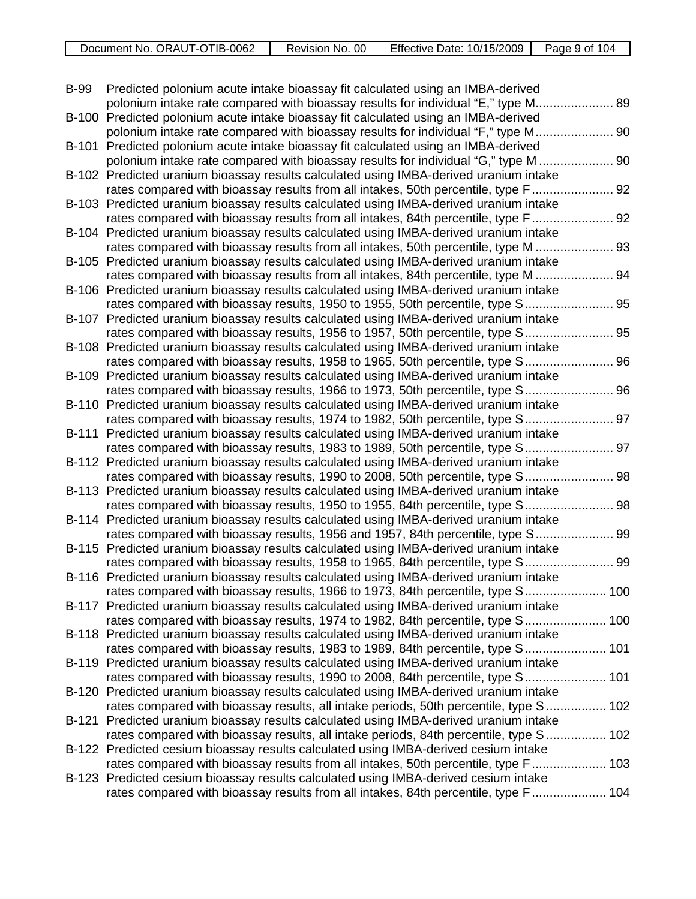| Document No. ORAUT-OTIB-0062 | Revision No. 00 | Effective Date: 10/15/2009 | Page 9 of<br>104 |
|------------------------------|-----------------|----------------------------|------------------|
|                              |                 |                            |                  |

| <b>B-99</b> | Predicted polonium acute intake bioassay fit calculated using an IMBA-derived                                                                                            |      |
|-------------|--------------------------------------------------------------------------------------------------------------------------------------------------------------------------|------|
|             | polonium intake rate compared with bioassay results for individual "E," type M<br>89                                                                                     |      |
|             | B-100 Predicted polonium acute intake bioassay fit calculated using an IMBA-derived                                                                                      |      |
|             | . 90<br>polonium intake rate compared with bioassay results for individual "F," type M                                                                                   |      |
|             | B-101 Predicted polonium acute intake bioassay fit calculated using an IMBA-derived                                                                                      |      |
|             | polonium intake rate compared with bioassay results for individual "G," type M  90                                                                                       |      |
|             | B-102 Predicted uranium bioassay results calculated using IMBA-derived uranium intake                                                                                    |      |
|             | rates compared with bioassay results from all intakes, 50th percentile, type F 92                                                                                        |      |
|             | B-103 Predicted uranium bioassay results calculated using IMBA-derived uranium intake                                                                                    |      |
|             | rates compared with bioassay results from all intakes, 84th percentile, type F 92                                                                                        |      |
|             | B-104 Predicted uranium bioassay results calculated using IMBA-derived uranium intake                                                                                    |      |
|             | rates compared with bioassay results from all intakes, 50th percentile, type M  93                                                                                       |      |
|             | B-105 Predicted uranium bioassay results calculated using IMBA-derived uranium intake                                                                                    |      |
|             | rates compared with bioassay results from all intakes, 84th percentile, type M                                                                                           | . 94 |
| B-106       | Predicted uranium bioassay results calculated using IMBA-derived uranium intake                                                                                          |      |
|             | rates compared with bioassay results, 1950 to 1955, 50th percentile, type S 95                                                                                           |      |
| B-107       | Predicted uranium bioassay results calculated using IMBA-derived uranium intake                                                                                          |      |
|             | rates compared with bioassay results, 1956 to 1957, 50th percentile, type S<br>. 95                                                                                      |      |
|             | B-108 Predicted uranium bioassay results calculated using IMBA-derived uranium intake                                                                                    |      |
|             | rates compared with bioassay results, 1958 to 1965, 50th percentile, type S 96                                                                                           |      |
|             | B-109 Predicted uranium bioassay results calculated using IMBA-derived uranium intake                                                                                    |      |
|             | rates compared with bioassay results, 1966 to 1973, 50th percentile, type S 96                                                                                           |      |
|             | B-110 Predicted uranium bioassay results calculated using IMBA-derived uranium intake                                                                                    |      |
|             | rates compared with bioassay results, 1974 to 1982, 50th percentile, type S 97                                                                                           |      |
|             | B-111 Predicted uranium bioassay results calculated using IMBA-derived uranium intake                                                                                    |      |
|             | rates compared with bioassay results, 1983 to 1989, 50th percentile, type S 97                                                                                           |      |
|             | B-112 Predicted uranium bioassay results calculated using IMBA-derived uranium intake                                                                                    |      |
|             | rates compared with bioassay results, 1990 to 2008, 50th percentile, type S 98                                                                                           |      |
|             | B-113 Predicted uranium bioassay results calculated using IMBA-derived uranium intake                                                                                    |      |
|             | rates compared with bioassay results, 1950 to 1955, 84th percentile, type S                                                                                              | 98   |
|             | B-114 Predicted uranium bioassay results calculated using IMBA-derived uranium intake                                                                                    |      |
|             | rates compared with bioassay results, 1956 and 1957, 84th percentile, type S                                                                                             | . 99 |
|             | B-115 Predicted uranium bioassay results calculated using IMBA-derived uranium intake                                                                                    |      |
|             | rates compared with bioassay results, 1958 to 1965, 84th percentile, type S                                                                                              | . 99 |
|             | B-116 Predicted uranium bioassay results calculated using IMBA-derived uranium intake                                                                                    |      |
|             | rates compared with bioassay results, 1966 to 1973, 84th percentile, type S 100                                                                                          |      |
|             | B-117 Predicted uranium bioassay results calculated using IMBA-derived uranium intake<br>rates compared with bioassay results, 1974 to 1982, 84th percentile, type S 100 |      |
|             |                                                                                                                                                                          |      |
|             | B-118 Predicted uranium bioassay results calculated using IMBA-derived uranium intake<br>rates compared with bioassay results, 1983 to 1989, 84th percentile, type S 101 |      |
|             | B-119 Predicted uranium bioassay results calculated using IMBA-derived uranium intake                                                                                    |      |
|             | rates compared with bioassay results, 1990 to 2008, 84th percentile, type S 101                                                                                          |      |
|             | B-120 Predicted uranium bioassay results calculated using IMBA-derived uranium intake                                                                                    |      |
|             | rates compared with bioassay results, all intake periods, 50th percentile, type S 102                                                                                    |      |
| B-121       | Predicted uranium bioassay results calculated using IMBA-derived uranium intake                                                                                          |      |
|             | rates compared with bioassay results, all intake periods, 84th percentile, type S 102                                                                                    |      |
|             | B-122 Predicted cesium bioassay results calculated using IMBA-derived cesium intake                                                                                      |      |
|             | rates compared with bioassay results from all intakes, 50th percentile, type F 103                                                                                       |      |
|             | B-123 Predicted cesium bioassay results calculated using IMBA-derived cesium intake                                                                                      |      |
|             | rates compared with bioassay results from all intakes, 84th percentile, type F 104                                                                                       |      |
|             |                                                                                                                                                                          |      |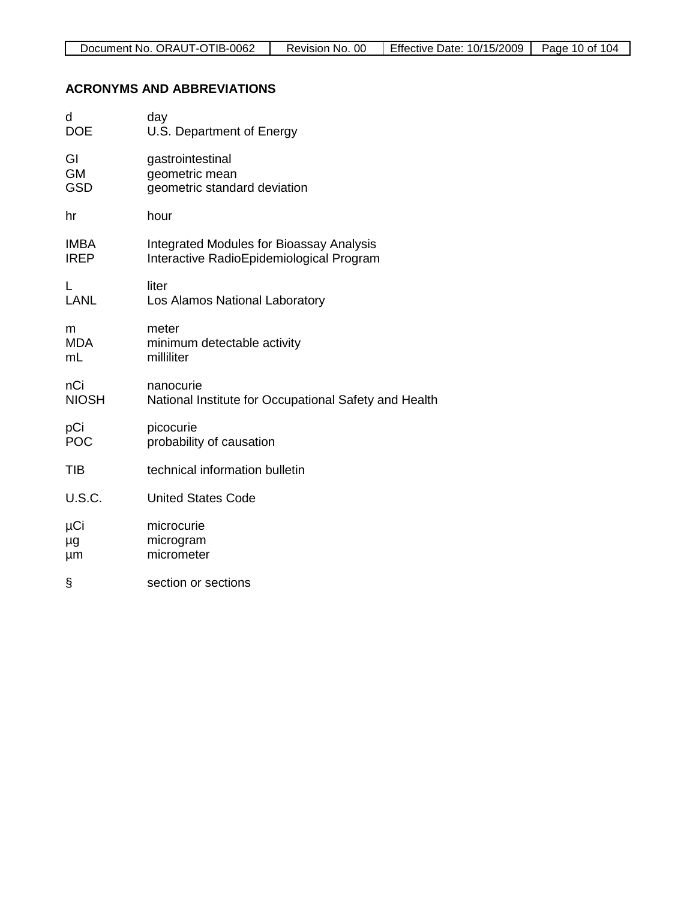# **ACRONYMS AND ABBREVIATIONS**

| d             | day                                                   |
|---------------|-------------------------------------------------------|
| <b>DOE</b>    | U.S. Department of Energy                             |
| GI            | gastrointestinal                                      |
| <b>GM</b>     | geometric mean                                        |
| <b>GSD</b>    | geometric standard deviation                          |
| hr            | hour                                                  |
| <b>IMBA</b>   | <b>Integrated Modules for Bioassay Analysis</b>       |
| <b>IREP</b>   | Interactive RadioEpidemiological Program              |
| L             | liter                                                 |
| <b>LANL</b>   | Los Alamos National Laboratory                        |
| m             | meter                                                 |
| <b>MDA</b>    | minimum detectable activity                           |
| mL            | milliliter                                            |
| nCi           | nanocurie                                             |
| <b>NIOSH</b>  | National Institute for Occupational Safety and Health |
| pCi           | picocurie                                             |
| <b>POC</b>    | probability of causation                              |
| <b>TIB</b>    | technical information bulletin                        |
| <b>U.S.C.</b> | <b>United States Code</b>                             |
| μCi           | microcurie                                            |
| μg            | microgram                                             |
| μm            | micrometer                                            |
| §             | section or sections                                   |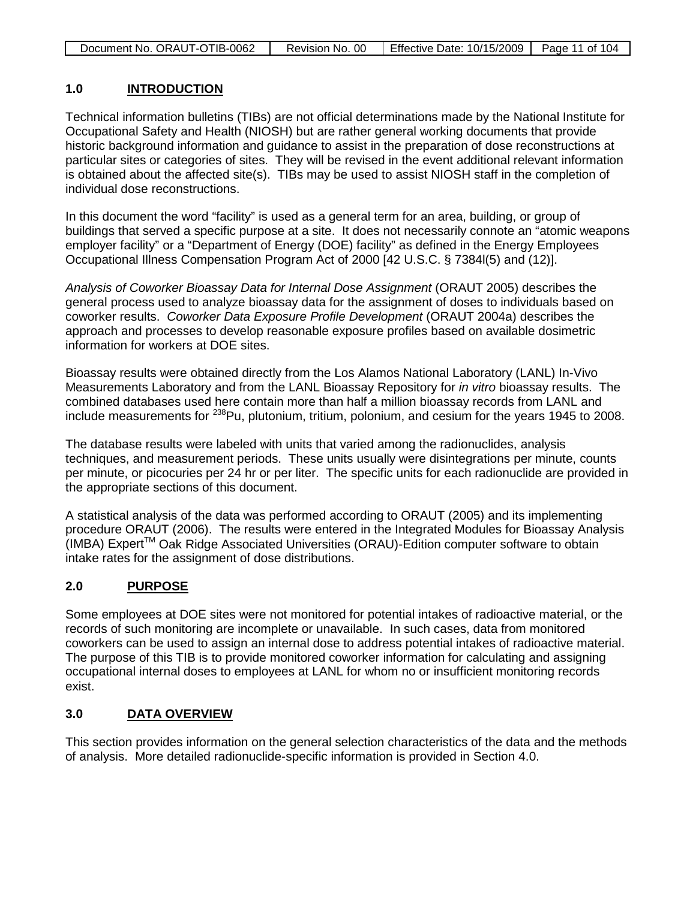| Document No. ORAUT-OTIB-0062 | Revision No. 00 | Effective Date: 10/15/2009 | Page 11 of 104 |
|------------------------------|-----------------|----------------------------|----------------|

### **1.0 INTRODUCTION**

Technical information bulletins (TIBs) are not official determinations made by the National Institute for Occupational Safety and Health (NIOSH) but are rather general working documents that provide historic background information and guidance to assist in the preparation of dose reconstructions at particular sites or categories of sites. They will be revised in the event additional relevant information is obtained about the affected site(s). TIBs may be used to assist NIOSH staff in the completion of individual dose reconstructions.

In this document the word "facility" is used as a general term for an area, building, or group of buildings that served a specific purpose at a site. It does not necessarily connote an "atomic weapons employer facility" or a "Department of Energy (DOE) facility" as defined in the Energy Employees Occupational Illness Compensation Program Act of 2000 [42 U.S.C. § 7384l(5) and (12)].

*Analysis of Coworker Bioassay Data for Internal Dose Assignment* (ORAUT 2005) describes the general process used to analyze bioassay data for the assignment of doses to individuals based on coworker results. *Coworker Data Exposure Profile Development* (ORAUT 2004a) describes the approach and processes to develop reasonable exposure profiles based on available dosimetric information for workers at DOE sites.

Bioassay results were obtained directly from the Los Alamos National Laboratory (LANL) In-Vivo Measurements Laboratory and from the LANL Bioassay Repository for *in vitro* bioassay results. The combined databases used here contain more than half a million bioassay records from LANL and include measurements for <sup>238</sup>Pu, plutonium, tritium, polonium, and cesium for the years 1945 to 2008.

The database results were labeled with units that varied among the radionuclides, analysis techniques, and measurement periods. These units usually were disintegrations per minute, counts per minute, or picocuries per 24 hr or per liter. The specific units for each radionuclide are provided in the appropriate sections of this document.

A statistical analysis of the data was performed according to ORAUT (2005) and its implementing procedure ORAUT (2006). The results were entered in the Integrated Modules for Bioassay Analysis (IMBA) ExpertTM Oak Ridge Associated Universities (ORAU)-Edition computer software to obtain intake rates for the assignment of dose distributions.

### **2.0 PURPOSE**

Some employees at DOE sites were not monitored for potential intakes of radioactive material, or the records of such monitoring are incomplete or unavailable. In such cases, data from monitored coworkers can be used to assign an internal dose to address potential intakes of radioactive material. The purpose of this TIB is to provide monitored coworker information for calculating and assigning occupational internal doses to employees at LANL for whom no or insufficient monitoring records exist.

### **3.0 DATA OVERVIEW**

This section provides information on the general selection characteristics of the data and the methods of analysis. More detailed radionuclide-specific information is provided in Section 4.0.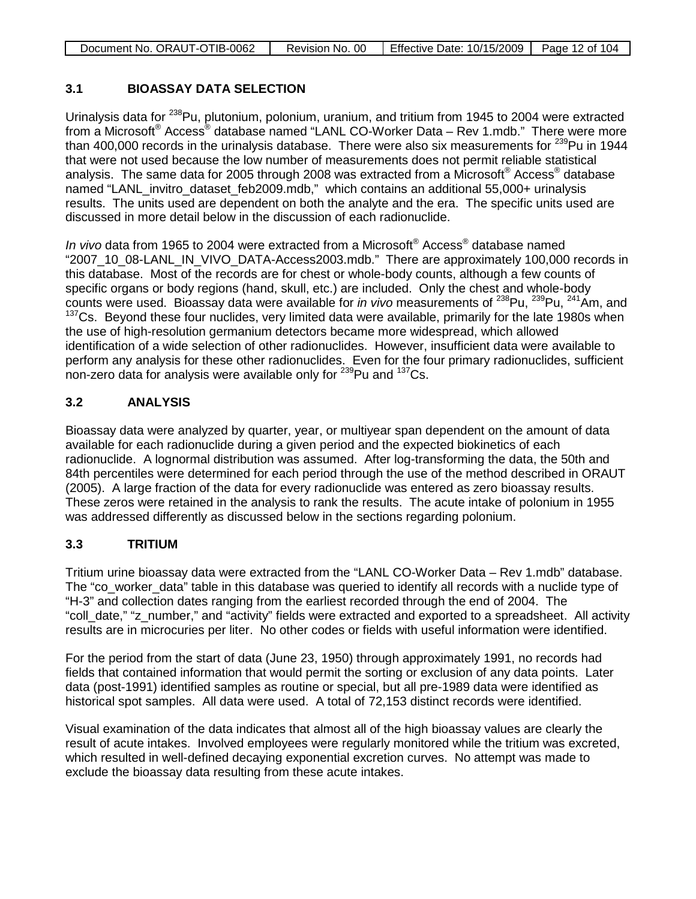| Document No. ORAUT-OTIB-0062 | Revision No. 00 I | Effective Date: 10/15/2009   Page 12 of 104 |  |
|------------------------------|-------------------|---------------------------------------------|--|

## **3.1 BIOASSAY DATA SELECTION**

Urinalysis data for <sup>238</sup>Pu, plutonium, polonium, uranium, and tritium from 1945 to 2004 were extracted from a Microsoft<sup>®</sup> Access<sup>®</sup> database named "LANL CO-Worker Data – Rev 1.mdb." There were more than 400,000 records in the urinalysis database. There were also six measurements for  $^{239}$ Pu in 1944 that were not used because the low number of measurements does not permit reliable statistical analysis. The same data for 2005 through 2008 was extracted from a Microsoft® Access® database named "LANL\_invitro\_dataset\_feb2009.mdb," which contains an additional 55,000+ urinalysis results. The units used are dependent on both the analyte and the era. The specific units used are discussed in more detail below in the discussion of each radionuclide.

*In vivo* data from 1965 to 2004 were extracted from a Microsoft® Access® database named "2007\_10\_08-LANL\_IN\_VIVO\_DATA-Access2003.mdb." There are approximately 100,000 records in this database. Most of the records are for chest or whole-body counts, although a few counts of specific organs or body regions (hand, skull, etc.) are included. Only the chest and whole-body counts were used. Bioassay data were available for *in vivo* measurements of <sup>238</sup>Pu, <sup>239</sup>Pu, <sup>241</sup>Am, and <sup>137</sup>Cs. Bevond these four nuclides, very limited data were available, primarily for the late 1980s when the use of high-resolution germanium detectors became more widespread, which allowed identification of a wide selection of other radionuclides. However, insufficient data were available to perform any analysis for these other radionuclides. Even for the four primary radionuclides, sufficient non-zero data for analysis were available only for  $239$ Pu and  $137$ Cs.

### **3.2 ANALYSIS**

Bioassay data were analyzed by quarter, year, or multiyear span dependent on the amount of data available for each radionuclide during a given period and the expected biokinetics of each radionuclide. A lognormal distribution was assumed. After log-transforming the data, the 50th and 84th percentiles were determined for each period through the use of the method described in ORAUT (2005). A large fraction of the data for every radionuclide was entered as zero bioassay results. These zeros were retained in the analysis to rank the results. The acute intake of polonium in 1955 was addressed differently as discussed below in the sections regarding polonium.

### **3.3 TRITIUM**

Tritium urine bioassay data were extracted from the "LANL CO-Worker Data – Rev 1.mdb" database. The "co\_worker\_data" table in this database was queried to identify all records with a nuclide type of "H-3" and collection dates ranging from the earliest recorded through the end of 2004. The "coll\_date," "z\_number," and "activity" fields were extracted and exported to a spreadsheet. All activity results are in microcuries per liter. No other codes or fields with useful information were identified.

For the period from the start of data (June 23, 1950) through approximately 1991, no records had fields that contained information that would permit the sorting or exclusion of any data points. Later data (post-1991) identified samples as routine or special, but all pre-1989 data were identified as historical spot samples. All data were used. A total of 72,153 distinct records were identified.

Visual examination of the data indicates that almost all of the high bioassay values are clearly the result of acute intakes. Involved employees were regularly monitored while the tritium was excreted, which resulted in well-defined decaying exponential excretion curves. No attempt was made to exclude the bioassay data resulting from these acute intakes.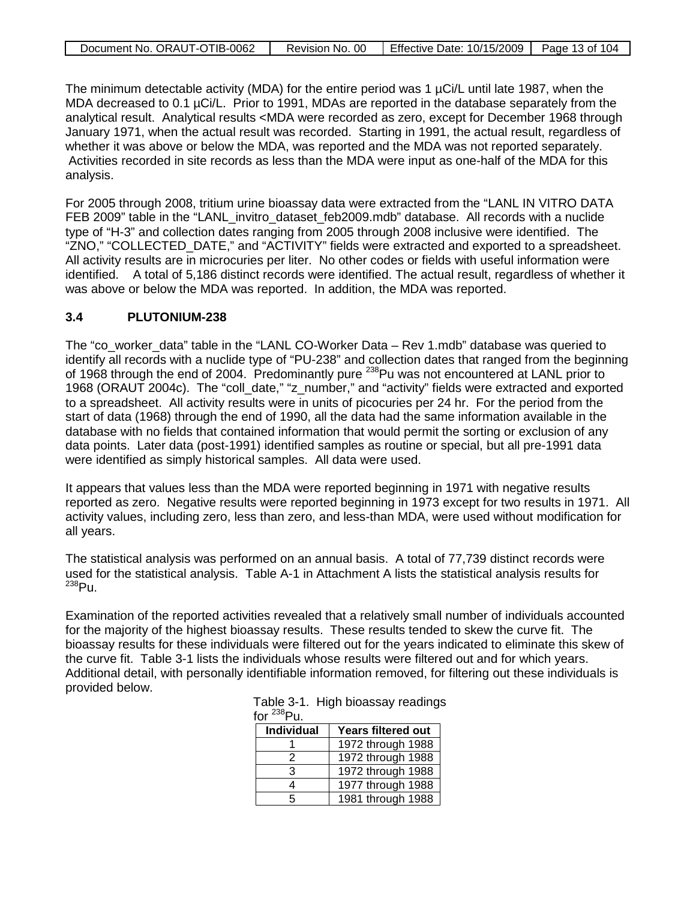| Document No. ORAUT-OTIB-0062 | Revision No. 00 | $\Box$ Effective Date: 10/15/2009   Page 13 of 104 |  |
|------------------------------|-----------------|----------------------------------------------------|--|

The minimum detectable activity (MDA) for the entire period was 1 µCi/L until late 1987, when the MDA decreased to 0.1 µCi/L. Prior to 1991, MDAs are reported in the database separately from the analytical result. Analytical results <MDA were recorded as zero, except for December 1968 through January 1971, when the actual result was recorded. Starting in 1991, the actual result, regardless of whether it was above or below the MDA, was reported and the MDA was not reported separately. Activities recorded in site records as less than the MDA were input as one-half of the MDA for this analysis.

For 2005 through 2008, tritium urine bioassay data were extracted from the "LANL IN VITRO DATA FEB 2009" table in the "LANL\_invitro\_dataset\_feb2009.mdb" database. All records with a nuclide type of "H-3" and collection dates ranging from 2005 through 2008 inclusive were identified. The "ZNO," "COLLECTED\_DATE," and "ACTIVITY" fields were extracted and exported to a spreadsheet. All activity results are in microcuries per liter. No other codes or fields with useful information were identified. A total of 5,186 distinct records were identified. The actual result, regardless of whether it was above or below the MDA was reported. In addition, the MDA was reported.

### **3.4 PLUTONIUM-238**

The "co\_worker\_data" table in the "LANL CO-Worker Data – Rev 1.mdb" database was queried to identify all records with a nuclide type of "PU-238" and collection dates that ranged from the beginning of 1968 through the end of 2004. Predominantly pure <sup>238</sup>Pu was not encountered at LANL prior to 1968 (ORAUT 2004c). The "coll\_date," "z\_number," and "activity" fields were extracted and exported to a spreadsheet. All activity results were in units of picocuries per 24 hr. For the period from the start of data (1968) through the end of 1990, all the data had the same information available in the database with no fields that contained information that would permit the sorting or exclusion of any data points. Later data (post-1991) identified samples as routine or special, but all pre-1991 data were identified as simply historical samples. All data were used.

It appears that values less than the MDA were reported beginning in 1971 with negative results reported as zero. Negative results were reported beginning in 1973 except for two results in 1971. All activity values, including zero, less than zero, and less-than MDA, were used without modification for all years.

The statistical analysis was performed on an annual basis. A total of 77,739 distinct records were used for the statistical analysis. Table A-1 in Attachment A lists the statistical analysis results for <sup>238</sup>Pu.

Examination of the reported activities revealed that a relatively small number of individuals accounted for the majority of the highest bioassay results. These results tended to skew the curve fit. The bioassay results for these individuals were filtered out for the years indicated to eliminate this skew of the curve fit. Table 3-1 lists the individuals whose results were filtered out and for which years. Additional detail, with personally identifiable information removed, for filtering out these individuals is provided below.

| .<br>.     |                    |
|------------|--------------------|
| Individual | Years filtered out |
|            | 1972 through 1988  |
| 2          | 1972 through 1988  |
| 3          | 1972 through 1988  |
|            | 1977 through 1988  |
| 5          | 1981 through 1988  |

 Table 3-1. High bioassay readings for  $^{238}$ Pu.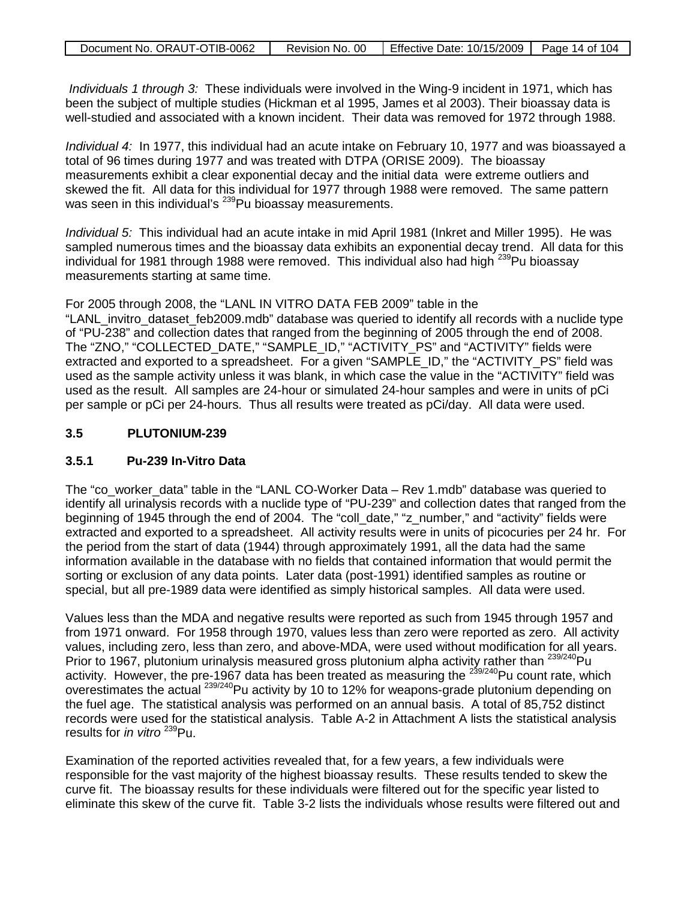| Document No. ORAUT-OTIB-0062 | Revision No. 00 | Effective Date: 10/15/2009   Page 14 of 104 |  |
|------------------------------|-----------------|---------------------------------------------|--|

*Individuals 1 through 3:* These individuals were involved in the Wing-9 incident in 1971, which has been the subject of multiple studies (Hickman et al 1995, James et al 2003). Their bioassay data is well-studied and associated with a known incident. Their data was removed for 1972 through 1988.

*Individual 4:* In 1977, this individual had an acute intake on February 10, 1977 and was bioassayed a total of 96 times during 1977 and was treated with DTPA (ORISE 2009). The bioassay measurements exhibit a clear exponential decay and the initial data were extreme outliers and skewed the fit. All data for this individual for 1977 through 1988 were removed. The same pattern was seen in this individual's <sup>239</sup>Pu bioassay measurements.

*Individual 5:* This individual had an acute intake in mid April 1981 (Inkret and Miller 1995). He was sampled numerous times and the bioassay data exhibits an exponential decay trend. All data for this individual for 1981 through 1988 were removed. This individual also had high <sup>239</sup>Pu bioassav measurements starting at same time.

For 2005 through 2008, the "LANL IN VITRO DATA FEB 2009" table in the "LANL\_invitro\_dataset\_feb2009.mdb" database was queried to identify all records with a nuclide type of "PU-238" and collection dates that ranged from the beginning of 2005 through the end of 2008. The "ZNO," "COLLECTED\_DATE," "SAMPLE\_ID," "ACTIVITY\_PS" and "ACTIVITY" fields were extracted and exported to a spreadsheet. For a given "SAMPLE ID," the "ACTIVITY PS" field was used as the sample activity unless it was blank, in which case the value in the "ACTIVITY" field was used as the result. All samples are 24-hour or simulated 24-hour samples and were in units of pCi per sample or pCi per 24-hours. Thus all results were treated as pCi/day. All data were used.

### **3.5 PLUTONIUM-239**

### **3.5.1 Pu-239 In-Vitro Data**

The "co\_worker\_data" table in the "LANL CO-Worker Data – Rev 1.mdb" database was queried to identify all urinalysis records with a nuclide type of "PU-239" and collection dates that ranged from the beginning of 1945 through the end of 2004. The "coll\_date," "z\_number," and "activity" fields were extracted and exported to a spreadsheet. All activity results were in units of picocuries per 24 hr. For the period from the start of data (1944) through approximately 1991, all the data had the same information available in the database with no fields that contained information that would permit the sorting or exclusion of any data points. Later data (post-1991) identified samples as routine or special, but all pre-1989 data were identified as simply historical samples. All data were used.

Values less than the MDA and negative results were reported as such from 1945 through 1957 and from 1971 onward. For 1958 through 1970, values less than zero were reported as zero. All activity values, including zero, less than zero, and above-MDA, were used without modification for all years. Prior to 1967, plutonium urinalysis measured gross plutonium alpha activity rather than <sup>239/240</sup>Pu activity. However, the pre-1967 data has been treated as measuring the <sup>239/240</sup>Pu count rate, which overestimates the actual 239/240Pu activity by 10 to 12% for weapons-grade plutonium depending on the fuel age. The statistical analysis was performed on an annual basis. A total of 85,752 distinct records were used for the statistical analysis. Table A-2 in Attachment A lists the statistical analysis results for *in vitro* <sup>239</sup>Pu.

Examination of the reported activities revealed that, for a few years, a few individuals were responsible for the vast majority of the highest bioassay results. These results tended to skew the curve fit. The bioassay results for these individuals were filtered out for the specific year listed to eliminate this skew of the curve fit. Table 3-2 lists the individuals whose results were filtered out and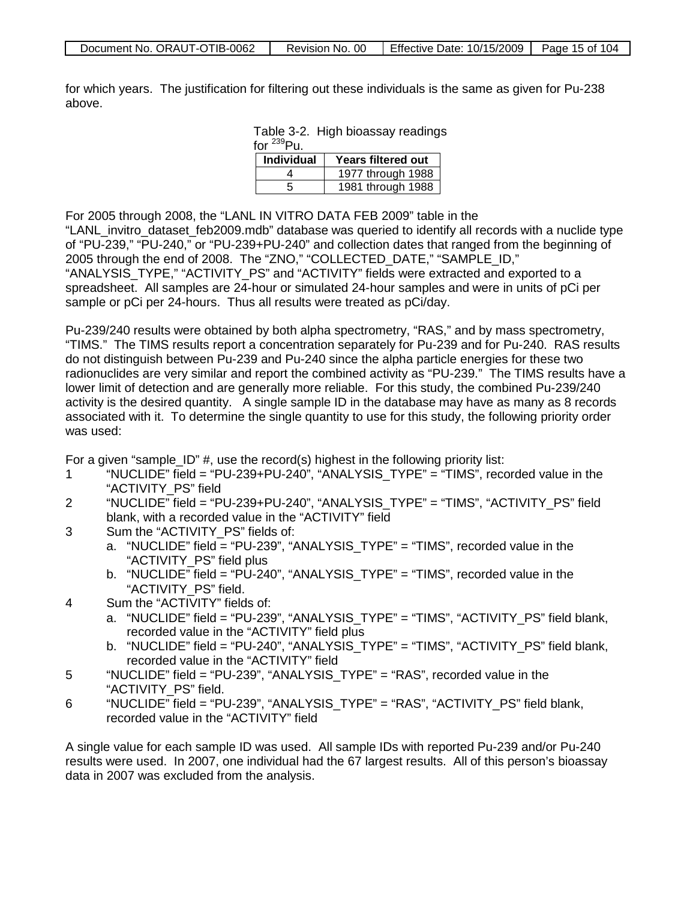| Document No. ORAUT-OTIB-0062 | Revision No. 00 | Effective Date: 10/15/2009 | Page 15 of 104 |
|------------------------------|-----------------|----------------------------|----------------|

for which years. The justification for filtering out these individuals is the same as given for Pu-238 above.

> Table 3-2. High bioassay readings for  $^{239}$ Pu.

| <b>Individual</b> | <b>Years filtered out</b> |  |  |
|-------------------|---------------------------|--|--|
|                   | 1977 through 1988         |  |  |
| h                 | 1981 through 1988         |  |  |

For 2005 through 2008, the "LANL IN VITRO DATA FEB 2009" table in the "LANL\_invitro\_dataset\_feb2009.mdb" database was queried to identify all records with a nuclide type of "PU-239," "PU-240," or "PU-239+PU-240" and collection dates that ranged from the beginning of 2005 through the end of 2008. The "ZNO," "COLLECTED\_DATE," "SAMPLE\_ID," "ANALYSIS\_TYPE," "ACTIVITY\_PS" and "ACTIVITY" fields were extracted and exported to a spreadsheet. All samples are 24-hour or simulated 24-hour samples and were in units of pCi per sample or pCi per 24-hours. Thus all results were treated as pCi/day.

Pu-239/240 results were obtained by both alpha spectrometry, "RAS," and by mass spectrometry, "TIMS." The TIMS results report a concentration separately for Pu-239 and for Pu-240. RAS results do not distinguish between Pu-239 and Pu-240 since the alpha particle energies for these two radionuclides are very similar and report the combined activity as "PU-239." The TIMS results have a lower limit of detection and are generally more reliable. For this study, the combined Pu-239/240 activity is the desired quantity. A single sample ID in the database may have as many as 8 records associated with it. To determine the single quantity to use for this study, the following priority order was used:

For a given "sample  $ID$ " #, use the record(s) highest in the following priority list:

- 1 "NUCLIDE" field = "PU-239+PU-240", "ANALYSIS\_TYPE" = "TIMS", recorded value in the "ACTIVITY\_PS" field
- 2 "NUCLIDE" field = "PU-239+PU-240", "ANALYSIS\_TYPE" = "TIMS", "ACTIVITY\_PS" field blank, with a recorded value in the "ACTIVITY" field
- 3 Sum the "ACTIVITY PS" fields of:
	- a. "NUCLIDE" field = "PU-239", "ANALYSIS\_TYPE" = "TIMS", recorded value in the "ACTIVITY\_PS" field plus
	- b. "NUCLIDE" field = "PU-240", "ANALYSIS\_TYPE" = "TIMS", recorded value in the "ACTIVITY\_PS" field.
- 4 Sum the "ACTIVITY" fields of:
	- a. "NUCLIDE" field = "PU-239", "ANALYSIS\_TYPE" = "TIMS", "ACTIVITY\_PS" field blank, recorded value in the "ACTIVITY" field plus
	- b. "NUCLIDE" field = "PU-240", "ANALYSIS\_TYPE" = "TIMS", "ACTIVITY\_PS" field blank, recorded value in the "ACTIVITY" field
- 5 "NUCLIDE" field = "PU-239", "ANALYSIS\_TYPE" = "RAS", recorded value in the "ACTIVITY\_PS" field.
- 6 "NUCLIDE" field = "PU-239", "ANALYSIS\_TYPE" = "RAS", "ACTIVITY\_PS" field blank, recorded value in the "ACTIVITY" field

A single value for each sample ID was used. All sample IDs with reported Pu-239 and/or Pu-240 results were used. In 2007, one individual had the 67 largest results. All of this person's bioassay data in 2007 was excluded from the analysis.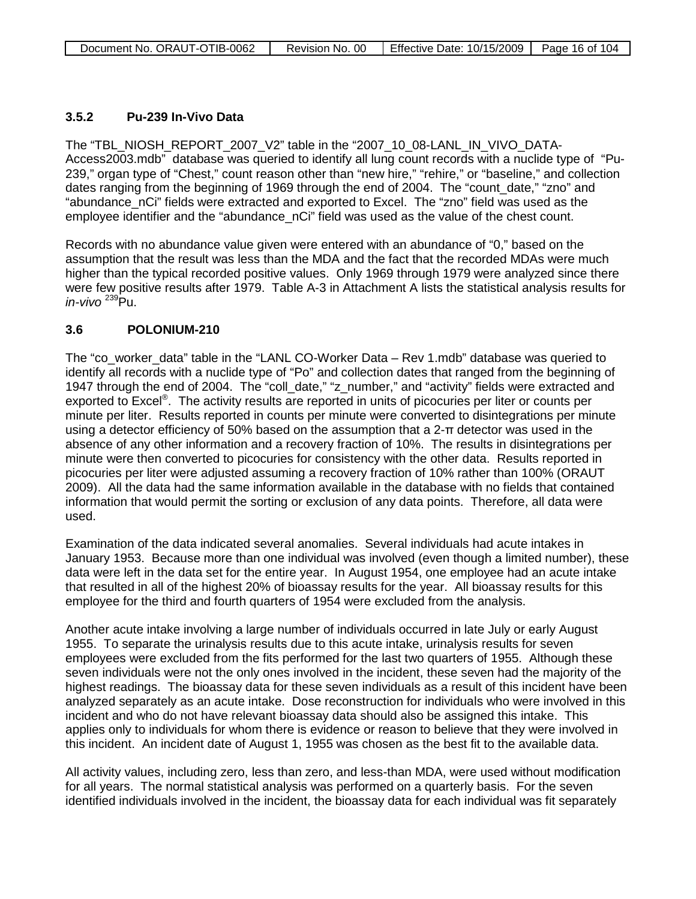### **3.5.2 Pu-239 In-Vivo Data**

The "TBL\_NIOSH\_REPORT\_2007\_V2" table in the "2007\_10\_08-LANL\_IN\_VIVO\_DATA-Access2003.mdb" database was queried to identify all lung count records with a nuclide type of "Pu-239," organ type of "Chest," count reason other than "new hire," "rehire," or "baseline," and collection dates ranging from the beginning of 1969 through the end of 2004. The "count date," "zno" and "abundance\_nCi" fields were extracted and exported to Excel. The "zno" field was used as the employee identifier and the "abundance\_nCi" field was used as the value of the chest count.

Records with no abundance value given were entered with an abundance of "0," based on the assumption that the result was less than the MDA and the fact that the recorded MDAs were much higher than the typical recorded positive values. Only 1969 through 1979 were analyzed since there were few positive results after 1979. Table A-3 in Attachment A lists the statistical analysis results for *in-vivo* <sup>239</sup>Pu.

### **3.6 POLONIUM-210**

The "co\_worker\_data" table in the "LANL CO-Worker Data – Rev 1.mdb" database was queried to identify all records with a nuclide type of "Po" and collection dates that ranged from the beginning of 1947 through the end of 2004. The "coll\_date," "z\_number," and "activity" fields were extracted and exported to Excel<sup>®</sup>. The activity results are reported in units of picocuries per liter or counts per minute per liter. Results reported in counts per minute were converted to disintegrations per minute using a detector efficiency of 50% based on the assumption that a 2-π detector was used in the absence of any other information and a recovery fraction of 10%. The results in disintegrations per minute were then converted to picocuries for consistency with the other data. Results reported in picocuries per liter were adjusted assuming a recovery fraction of 10% rather than 100% (ORAUT 2009). All the data had the same information available in the database with no fields that contained information that would permit the sorting or exclusion of any data points. Therefore, all data were used.

Examination of the data indicated several anomalies. Several individuals had acute intakes in January 1953. Because more than one individual was involved (even though a limited number), these data were left in the data set for the entire year. In August 1954, one employee had an acute intake that resulted in all of the highest 20% of bioassay results for the year. All bioassay results for this employee for the third and fourth quarters of 1954 were excluded from the analysis.

Another acute intake involving a large number of individuals occurred in late July or early August 1955. To separate the urinalysis results due to this acute intake, urinalysis results for seven employees were excluded from the fits performed for the last two quarters of 1955. Although these seven individuals were not the only ones involved in the incident, these seven had the majority of the highest readings. The bioassay data for these seven individuals as a result of this incident have been analyzed separately as an acute intake. Dose reconstruction for individuals who were involved in this incident and who do not have relevant bioassay data should also be assigned this intake. This applies only to individuals for whom there is evidence or reason to believe that they were involved in this incident. An incident date of August 1, 1955 was chosen as the best fit to the available data.

All activity values, including zero, less than zero, and less-than MDA, were used without modification for all years. The normal statistical analysis was performed on a quarterly basis. For the seven identified individuals involved in the incident, the bioassay data for each individual was fit separately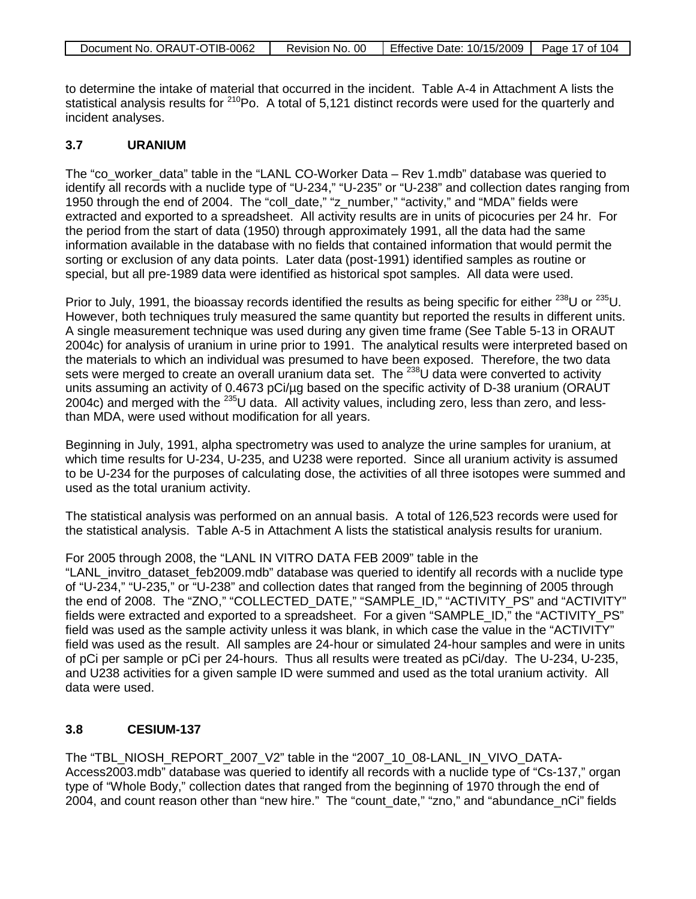| Document No. ORAUT-OTIB-0062 | Revision No. 00 | Effective Date: 10/15/2009   Page 17 of 104 |  |
|------------------------------|-----------------|---------------------------------------------|--|

to determine the intake of material that occurred in the incident. Table A-4 in Attachment A lists the statistical analysis results for  $210P$ o. A total of 5,121 distinct records were used for the quarterly and incident analyses.

### **3.7 URANIUM**

The "co\_worker\_data" table in the "LANL CO-Worker Data – Rev 1.mdb" database was queried to identify all records with a nuclide type of "U-234," "U-235" or "U-238" and collection dates ranging from 1950 through the end of 2004. The "coll\_date," "z\_number," "activity," and "MDA" fields were extracted and exported to a spreadsheet. All activity results are in units of picocuries per 24 hr. For the period from the start of data (1950) through approximately 1991, all the data had the same information available in the database with no fields that contained information that would permit the sorting or exclusion of any data points. Later data (post-1991) identified samples as routine or special, but all pre-1989 data were identified as historical spot samples. All data were used.

Prior to July, 1991, the bioassay records identified the results as being specific for either <sup>238</sup>U or <sup>235</sup>U. However, both techniques truly measured the same quantity but reported the results in different units. A single measurement technique was used during any given time frame (See Table 5-13 in ORAUT 2004c) for analysis of uranium in urine prior to 1991. The analytical results were interpreted based on the materials to which an individual was presumed to have been exposed. Therefore, the two data sets were merged to create an overall uranium data set. The  $^{238}$ U data were converted to activity units assuming an activity of 0.4673 pCi/ug based on the specific activity of D-38 uranium (ORAUT 2004c) and merged with the 235U data. All activity values, including zero, less than zero, and lessthan MDA, were used without modification for all years.

Beginning in July, 1991, alpha spectrometry was used to analyze the urine samples for uranium, at which time results for U-234, U-235, and U238 were reported. Since all uranium activity is assumed to be U-234 for the purposes of calculating dose, the activities of all three isotopes were summed and used as the total uranium activity.

The statistical analysis was performed on an annual basis. A total of 126,523 records were used for the statistical analysis. Table A-5 in Attachment A lists the statistical analysis results for uranium.

For 2005 through 2008, the "LANL IN VITRO DATA FEB 2009" table in the "LANL\_invitro\_dataset\_feb2009.mdb" database was queried to identify all records with a nuclide type of "U-234," "U-235," or "U-238" and collection dates that ranged from the beginning of 2005 through the end of 2008. The "ZNO," "COLLECTED DATE," "SAMPLE ID," "ACTIVITY PS" and "ACTIVITY" fields were extracted and exported to a spreadsheet. For a given "SAMPLE, ID," the "ACTIVITY, PS" field was used as the sample activity unless it was blank, in which case the value in the "ACTIVITY" field was used as the result. All samples are 24-hour or simulated 24-hour samples and were in units of pCi per sample or pCi per 24-hours. Thus all results were treated as pCi/day. The U-234, U-235, and U238 activities for a given sample ID were summed and used as the total uranium activity. All data were used.

### **3.8 CESIUM-137**

The "TBL\_NIOSH\_REPORT\_2007\_V2" table in the "2007\_10\_08-LANL\_IN\_VIVO\_DATA-Access2003.mdb" database was queried to identify all records with a nuclide type of "Cs-137," organ type of "Whole Body," collection dates that ranged from the beginning of 1970 through the end of 2004, and count reason other than "new hire." The "count\_date," "zno," and "abundance\_nCi" fields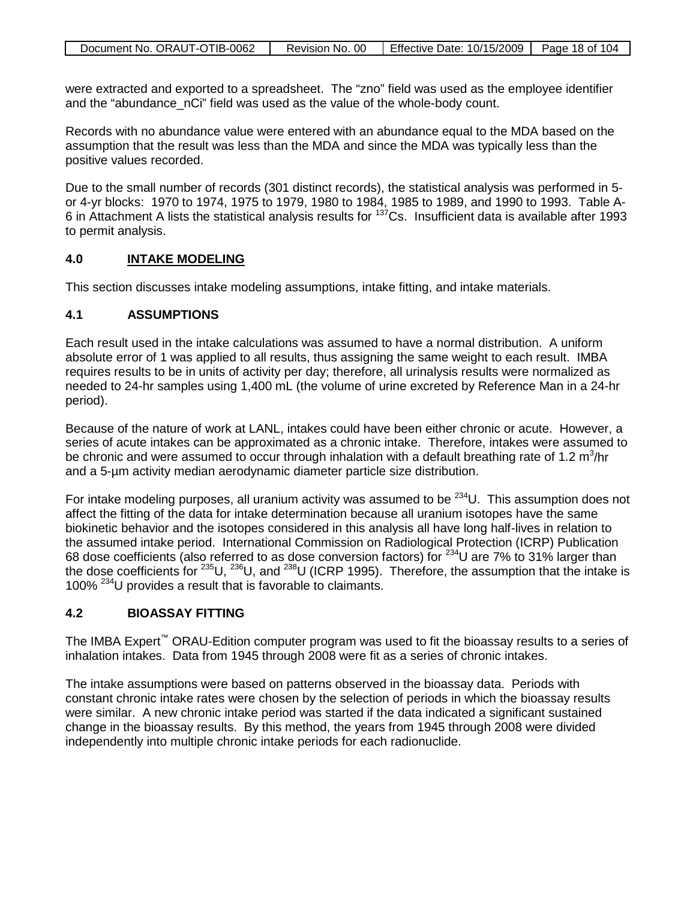| Document No. ORAUT-OTIB-0062 | Revision No. 00 | Effective Date: 10/15/2009   Page 18 of 104 |  |
|------------------------------|-----------------|---------------------------------------------|--|
|                              |                 |                                             |  |

were extracted and exported to a spreadsheet. The "zno" field was used as the employee identifier and the "abundance nCi" field was used as the value of the whole-body count.

Records with no abundance value were entered with an abundance equal to the MDA based on the assumption that the result was less than the MDA and since the MDA was typically less than the positive values recorded.

Due to the small number of records (301 distinct records), the statistical analysis was performed in 5 or 4-yr blocks: 1970 to 1974, 1975 to 1979, 1980 to 1984, 1985 to 1989, and 1990 to 1993. Table A-6 in Attachment A lists the statistical analysis results for 137Cs. Insufficient data is available after 1993 to permit analysis.

#### **4.0 INTAKE MODELING**

This section discusses intake modeling assumptions, intake fitting, and intake materials.

### **4.1 ASSUMPTIONS**

Each result used in the intake calculations was assumed to have a normal distribution. A uniform absolute error of 1 was applied to all results, thus assigning the same weight to each result. IMBA requires results to be in units of activity per day; therefore, all urinalysis results were normalized as needed to 24-hr samples using 1,400 mL (the volume of urine excreted by Reference Man in a 24-hr period).

Because of the nature of work at LANL, intakes could have been either chronic or acute. However, a series of acute intakes can be approximated as a chronic intake. Therefore, intakes were assumed to be chronic and were assumed to occur through inhalation with a default breathing rate of 1.2 m<sup>3</sup>/hr and a 5-µm activity median aerodynamic diameter particle size distribution.

For intake modeling purposes, all uranium activity was assumed to be  $^{234}$ U. This assumption does not affect the fitting of the data for intake determination because all uranium isotopes have the same biokinetic behavior and the isotopes considered in this analysis all have long half-lives in relation to the assumed intake period. International Commission on Radiological Protection (ICRP) Publication 68 dose coefficients (also referred to as dose conversion factors) for 234U are 7% to 31% larger than the dose coefficients for 235U, 236U, and 238U (ICRP 1995). Therefore, the assumption that the intake is 100%<sup>234</sup>U provides a result that is favorable to claimants.

### **4.2 BIOASSAY FITTING**

The IMBA Expert<sup>™</sup> ORAU-Edition computer program was used to fit the bioassay results to a series of inhalation intakes. Data from 1945 through 2008 were fit as a series of chronic intakes.

The intake assumptions were based on patterns observed in the bioassay data. Periods with constant chronic intake rates were chosen by the selection of periods in which the bioassay results were similar. A new chronic intake period was started if the data indicated a significant sustained change in the bioassay results. By this method, the years from 1945 through 2008 were divided independently into multiple chronic intake periods for each radionuclide.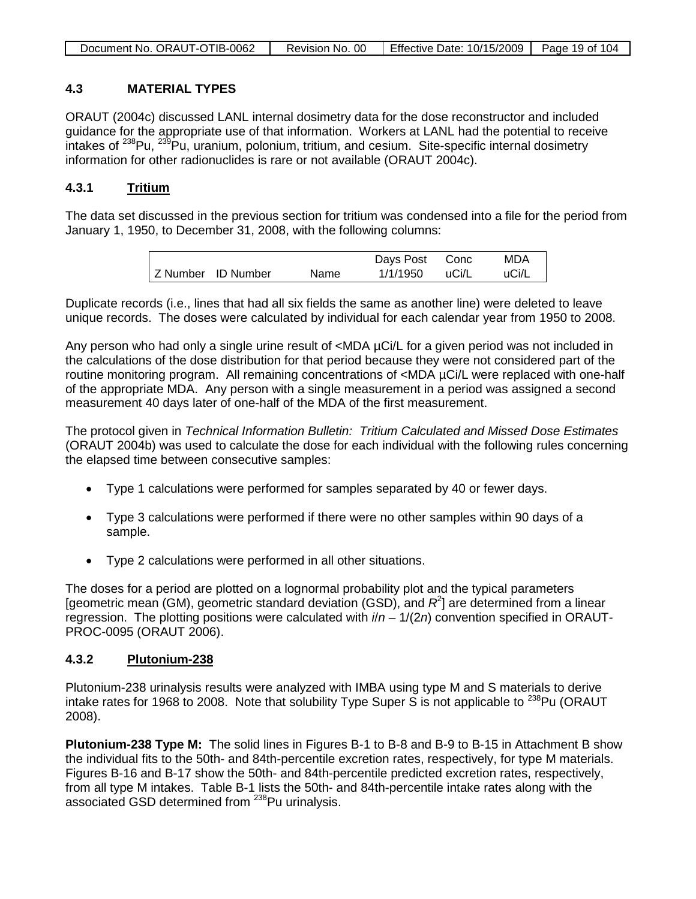| Document No. ORAUT-OTIB-0062 | Revision No. 00 | Effective Date: $10/15/2009$   Page 19 of 104 |  |
|------------------------------|-----------------|-----------------------------------------------|--|
|                              |                 |                                               |  |

### **4.3 MATERIAL TYPES**

ORAUT (2004c) discussed LANL internal dosimetry data for the dose reconstructor and included guidance for the appropriate use of that information. Workers at LANL had the potential to receive intakes of <sup>238</sup>Pu, <sup>239</sup>Pu, uranium, polonium, tritium, and cesium. Site-specific internal dosimetry information for other radionuclides is rare or not available (ORAUT 2004c).

#### **4.3.1 Tritium**

The data set discussed in the previous section for tritium was condensed into a file for the period from January 1, 1950, to December 31, 2008, with the following columns:

|                    |      | Days Post | Conc  | MDA   |
|--------------------|------|-----------|-------|-------|
| Z Number ID Number | Name | 1/1/1950  | uCi/L | uCi/L |

Duplicate records (i.e., lines that had all six fields the same as another line) were deleted to leave unique records. The doses were calculated by individual for each calendar year from 1950 to 2008.

Any person who had only a single urine result of <MDA µCi/L for a given period was not included in the calculations of the dose distribution for that period because they were not considered part of the routine monitoring program. All remaining concentrations of <MDA µCi/L were replaced with one-half of the appropriate MDA. Any person with a single measurement in a period was assigned a second measurement 40 days later of one-half of the MDA of the first measurement.

The protocol given in *Technical Information Bulletin: Tritium Calculated and Missed Dose Estimates* (ORAUT 2004b) was used to calculate the dose for each individual with the following rules concerning the elapsed time between consecutive samples:

- Type 1 calculations were performed for samples separated by 40 or fewer days.
- Type 3 calculations were performed if there were no other samples within 90 days of a sample.
- Type 2 calculations were performed in all other situations.

The doses for a period are plotted on a lognormal probability plot and the typical parameters [geometric mean (GM), geometric standard deviation (GSD), and  $R^2$ ] are determined from a linear regression. The plotting positions were calculated with *i*/*n* – 1/(2*n*) convention specified in ORAUT-PROC-0095 (ORAUT 2006).

#### **4.3.2 Plutonium-238**

Plutonium-238 urinalysis results were analyzed with IMBA using type M and S materials to derive intake rates for 1968 to 2008. Note that solubility Type Super S is not applicable to  $^{238}$ Pu (ORAUT 2008).

**Plutonium-238 Type M:** The solid lines in Figures B-1 to B-8 and B-9 to B-15 in Attachment B show the individual fits to the 50th- and 84th-percentile excretion rates, respectively, for type M materials. Figures B-16 and B-17 show the 50th- and 84th-percentile predicted excretion rates, respectively, from all type M intakes. Table B-1 lists the 50th- and 84th-percentile intake rates along with the associated GSD determined from <sup>238</sup>Pu urinalysis.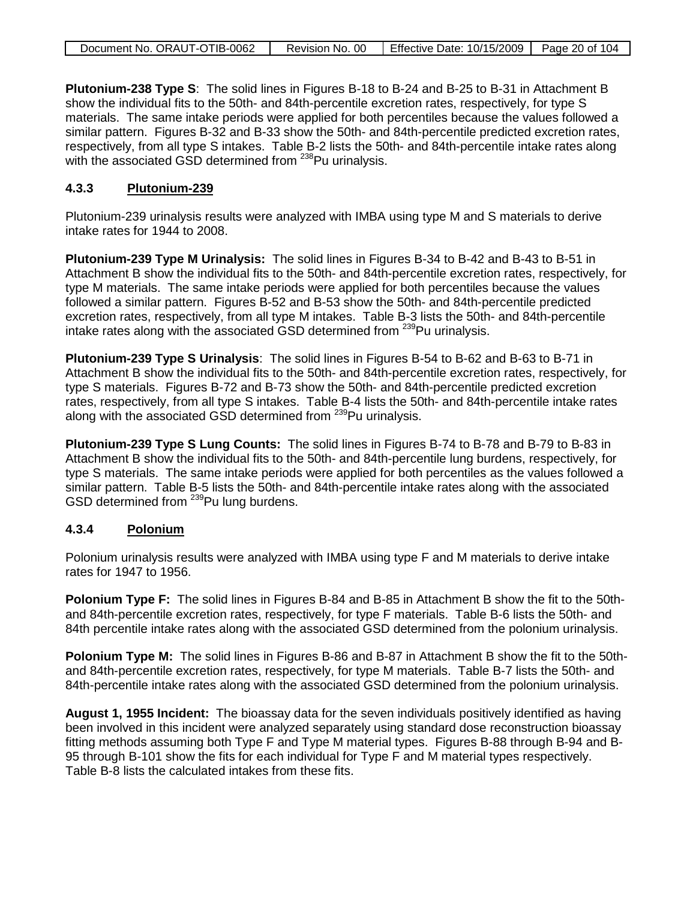| Document No. ORAUT-OTIB-0062 | Revision No. 00   Effective Date: 10/15/2009   Page 20 of 104 |  |
|------------------------------|---------------------------------------------------------------|--|

**Plutonium-238 Type S**: The solid lines in Figures B-18 to B-24 and B-25 to B-31 in Attachment B show the individual fits to the 50th- and 84th-percentile excretion rates, respectively, for type S materials. The same intake periods were applied for both percentiles because the values followed a similar pattern. Figures B-32 and B-33 show the 50th- and 84th-percentile predicted excretion rates, respectively, from all type S intakes. Table B-2 lists the 50th- and 84th-percentile intake rates along with the associated GSD determined from <sup>238</sup>Pu urinalysis.

### **4.3.3 Plutonium-239**

Plutonium-239 urinalysis results were analyzed with IMBA using type M and S materials to derive intake rates for 1944 to 2008.

**Plutonium-239 Type M Urinalysis:** The solid lines in Figures B-34 to B-42 and B-43 to B-51 in Attachment B show the individual fits to the 50th- and 84th-percentile excretion rates, respectively, for type M materials. The same intake periods were applied for both percentiles because the values followed a similar pattern. Figures B-52 and B-53 show the 50th- and 84th-percentile predicted excretion rates, respectively, from all type M intakes. Table B-3 lists the 50th- and 84th-percentile intake rates along with the associated GSD determined from <sup>239</sup>Pu urinalysis.

**Plutonium-239 Type S Urinalysis**: The solid lines in Figures B-54 to B-62 and B-63 to B-71 in Attachment B show the individual fits to the 50th- and 84th-percentile excretion rates, respectively, for type S materials. Figures B-72 and B-73 show the 50th- and 84th-percentile predicted excretion rates, respectively, from all type S intakes. Table B-4 lists the 50th- and 84th-percentile intake rates along with the associated GSD determined from <sup>239</sup>Pu urinalysis.

**Plutonium-239 Type S Lung Counts:** The solid lines in Figures B-74 to B-78 and B-79 to B-83 in Attachment B show the individual fits to the 50th- and 84th-percentile lung burdens, respectively, for type S materials. The same intake periods were applied for both percentiles as the values followed a similar pattern. Table B-5 lists the 50th- and 84th-percentile intake rates along with the associated GSD determined from <sup>239</sup>Pu lung burdens.

### **4.3.4 Polonium**

Polonium urinalysis results were analyzed with IMBA using type F and M materials to derive intake rates for 1947 to 1956.

**Polonium Type F:** The solid lines in Figures B-84 and B-85 in Attachment B show the fit to the 50thand 84th-percentile excretion rates, respectively, for type F materials. Table B-6 lists the 50th- and 84th percentile intake rates along with the associated GSD determined from the polonium urinalysis.

**Polonium Type M:** The solid lines in Figures B-86 and B-87 in Attachment B show the fit to the 50thand 84th-percentile excretion rates, respectively, for type M materials. Table B-7 lists the 50th- and 84th-percentile intake rates along with the associated GSD determined from the polonium urinalysis.

**August 1, 1955 Incident:** The bioassay data for the seven individuals positively identified as having been involved in this incident were analyzed separately using standard dose reconstruction bioassay fitting methods assuming both Type F and Type M material types. Figures B-88 through B-94 and B-95 through B-101 show the fits for each individual for Type F and M material types respectively. Table B-8 lists the calculated intakes from these fits.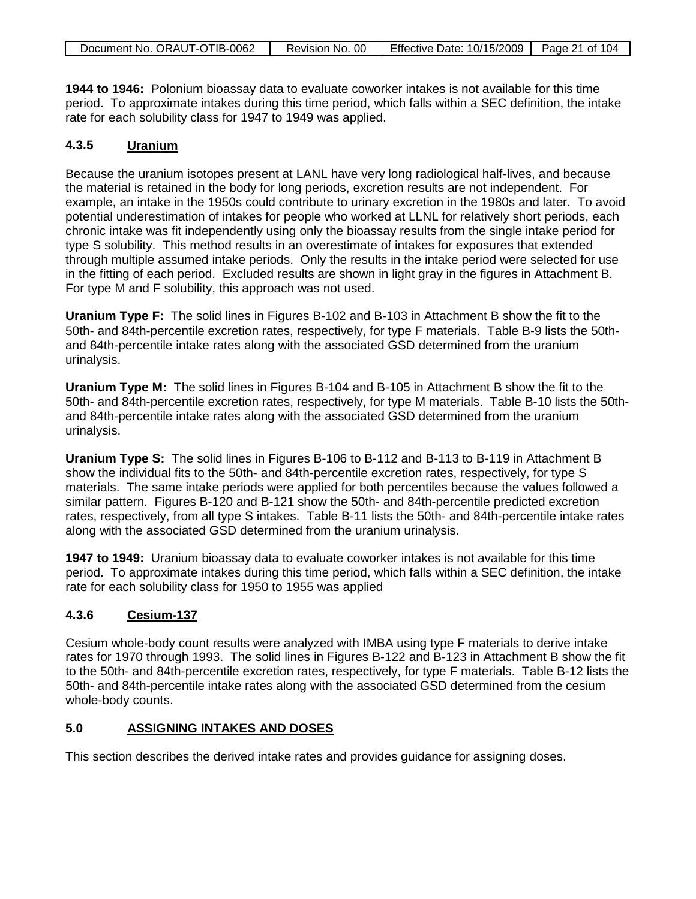**1944 to 1946:** Polonium bioassay data to evaluate coworker intakes is not available for this time period. To approximate intakes during this time period, which falls within a SEC definition, the intake rate for each solubility class for 1947 to 1949 was applied.

### **4.3.5 Uranium**

Because the uranium isotopes present at LANL have very long radiological half-lives, and because the material is retained in the body for long periods, excretion results are not independent. For example, an intake in the 1950s could contribute to urinary excretion in the 1980s and later. To avoid potential underestimation of intakes for people who worked at LLNL for relatively short periods, each chronic intake was fit independently using only the bioassay results from the single intake period for type S solubility. This method results in an overestimate of intakes for exposures that extended through multiple assumed intake periods. Only the results in the intake period were selected for use in the fitting of each period. Excluded results are shown in light gray in the figures in Attachment B. For type M and F solubility, this approach was not used.

**Uranium Type F:** The solid lines in Figures B-102 and B-103 in Attachment B show the fit to the 50th- and 84th-percentile excretion rates, respectively, for type F materials. Table B-9 lists the 50thand 84th-percentile intake rates along with the associated GSD determined from the uranium urinalysis.

**Uranium Type M:** The solid lines in Figures B-104 and B-105 in Attachment B show the fit to the 50th- and 84th-percentile excretion rates, respectively, for type M materials. Table B-10 lists the 50thand 84th-percentile intake rates along with the associated GSD determined from the uranium urinalysis.

**Uranium Type S:** The solid lines in Figures B-106 to B-112 and B-113 to B-119 in Attachment B show the individual fits to the 50th- and 84th-percentile excretion rates, respectively, for type S materials. The same intake periods were applied for both percentiles because the values followed a similar pattern. Figures B-120 and B-121 show the 50th- and 84th-percentile predicted excretion rates, respectively, from all type S intakes. Table B-11 lists the 50th- and 84th-percentile intake rates along with the associated GSD determined from the uranium urinalysis.

**1947 to 1949:** Uranium bioassay data to evaluate coworker intakes is not available for this time period. To approximate intakes during this time period, which falls within a SEC definition, the intake rate for each solubility class for 1950 to 1955 was applied

### **4.3.6 Cesium-137**

Cesium whole-body count results were analyzed with IMBA using type F materials to derive intake rates for 1970 through 1993. The solid lines in Figures B-122 and B-123 in Attachment B show the fit to the 50th- and 84th-percentile excretion rates, respectively, for type F materials. Table B-12 lists the 50th- and 84th-percentile intake rates along with the associated GSD determined from the cesium whole-body counts.

### **5.0 ASSIGNING INTAKES AND DOSES**

This section describes the derived intake rates and provides guidance for assigning doses.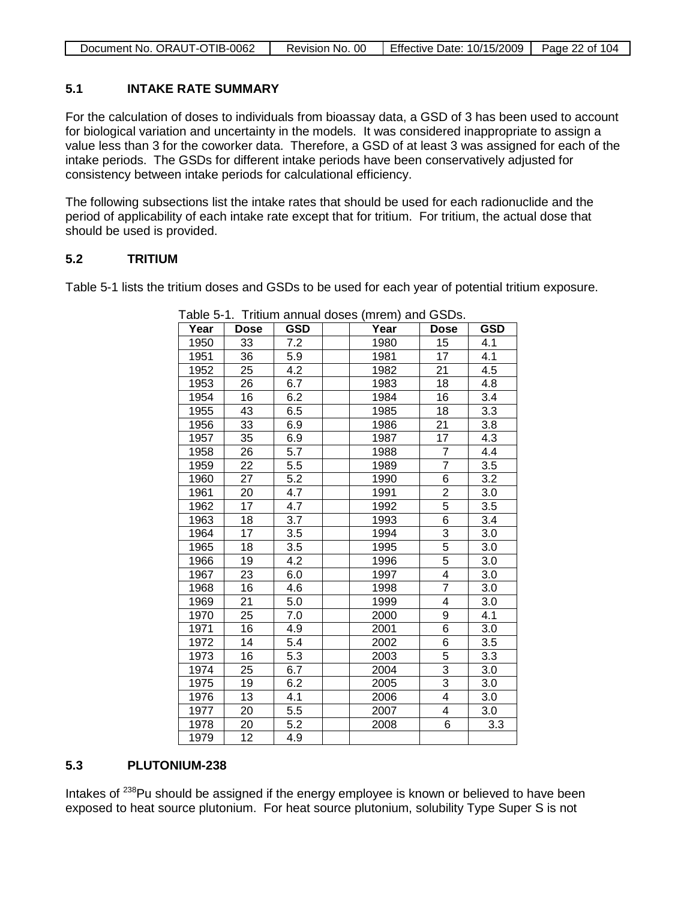| Document No. ORAUT-OTIB-0062 | Revision No. 00 | Effective Date: 10/15/2009   Page 22 of 104 |  |
|------------------------------|-----------------|---------------------------------------------|--|

### **5.1 INTAKE RATE SUMMARY**

For the calculation of doses to individuals from bioassay data, a GSD of 3 has been used to account for biological variation and uncertainty in the models. It was considered inappropriate to assign a value less than 3 for the coworker data. Therefore, a GSD of at least 3 was assigned for each of the intake periods. The GSDs for different intake periods have been conservatively adjusted for consistency between intake periods for calculational efficiency.

The following subsections list the intake rates that should be used for each radionuclide and the period of applicability of each intake rate except that for tritium. For tritium, the actual dose that should be used is provided.

### **5.2 TRITIUM**

Table 5-1 lists the tritium doses and GSDs to be used for each year of potential tritium exposure.

| Year | .<br>Dose | <b>GSD</b> | .<br>Year | <b>Dose</b>             | <b>GSD</b> |
|------|-----------|------------|-----------|-------------------------|------------|
| 1950 | 33        | 7.2        | 1980      | 15                      | 4.1        |
| 1951 | 36        | 5.9        | 1981      | 17                      | 4.1        |
| 1952 | 25        | 4.2        | 1982      | 21                      | 4.5        |
| 1953 | 26        | 6.7        | 1983      | 18                      | 4.8        |
| 1954 | 16        | 6.2        | 1984      | 16                      | 3.4        |
| 1955 | 43        | 6.5        | 1985      | 18                      | 3.3        |
| 1956 | 33        | 6.9        | 1986      | 21                      | 3.8        |
| 1957 | 35        | 6.9        | 1987      | 17                      | 4.3        |
| 1958 | 26        | 5.7        | 1988      | $\overline{7}$          | 4.4        |
| 1959 | 22        | 5.5        | 1989      | $\overline{7}$          | 3.5        |
| 1960 | 27        | 5.2        | 1990      | $\overline{6}$          | 3.2        |
| 1961 | 20        | 4.7        | 1991      | $\overline{2}$          | 3.0        |
| 1962 | 17        | 4.7        | 1992      | $\overline{5}$          | 3.5        |
| 1963 | 18        | 3.7        | 1993      | $\overline{6}$          | 3.4        |
| 1964 | 17        | 3.5        | 1994      | $\overline{3}$          | 3.0        |
| 1965 | 18        | 3.5        | 1995      | $\overline{5}$          | 3.0        |
| 1966 | 19        | 4.2        | 1996      | $\overline{5}$          | 3.0        |
| 1967 | 23        | 6.0        | 1997      | $\overline{4}$          | 3.0        |
| 1968 | 16        | 4.6        | 1998      | $\overline{7}$          | 3.0        |
| 1969 | 21        | 5.0        | 1999      | 4                       | 3.0        |
| 1970 | 25        | 7.0        | 2000      | 9                       | 4.1        |
| 1971 | 16        | 4.9        | 2001      | $\overline{6}$          | 3.0        |
| 1972 | 14        | 5.4        | 2002      | 6                       | 3.5        |
| 1973 | 16        | 5.3        | 2003      | 5                       | 3.3        |
| 1974 | 25        | 6.7        | 2004      | 3                       | 3.0        |
| 1975 | 19        | 6.2        | 2005      | $\overline{3}$          | 3.0        |
| 1976 | 13        | 4.1        | 2006      | 4                       | 3.0        |
| 1977 | 20        | 5.5        | 2007      | $\overline{\mathbf{4}}$ | 3.0        |
| 1978 | 20        | 5.2        | 2008      | $\overline{6}$          | 3.3        |
| 1979 | 12        | 4.9        |           |                         |            |

Table 5-1. Tritium annual doses (mrem) and GSDs.

### **5.3 PLUTONIUM-238**

Intakes of <sup>238</sup>Pu should be assigned if the energy employee is known or believed to have been exposed to heat source plutonium. For heat source plutonium, solubility Type Super S is not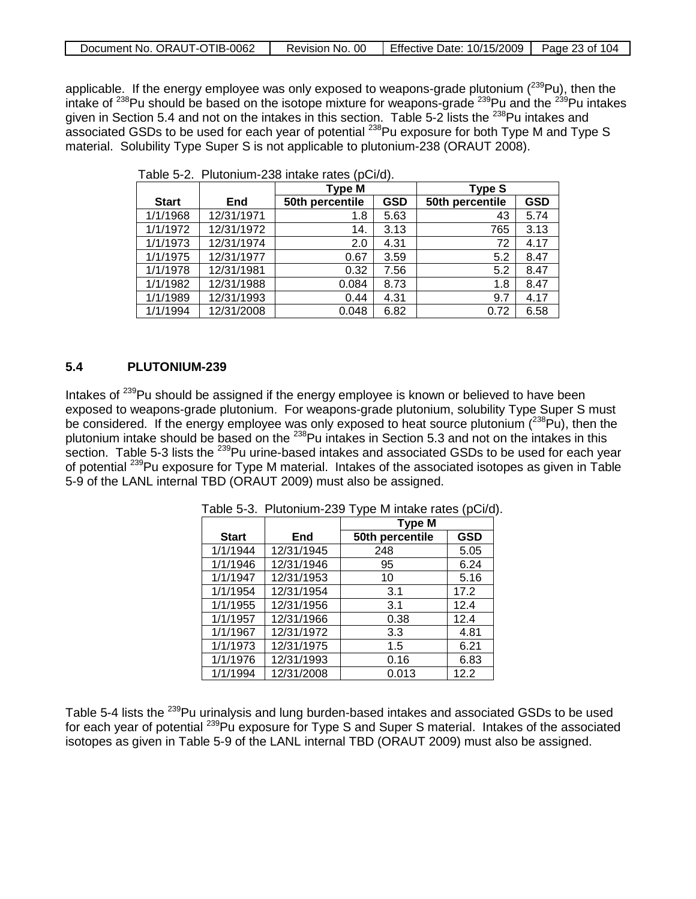| Document No. ORAUT-OTIB-0062 | Revision No. 00   Effective Date: 10/15/2009   Page 23 of 104 |  |
|------------------------------|---------------------------------------------------------------|--|

applicable. If the energy employee was only exposed to weapons-grade plutonium (<sup>239</sup>Pu), then the intake of <sup>238</sup>Pu should be based on the isotope mixture for weapons-grade <sup>239</sup>Pu and the <sup>239</sup>Pu intakes given in Section 5.4 and not on the intakes in this section. Table 5-2 lists the <sup>238</sup>Pu intakes and associated GSDs to be used for each year of potential <sup>238</sup>Pu exposure for both Type M and Type S material. Solubility Type Super S is not applicable to plutonium-238 (ORAUT 2008).

|              |            | <b>Type M</b>   |            | <b>Type S</b>   |            |
|--------------|------------|-----------------|------------|-----------------|------------|
| <b>Start</b> | End        | 50th percentile | <b>GSD</b> | 50th percentile | <b>GSD</b> |
| 1/1/1968     | 12/31/1971 | 1.8             | 5.63       | 43              | 5.74       |
| 1/1/1972     | 12/31/1972 | 14.             | 3.13       | 765             | 3.13       |
| 1/1/1973     | 12/31/1974 | 2.0             | 4.31       | 72              | 4.17       |
| 1/1/1975     | 12/31/1977 | 0.67            | 3.59       | 5.2             | 8.47       |
| 1/1/1978     | 12/31/1981 | 0.32            | 7.56       | 5.2             | 8.47       |
| 1/1/1982     | 12/31/1988 | 0.084           | 8.73       | 1.8             | 8.47       |
| 1/1/1989     | 12/31/1993 | 0.44            | 4.31       | 9.7             | 4.17       |
| 1/1/1994     | 12/31/2008 | 0.048           | 6.82       | 0.72            | 6.58       |

|  | Table 5-2. Plutonium-238 intake rates (pCi/d). |  |  |  |
|--|------------------------------------------------|--|--|--|
|--|------------------------------------------------|--|--|--|

### **5.4 PLUTONIUM-239**

Intakes of <sup>239</sup>Pu should be assigned if the energy employee is known or believed to have been exposed to weapons-grade plutonium. For weapons-grade plutonium, solubility Type Super S must be considered. If the energy employee was only exposed to heat source plutonium ( $^{238}$ Pu), then the plutonium intake should be based on the <sup>238</sup>Pu intakes in Section 5.3 and not on the intakes in this section. Table 5-3 lists the <sup>239</sup>Pu urine-based intakes and associated GSDs to be used for each year of potential <sup>239</sup>Pu exposure for Type M material. Intakes of the associated isotopes as given in Table 5-9 of the LANL internal TBD (ORAUT 2009) must also be assigned.

|              |            | <b>Type M</b>   |            |  |  |
|--------------|------------|-----------------|------------|--|--|
| <b>Start</b> | End        | 50th percentile | <b>GSD</b> |  |  |
| 1/1/1944     | 12/31/1945 | 248             | 5.05       |  |  |
| 1/1/1946     | 12/31/1946 | 95              | 6.24       |  |  |
| 1/1/1947     | 12/31/1953 | 10              | 5.16       |  |  |
| 1/1/1954     | 12/31/1954 | 3.1             | 17.2       |  |  |
| 1/1/1955     | 12/31/1956 | 3.1             | 12.4       |  |  |
| 1/1/1957     | 12/31/1966 | 0.38            | 12.4       |  |  |
| 1/1/1967     | 12/31/1972 | 3.3             | 4.81       |  |  |
| 1/1/1973     | 12/31/1975 | 1.5             | 6.21       |  |  |
| 1/1/1976     | 12/31/1993 | 0.16            | 6.83       |  |  |
| 1/1/1994     | 12/31/2008 | 0.013           | 12.2       |  |  |

Table 5-3. Plutonium-239 Type M intake rates (pCi/d).

Table 5-4 lists the <sup>239</sup>Pu urinalysis and lung burden-based intakes and associated GSDs to be used for each year of potential <sup>239</sup>Pu exposure for Type S and Super S material. Intakes of the associated isotopes as given in Table 5-9 of the LANL internal TBD (ORAUT 2009) must also be assigned.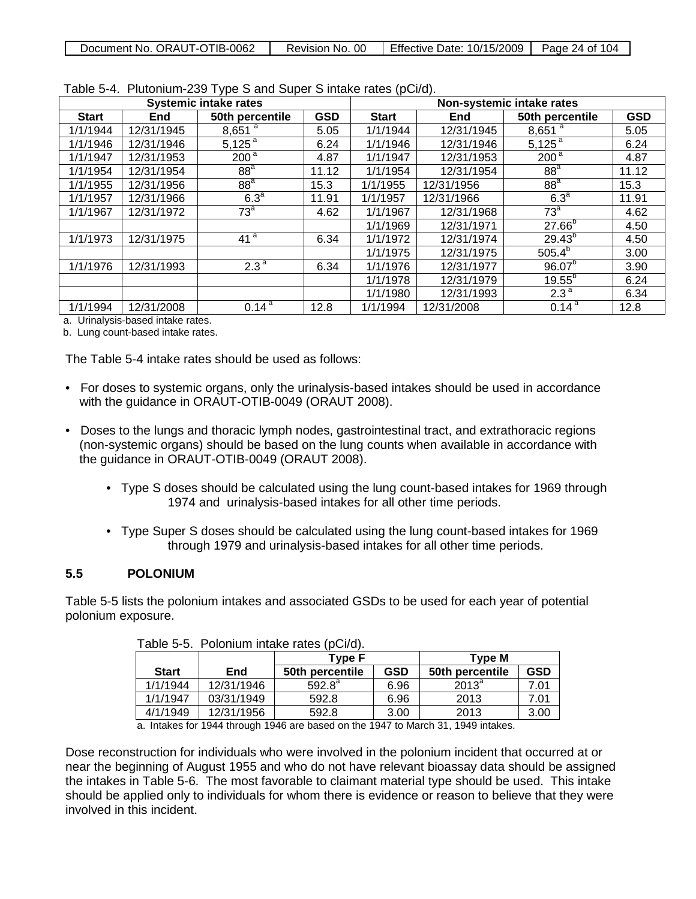| Document No. ORAUT-OTIB-0062 | Revision No. 00 | Effective Date: $10/15/2009$   Page 24 of 104 |  |
|------------------------------|-----------------|-----------------------------------------------|--|
|                              |                 |                                               |  |

|              | <b>Systemic intake rates</b> |                      |            |              | $\frac{1}{2}$ | Non-systemic intake rates      |            |
|--------------|------------------------------|----------------------|------------|--------------|---------------|--------------------------------|------------|
| <b>Start</b> | End                          | 50th percentile      | <b>GSD</b> | <b>Start</b> | <b>End</b>    | 50th percentile                | <b>GSD</b> |
| 1/1/1944     | 12/31/1945                   | $8,651$ <sup>a</sup> | 5.05       | 1/1/1944     | 12/31/1945    | $8,651$ <sup>a</sup>           | 5.05       |
| 1/1/1946     | 12/31/1946                   | $5,125^{a}$          | 6.24       | 1/1/1946     | 12/31/1946    | $5,125^{a}$                    | 6.24       |
| 1/1/1947     | 12/31/1953                   | 200 <sup>a</sup>     | 4.87       | 1/1/1947     | 12/31/1953    | 200 <sup>a</sup>               | 4.87       |
| 1/1/1954     | 12/31/1954                   | 88 <sup>a</sup>      | 11.12      | 1/1/1954     | 12/31/1954    | 88 <sup>a</sup>                | 11.12      |
| 1/1/1955     | 12/31/1956                   | 88 <sup>a</sup>      | 15.3       | 1/1/1955     | 12/31/1956    | 88 <sup>a</sup>                | 15.3       |
| 1/1/1957     | 12/31/1966                   | 6.3 <sup>a</sup>     | 11.91      | 1/1/1957     | 12/31/1966    | 6.3 <sup>a</sup>               | 11.91      |
| 1/1/1967     | 12/31/1972                   | 73 <sup>a</sup>      | 4.62       | 1/1/1967     | 12/31/1968    | $\overline{73}^{\overline{a}}$ | 4.62       |
|              |                              |                      |            | 1/1/1969     | 12/31/1971    | $27.66^{b}$                    | 4.50       |
| 1/1/1973     | 12/31/1975                   | 41 <sup>a</sup>      | 6.34       | 1/1/1972     | 12/31/1974    | $29.43^{b}$                    | 4.50       |
|              |                              |                      |            | 1/1/1975     | 12/31/1975    | $505.4^{b}$                    | 3.00       |
| 1/1/1976     | 12/31/1993                   | 2.3 <sup>a</sup>     | 6.34       | 1/1/1976     | 12/31/1977    | $96.07^{b}$                    | 3.90       |
|              |                              |                      |            | 1/1/1978     | 12/31/1979    | $19.55^{b}$                    | 6.24       |
|              |                              |                      |            | 1/1/1980     | 12/31/1993    | 2.3 <sup>a</sup>               | 6.34       |
| 1/1/1994     | 12/31/2008                   | $0.14^{a}$           | 12.8       | 1/1/1994     | 12/31/2008    | $0.14^{a}$                     | 12.8       |

Table 5-4. Plutonium-239 Type S and Super S intake rates (pCi/d).

a. Urinalysis-based intake rates.

b. Lung count-based intake rates.

The Table 5-4 intake rates should be used as follows:

- For doses to systemic organs, only the urinalysis-based intakes should be used in accordance with the guidance in ORAUT-OTIB-0049 (ORAUT 2008).
- Doses to the lungs and thoracic lymph nodes, gastrointestinal tract, and extrathoracic regions (non-systemic organs) should be based on the lung counts when available in accordance with the guidance in ORAUT-OTIB-0049 (ORAUT 2008).
	- Type S doses should be calculated using the lung count-based intakes for 1969 through 1974 and urinalysis-based intakes for all other time periods.
	- Type Super S doses should be calculated using the lung count-based intakes for 1969 through 1979 and urinalysis-based intakes for all other time periods.

### **5.5 POLONIUM**

Table 5-5 lists the polonium intakes and associated GSDs to be used for each year of potential polonium exposure.

|              |            | Type F          |            | <b>Type M</b>   |            |
|--------------|------------|-----------------|------------|-----------------|------------|
| <b>Start</b> | End        | 50th percentile | <b>GSD</b> | 50th percentile | <b>GSD</b> |
| 1/1/1944     | 12/31/1946 | $592.8^{\circ}$ | 6.96       | $2013^a$        | 7.01       |
| 1/1/1947     | 03/31/1949 | 592.8           | 6.96       | 2013            | 7.01       |
| 4/1/1949     | 12/31/1956 | 592.8           | 3.00       | 2013            | 3.00       |

| Table 5-5. Polonium intake rates (pCi/d). |  |  |
|-------------------------------------------|--|--|
|-------------------------------------------|--|--|

a. Intakes for 1944 through 1946 are based on the 1947 to March 31, 1949 intakes.

Dose reconstruction for individuals who were involved in the polonium incident that occurred at or near the beginning of August 1955 and who do not have relevant bioassay data should be assigned the intakes in Table 5-6. The most favorable to claimant material type should be used. This intake should be applied only to individuals for whom there is evidence or reason to believe that they were involved in this incident.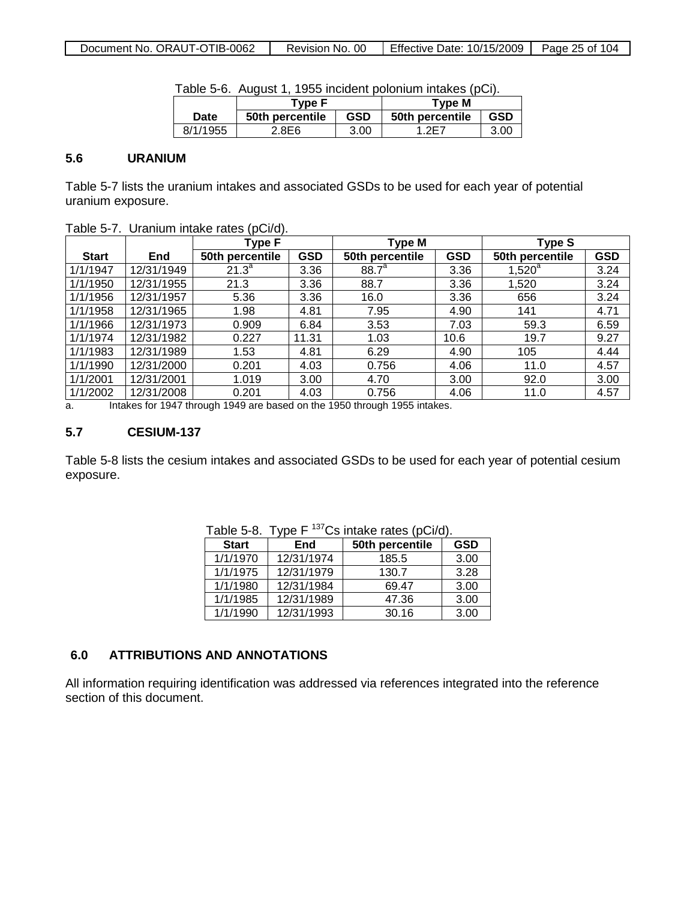| Document No. ORAUT-OTIB-0062 | Revision No. 00 | Effective Date: 10/15/2009 | Page 25 of 104 |
|------------------------------|-----------------|----------------------------|----------------|

|          | <u>Fabio o o: 7 iddidi i; Tooo inoidonii poloniam inilanoo (poh).</u><br>Tvpe F |            | Tvpe M          |            |
|----------|---------------------------------------------------------------------------------|------------|-----------------|------------|
| Date     | 50th percentile                                                                 | <b>GSD</b> | 50th percentile | <b>GSD</b> |
| 8/1/1955 | 2.8E6                                                                           | 3.00       | - 2F 7          | 3.00       |

|  |  | Table 5-6. August 1, 1955 incident polonium intakes (pCi). |  |  |  |
|--|--|------------------------------------------------------------|--|--|--|
|--|--|------------------------------------------------------------|--|--|--|

### **5.6 URANIUM**

Table 5-7 lists the uranium intakes and associated GSDs to be used for each year of potential uranium exposure.

| $1$ able $9^ 1$ . Ordinarii intake rates (poi/d). |            |                 |            |                   |      |                 |            |
|---------------------------------------------------|------------|-----------------|------------|-------------------|------|-----------------|------------|
|                                                   |            | Type F          |            | Type M            |      | Type S          |            |
| <b>Start</b>                                      | <b>End</b> | 50th percentile | <b>GSD</b> | 50th percentile   | GSD  | 50th percentile | <b>GSD</b> |
| 1/1/1947                                          | 12/31/1949 | $21.3^a$        | 3.36       | 88.7 <sup>a</sup> | 3.36 | $1,520^a$       | 3.24       |
| 1/1/1950                                          | 12/31/1955 | 21.3            | 3.36       | 88.7              | 3.36 | 1,520           | 3.24       |
| 1/1/1956                                          | 12/31/1957 | 5.36            | 3.36       | 16.0              | 3.36 | 656             | 3.24       |
| 1/1/1958                                          | 12/31/1965 | 1.98            | 4.81       | 7.95              | 4.90 | 141             | 4.71       |
| 1/1/1966                                          | 12/31/1973 | 0.909           | 6.84       | 3.53              | 7.03 | 59.3            | 6.59       |
| 1/1/1974                                          | 12/31/1982 | 0.227           | 11.31      | 1.03              | 10.6 | 19.7            | 9.27       |
| 1/1/1983                                          | 12/31/1989 | 1.53            | 4.81       | 6.29              | 4.90 | 105             | 4.44       |
| 1/1/1990                                          | 12/31/2000 | 0.201           | 4.03       | 0.756             | 4.06 | 11.0            | 4.57       |
| 1/1/2001                                          | 12/31/2001 | 1.019           | 3.00       | 4.70              | 3.00 | 92.0            | 3.00       |
| 1/1/2002                                          | 12/31/2008 | 0.201           | 4.03       | 0.756             | 4.06 | 11.0            | 4.57       |

Table 5-7. Uranium intake rates (pCi/d).

a. Intakes for 1947 through 1949 are based on the 1950 through 1955 intakes.

### **5.7 CESIUM-137**

Table 5-8 lists the cesium intakes and associated GSDs to be used for each year of potential cesium exposure.

| <b>Start</b> | End        | 50th percentile | <b>GSD</b> |
|--------------|------------|-----------------|------------|
| 1/1/1970     | 12/31/1974 | 185.5           | 3.00       |
| 1/1/1975     | 12/31/1979 | 130.7           | 3.28       |
| 1/1/1980     | 12/31/1984 | 69.47           | 3.00       |
| 1/1/1985     | 12/31/1989 | 47.36           | 3.00       |
| 1/1/1990     | 12/31/1993 | 30.16           | 3.00       |

|  |  | Table 5-8. Type F <sup>137</sup> Cs intake rates (pCi/d). |  |  |
|--|--|-----------------------------------------------------------|--|--|
|--|--|-----------------------------------------------------------|--|--|

### **6.0 ATTRIBUTIONS AND ANNOTATIONS**

All information requiring identification was addressed via references integrated into the reference section of this document.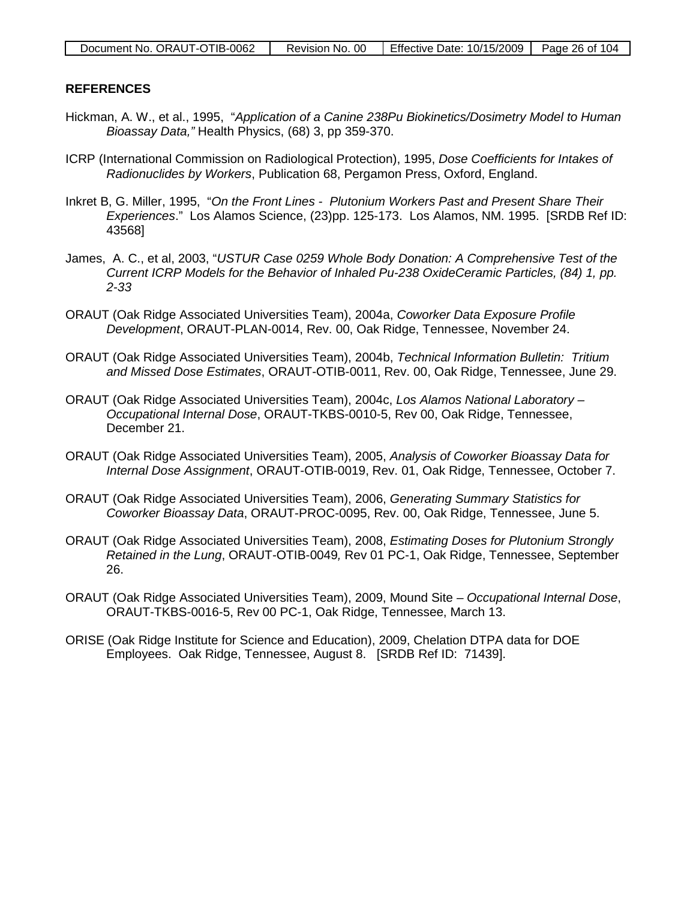### **REFERENCES**

- Hickman, A. W., et al., 1995, "*Application of a Canine 238Pu Biokinetics/Dosimetry Model to Human Bioassay Data,"* Health Physics, (68) 3, pp 359-370.
- ICRP (International Commission on Radiological Protection), 1995, *Dose Coefficients for Intakes of Radionuclides by Workers*, Publication 68, Pergamon Press, Oxford, England.
- Inkret B, G. Miller, 1995, "*On the Front Lines - Plutonium Workers Past and Present Share Their Experiences*." Los Alamos Science, (23)pp. 125-173. Los Alamos, NM. 1995. [SRDB Ref ID: 43568]
- James, A. C., et al, 2003, "*USTUR Case 0259 Whole Body Donation: A Comprehensive Test of the Current ICRP Models for the Behavior of Inhaled Pu-238 OxideCeramic Particles, (84) 1, pp. 2-33*
- ORAUT (Oak Ridge Associated Universities Team), 2004a, *Coworker Data Exposure Profile Development*, ORAUT-PLAN-0014, Rev. 00, Oak Ridge, Tennessee, November 24.
- ORAUT (Oak Ridge Associated Universities Team), 2004b, *Technical Information Bulletin: Tritium and Missed Dose Estimates*, ORAUT-OTIB-0011, Rev. 00, Oak Ridge, Tennessee, June 29.
- ORAUT (Oak Ridge Associated Universities Team), 2004c, *Los Alamos National Laboratory – Occupational Internal Dose*, ORAUT-TKBS-0010-5, Rev 00, Oak Ridge, Tennessee, December 21.
- ORAUT (Oak Ridge Associated Universities Team), 2005, *Analysis of Coworker Bioassay Data for Internal Dose Assignment*, ORAUT-OTIB-0019, Rev. 01, Oak Ridge, Tennessee, October 7.
- ORAUT (Oak Ridge Associated Universities Team), 2006, *Generating Summary Statistics for Coworker Bioassay Data*, ORAUT-PROC-0095, Rev. 00, Oak Ridge, Tennessee, June 5.
- ORAUT (Oak Ridge Associated Universities Team), 2008, *Estimating Doses for Plutonium Strongly Retained in the Lung*, ORAUT-OTIB-0049*,* Rev 01 PC-1, Oak Ridge, Tennessee, September 26.
- ORAUT (Oak Ridge Associated Universities Team), 2009, Mound Site *– Occupational Internal Dose*, ORAUT-TKBS-0016-5, Rev 00 PC-1, Oak Ridge, Tennessee, March 13.
- ORISE (Oak Ridge Institute for Science and Education), 2009, Chelation DTPA data for DOE Employees. Oak Ridge, Tennessee, August 8. [SRDB Ref ID: 71439].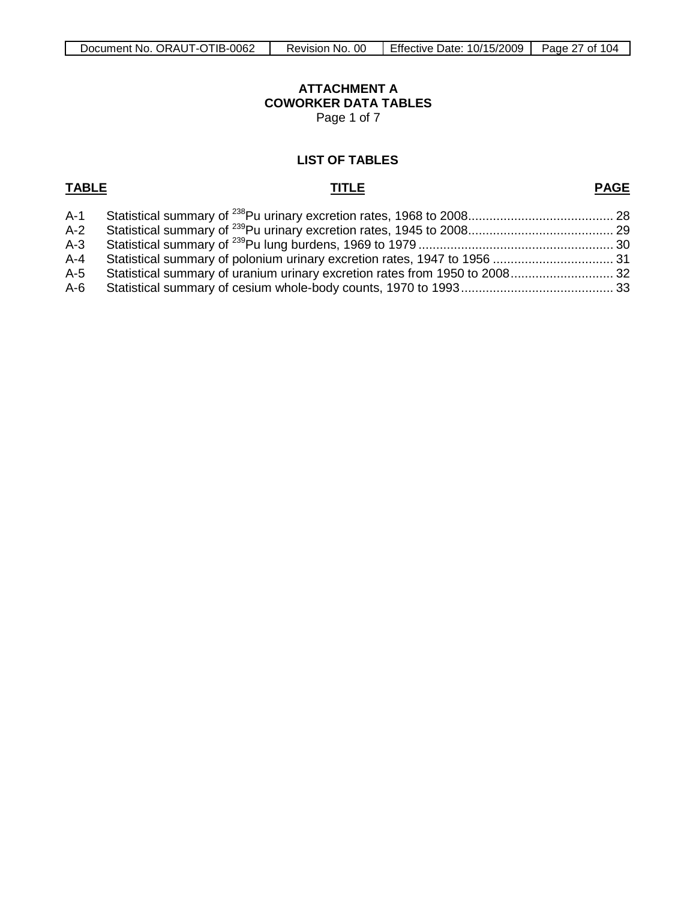# **ATTACHMENT A COWORKER DATA TABLES**

Page 1 of 7

### <span id="page-26-0"></span>**LIST OF TABLES**

## **TABLE TITLE**

## **PAGE**

| $A-1$ |                                                                             |  |
|-------|-----------------------------------------------------------------------------|--|
| $A-2$ |                                                                             |  |
|       |                                                                             |  |
| A-4   |                                                                             |  |
| A-5   | Statistical summary of uranium urinary excretion rates from 1950 to 2008 32 |  |
|       |                                                                             |  |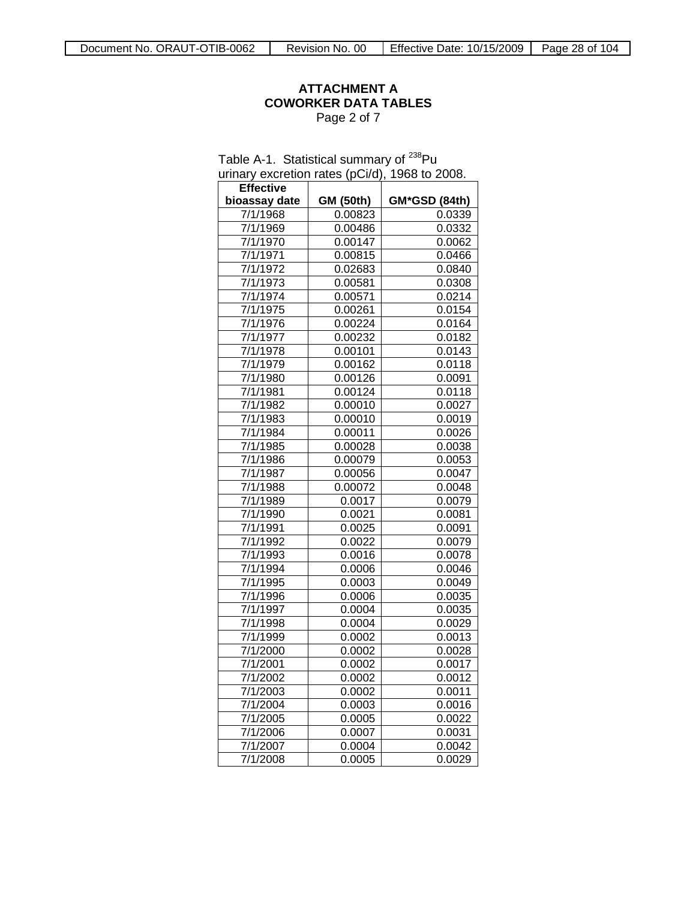### **ATTACHMENT A COWORKER DATA TABLES** Page 2 of 7

| Table A-1. Statistical summary of <sup>238</sup> Pu |                  |               |  |  |  |
|-----------------------------------------------------|------------------|---------------|--|--|--|
| urinary excretion rates (pCi/d), 1968 to 2008.      |                  |               |  |  |  |
| <b>Effective</b>                                    |                  |               |  |  |  |
| bioassay date                                       | <b>GM (50th)</b> | GM*GSD (84th) |  |  |  |
| 7/1/1968                                            | 0.00823          | 0.0339        |  |  |  |
| 7/1/1969                                            | 0.00486          | 0.0332        |  |  |  |
| 7/1/1970                                            | 0.00147          | 0.0062        |  |  |  |
| 7/1/1971                                            | 0.00815          | 0.0466        |  |  |  |
| 7/1/1972                                            | 0.02683          | 0.0840        |  |  |  |
| 7/1/1973                                            | 0.00581          | 0.0308        |  |  |  |
| 7/1/1974                                            | 0.00571          | 0.0214        |  |  |  |
| 7/1/1975                                            | 0.00261          | 0.0154        |  |  |  |
| 7/1/1976                                            | 0.00224          | 0.0164        |  |  |  |
| 7/1/1977                                            | 0.00232          | 0.0182        |  |  |  |
| 7/1/1978                                            | 0.00101          | 0.0143        |  |  |  |
| 7/1/1979                                            | 0.00162          | 0.0118        |  |  |  |
| 7/1/1980                                            | 0.00126          | 0.0091        |  |  |  |
| 7/1/1981                                            | 0.00124          | 0.0118        |  |  |  |
| 7/1/1982                                            | 0.00010          | 0.0027        |  |  |  |
| 7/1/1983                                            | 0.00010          | 0.0019        |  |  |  |
| 7/1/1984                                            | 0.00011          | 0.0026        |  |  |  |
| 7/1/1985                                            | 0.00028          | 0.0038        |  |  |  |
| 7/1/1986                                            | 0.00079          | 0.0053        |  |  |  |
| 7/1/1987                                            | 0.00056          | 0.0047        |  |  |  |
| 7/1/1988                                            | 0.00072          | 0.0048        |  |  |  |
| 7/1/1989                                            | 0.0017           | 0.0079        |  |  |  |
| 7/1/1990                                            | 0.0021           | 0.0081        |  |  |  |
| 7/1/1991                                            | 0.0025           | 0.0091        |  |  |  |
| 7/1/1992                                            | 0.0022           | 0.0079        |  |  |  |
| 7/1/1993                                            | 0.0016           | 0.0078        |  |  |  |
| 7/1/1994                                            | 0.0006           | 0.0046        |  |  |  |
| 7/1/1995                                            | 0.0003           | 0.0049        |  |  |  |
| 7/1/1996                                            | 0.0006           | 0.0035        |  |  |  |
| 7/1/1997                                            | 0.0004           | 0.0035        |  |  |  |
| 7/1/1998                                            | 0.0004           | 0.0029        |  |  |  |
| 7/1/1999                                            | 0.0002           | 0.0013        |  |  |  |
| 7/1/2000                                            | 0.0002           | 0.0028        |  |  |  |
| 7/1/2001                                            | 0.0002           | 0.0017        |  |  |  |
| 7/1/2002                                            | 0.0002           | 0.0012        |  |  |  |
| 7/1/2003                                            | 0.0002           | 0.0011        |  |  |  |
| 7/1/2004                                            | 0.0003           | 0.0016        |  |  |  |
| 7/1/2005                                            | 0.0005           | 0.0022        |  |  |  |
| 7/1/2006                                            | 0.0007           | 0.0031        |  |  |  |
| 7/1/2007                                            | 0.0004           | 0.0042        |  |  |  |

7/1/2008 0.0005 0.0029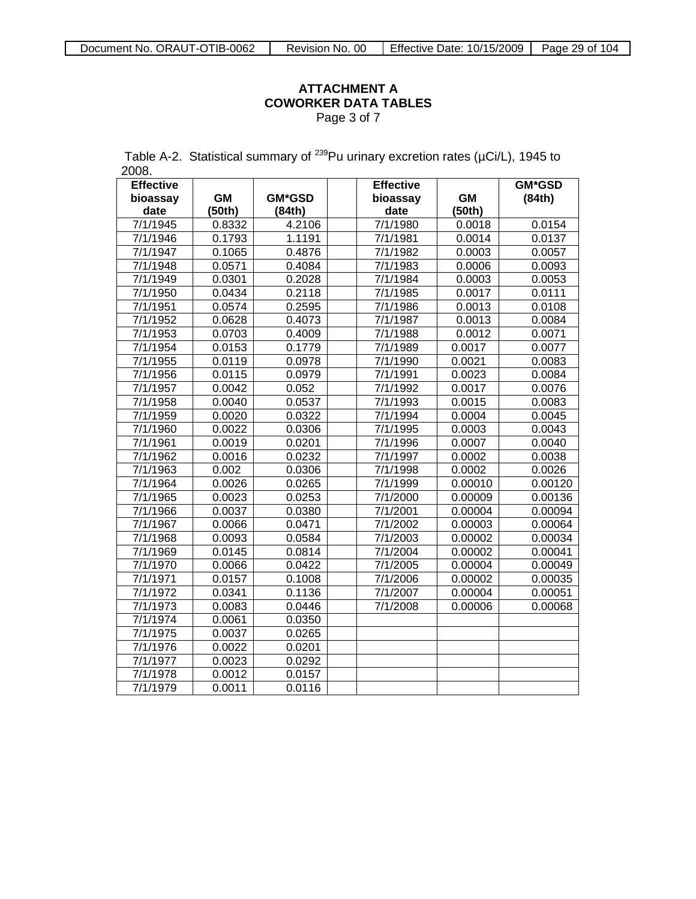### **ATTACHMENT A COWORKER DATA TABLES** Page 3 of 7

Table A-2. Statistical summary of  $^{239}$ Pu urinary excretion rates ( $\mu$ Ci/L), 1945 to 2008.

| <b>Effective</b> |           |               | <b>Effective</b>      |           | <b>GM*GSD</b> |
|------------------|-----------|---------------|-----------------------|-----------|---------------|
| bioassay         | <b>GM</b> | <b>GM*GSD</b> | bioassay              | <b>GM</b> | (84th)        |
| date             | (50th)    | (84th)        | date                  | (50th)    |               |
| 7/1/1945         | 0.8332    | 4.2106        | 7/1/1980              | 0.0018    | 0.0154        |
| 7/1/1946         | 0.1793    | 1.1191        | 7/1/1981              | 0.0014    | 0.0137        |
| 7/1/1947         | 0.1065    | 0.4876        | 7/1/1982              | 0.0003    | 0.0057        |
| 7/1/1948         | 0.0571    | 0.4084        | 7/1/1983              | 0.0006    | 0.0093        |
| 7/1/1949         | 0.0301    | 0.2028        | 7/1/1984              | 0.0003    | 0.0053        |
| 7/1/1950         | 0.0434    | 0.2118        | 7/1/1985              | 0.0017    | 0.0111        |
| 7/1/1951         | 0.0574    | 0.2595        | 7/1/1986              | 0.0013    | 0.0108        |
| 7/1/1952         | 0.0628    | 0.4073        | 7/1/1987              | 0.0013    | 0.0084        |
| 7/1/1953         | 0.0703    | 0.4009        | 7/1/1988              | 0.0012    | 0.0071        |
| 7/1/1954         | 0.0153    | 0.1779        | 7/1/1989              | 0.0017    | 0.0077        |
| 7/1/1955         | 0.0119    | 0.0978        | 7/1/1990              | 0.0021    | 0.0083        |
| 7/1/1956         | 0.0115    | 0.0979        | $\frac{1}{7}$ /1/1991 | 0.0023    | 0.0084        |
| 7/1/1957         | 0.0042    | 0.052         | 7/1/1992              | 0.0017    | 0.0076        |
| 7/1/1958         | 0.0040    | 0.0537        | 7/1/1993              | 0.0015    | 0.0083        |
| 7/1/1959         | 0.0020    | 0.0322        | 7/1/1994              | 0.0004    | 0.0045        |
| 7/1/1960         | 0.0022    | 0.0306        | 7/1/1995              | 0.0003    | 0.0043        |
| 7/1/1961         | 0.0019    | 0.0201        | 7/1/1996              | 0.0007    | 0.0040        |
| 7/1/1962         | 0.0016    | 0.0232        | 7/1/1997              | 0.0002    | 0.0038        |
| 7/1/1963         | 0.002     | 0.0306        | 7/1/1998              | 0.0002    | 0.0026        |
| 7/1/1964         | 0.0026    | 0.0265        | 7/1/1999              | 0.00010   | 0.00120       |
| 7/1/1965         | 0.0023    | 0.0253        | 7/1/2000              | 0.00009   | 0.00136       |
| 7/1/1966         | 0.0037    | 0.0380        | 7/1/2001              | 0.00004   | 0.00094       |
| 7/1/1967         | 0.0066    | 0.0471        | 7/1/2002              | 0.00003   | 0.00064       |
| 7/1/1968         | 0.0093    | 0.0584        | 7/1/2003              | 0.00002   | 0.00034       |
| 7/1/1969         | 0.0145    | 0.0814        | 7/1/2004              | 0.00002   | 0.00041       |
| 7/1/1970         | 0.0066    | 0.0422        | 7/1/2005              | 0.00004   | 0.00049       |
| 7/1/1971         | 0.0157    | 0.1008        | 7/1/2006              | 0.00002   | 0.00035       |
| 7/1/1972         | 0.0341    | 0.1136        | 7/1/2007              | 0.00004   | 0.00051       |
| 7/1/1973         | 0.0083    | 0.0446        | 7/1/2008              | 0.00006   | 0.00068       |
| 7/1/1974         | 0.0061    | 0.0350        |                       |           |               |
| 7/1/1975         | 0.0037    | 0.0265        |                       |           |               |
| 7/1/1976         | 0.0022    | 0.0201        |                       |           |               |
| 7/1/1977         | 0.0023    | 0.0292        |                       |           |               |
| 7/1/1978         | 0.0012    | 0.0157        |                       |           |               |
| 7/1/1979         | 0.0011    | 0.0116        |                       |           |               |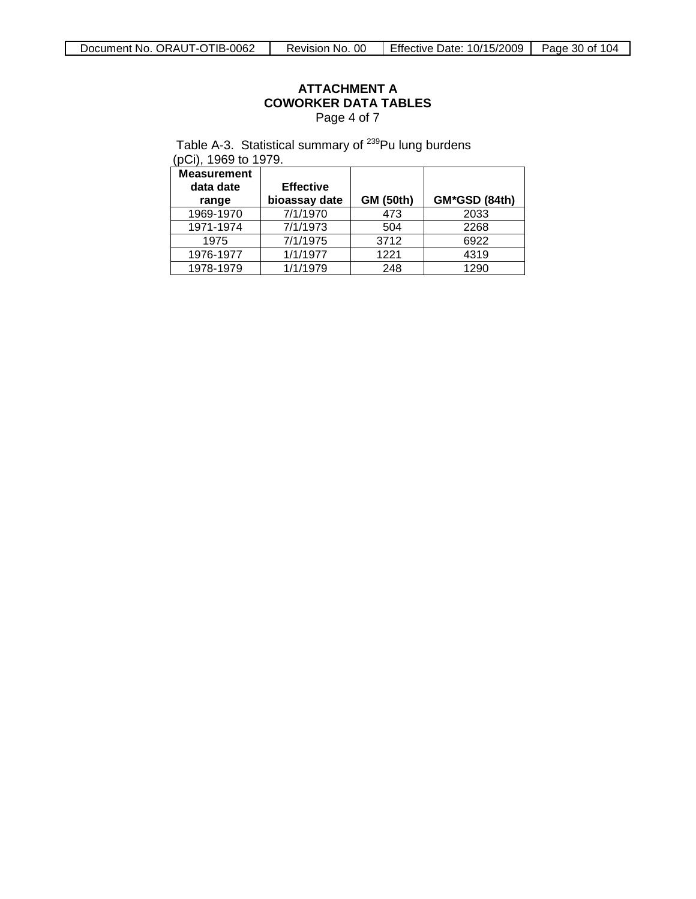### **ATTACHMENT A COWORKER DATA TABLES** Page 4 of 7

Table A-3. Statistical summary of <sup>239</sup>Pu lung burdens

(pCi), 1969 to 1979.

| <b>Measurement</b><br>data date<br>range | <b>Effective</b><br>bioassay date | <b>GM (50th)</b> | GM*GSD (84th) |
|------------------------------------------|-----------------------------------|------------------|---------------|
| 1969-1970                                | 7/1/1970                          | 473              | 2033          |
| 1971-1974                                | 7/1/1973                          | 504              | 2268          |
| 1975                                     | 7/1/1975                          | 3712             | 6922          |
| 1976-1977                                | 1/1/1977                          | 1221             | 4319          |
| 1978-1979                                | 1/1/1979                          | 248              | 1290          |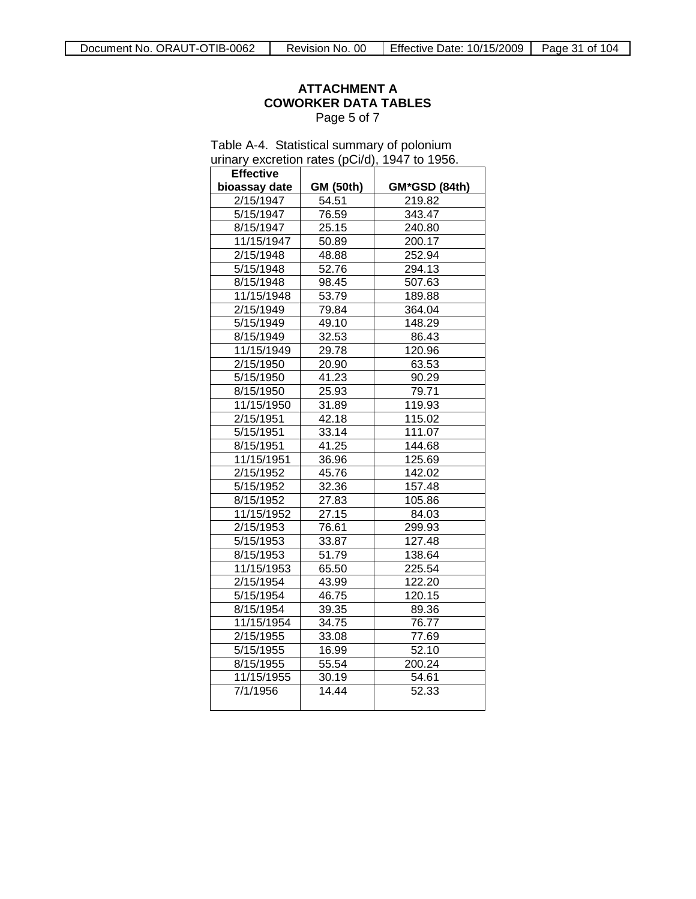### **ATTACHMENT A COWORKER DATA TABLES** Page 5 of 7

|                  | urinary excretion rates (pCi/d), 1947 to 1956. |               |  |  |  |  |  |
|------------------|------------------------------------------------|---------------|--|--|--|--|--|
| <b>Effective</b> |                                                |               |  |  |  |  |  |
| bioassay date    | <b>GM (50th)</b>                               | GM*GSD (84th) |  |  |  |  |  |
| 2/15/1947        | 54.51                                          | 219.82        |  |  |  |  |  |
| 5/15/1947        | 76.59                                          | 343.47        |  |  |  |  |  |
| 8/15/1947        | 25.15                                          | 240.80        |  |  |  |  |  |
| 11/15/1947       | 50.89                                          | 200.17        |  |  |  |  |  |
| 2/15/1948        | 48.88                                          | 252.94        |  |  |  |  |  |
| 5/15/1948        | 52.76                                          | 294.13        |  |  |  |  |  |
| 8/15/1948        | 98.45                                          | 507.63        |  |  |  |  |  |
| 11/15/1948       | 53.79                                          | 189.88        |  |  |  |  |  |
| 2/15/1949        | 79.84                                          | 364.04        |  |  |  |  |  |
| 5/15/1949        | 49.10                                          | 148.29        |  |  |  |  |  |
| 8/15/1949        | 32.53                                          | 86.43         |  |  |  |  |  |
| 11/15/1949       | 29.78                                          | 120.96        |  |  |  |  |  |
| 2/15/1950        | 20.90                                          | 63.53         |  |  |  |  |  |
| 5/15/1950        | 41.23                                          | 90.29         |  |  |  |  |  |
| 8/15/1950        | 25.93                                          | 79.71         |  |  |  |  |  |
| 11/15/1950       | 31.89                                          | 119.93        |  |  |  |  |  |
| 2/15/1951        | 42.18                                          | 115.02        |  |  |  |  |  |
| 5/15/1951        | 33.14                                          | 111.07        |  |  |  |  |  |
| 8/15/1951        | 41.25                                          | 144.68        |  |  |  |  |  |
| 11/15/1951       | 36.96                                          | 125.69        |  |  |  |  |  |
| 2/15/1952        | 45.76                                          | 142.02        |  |  |  |  |  |
| 5/15/1952        | 32.36                                          | 157.48        |  |  |  |  |  |
| 8/15/1952        | 27.83                                          | 105.86        |  |  |  |  |  |
| 11/15/1952       | 27.15                                          | 84.03         |  |  |  |  |  |
| 2/15/1953        | 76.61                                          | 299.93        |  |  |  |  |  |
| 5/15/1953        | 33.87                                          | 127.48        |  |  |  |  |  |
| 8/15/1953        | 51.79                                          | 138.64        |  |  |  |  |  |
| 11/15/1953       | 65.50                                          | 225.54        |  |  |  |  |  |
| 2/15/1954        | 43.99                                          | 122.20        |  |  |  |  |  |
| 5/15/1954        | 46.75                                          | 120.15        |  |  |  |  |  |
| 8/15/1954        | 39.35                                          | 89.36         |  |  |  |  |  |
| 11/15/1954       | 34.75                                          | 76.77         |  |  |  |  |  |
| 2/15/1955        | 33.08                                          | 77.69         |  |  |  |  |  |
| 5/15/1955        | 16.99                                          | 52.10         |  |  |  |  |  |
| 8/15/1955        | 55.54                                          | 200.24        |  |  |  |  |  |
| 11/15/1955       | 30.19                                          | 54.61         |  |  |  |  |  |
| 7/1/1956         | 14.44                                          | 52.33         |  |  |  |  |  |

Table A-4. Statistical summary of polonium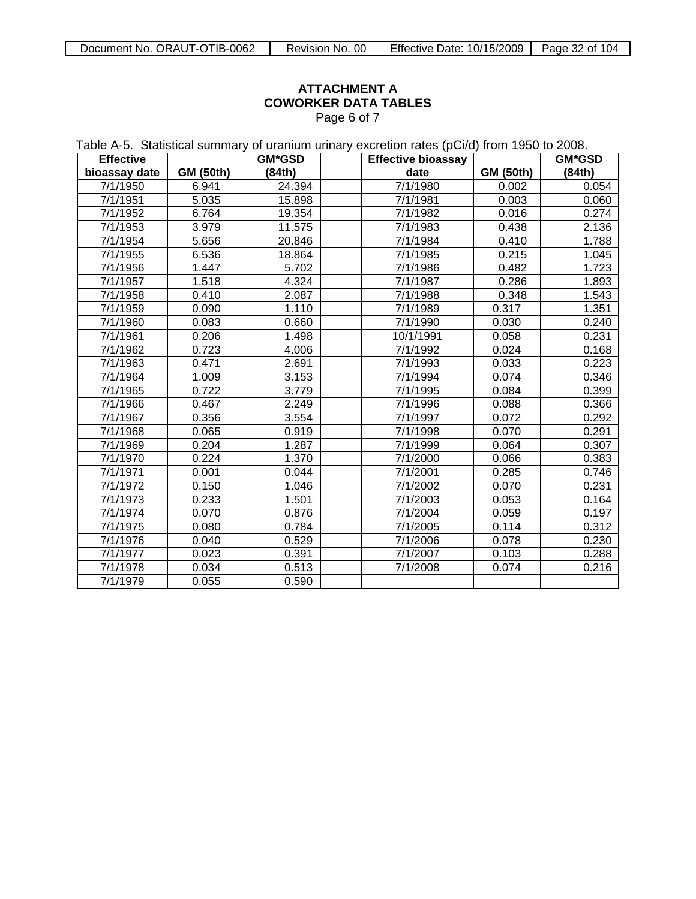### **ATTACHMENT A COWORKER DATA TABLES** Page 6 of 7

Table A-5. Statistical summary of uranium urinary excretion rates (pCi/d) from 1950 to 2008.

| <b>Effective</b> |                  | <b>GM*GSD</b> | <b>Effective bioassay</b> |                  | <b>GM*GSD</b> |
|------------------|------------------|---------------|---------------------------|------------------|---------------|
| bioassay date    | <b>GM (50th)</b> | (84th)        | date                      | <b>GM (50th)</b> | (84th)        |
| 7/1/1950         | 6.941            | 24.394        | 7/1/1980                  | 0.002            | 0.054         |
| 7/1/1951         | 5.035            | 15.898        | 7/1/1981                  | 0.003            | 0.060         |
| 7/1/1952         | 6.764            | 19.354        | 7/1/1982                  | 0.016            | 0.274         |
| 7/1/1953         | 3.979            | 11.575        | 7/1/1983                  | 0.438            | 2.136         |
| 7/1/1954         | 5.656            | 20.846        | 7/1/1984                  | 0.410            | 1.788         |
| 7/1/1955         | 6.536            | 18.864        | 7/1/1985                  | 0.215            | 1.045         |
| 7/1/1956         | 1.447            | 5.702         | 7/1/1986                  | 0.482            | 1.723         |
| 7/1/1957         | 1.518            | 4.324         | 7/1/1987                  | 0.286            | 1.893         |
| 7/1/1958         | 0.410            | 2.087         | 7/1/1988                  | 0.348            | 1.543         |
| 7/1/1959         | 0.090            | 1.110         | 7/1/1989                  | 0.317            | 1.351         |
| 7/1/1960         | 0.083            | 0.660         | 7/1/1990                  | 0.030            | 0.240         |
| 7/1/1961         | 0.206            | 1.498         | 10/1/1991                 | 0.058            | 0.231         |
| 7/1/1962         | 0.723            | 4.006         | 7/1/1992                  | 0.024            | 0.168         |
| 7/1/1963         | 0.471            | 2.691         | 7/1/1993                  | 0.033            | 0.223         |
| 7/1/1964         | 1.009            | 3.153         | 7/1/1994                  | 0.074            | 0.346         |
| 7/1/1965         | 0.722            | 3.779         | 7/1/1995                  | 0.084            | 0.399         |
| 7/1/1966         | 0.467            | 2.249         | 7/1/1996                  | 0.088            | 0.366         |
| 7/1/1967         | 0.356            | 3.554         | 7/1/1997                  | 0.072            | 0.292         |
| 7/1/1968         | 0.065            | 0.919         | 7/1/1998                  | 0.070            | 0.291         |
| 7/1/1969         | 0.204            | 1.287         | 7/1/1999                  | 0.064            | 0.307         |
| 7/1/1970         | 0.224            | 1.370         | 7/1/2000                  | 0.066            | 0.383         |
| 7/1/1971         | 0.001            | 0.044         | 7/1/2001                  | 0.285            | 0.746         |
| 7/1/1972         | 0.150            | 1.046         | 7/1/2002                  | 0.070            | 0.231         |
| 7/1/1973         | 0.233            | 1.501         | 7/1/2003                  | 0.053            | 0.164         |
| 7/1/1974         | 0.070            | 0.876         | 7/1/2004                  | 0.059            | 0.197         |
| 7/1/1975         | 0.080            | 0.784         | 7/1/2005                  | 0.114            | 0.312         |
| 7/1/1976         | 0.040            | 0.529         | 7/1/2006                  | 0.078            | 0.230         |
| 7/1/1977         | 0.023            | 0.391         | 7/1/2007                  | 0.103            | 0.288         |
| 7/1/1978         | 0.034            | 0.513         | 7/1/2008                  | 0.074            | 0.216         |
| 7/1/1979         | 0.055            | 0.590         |                           |                  |               |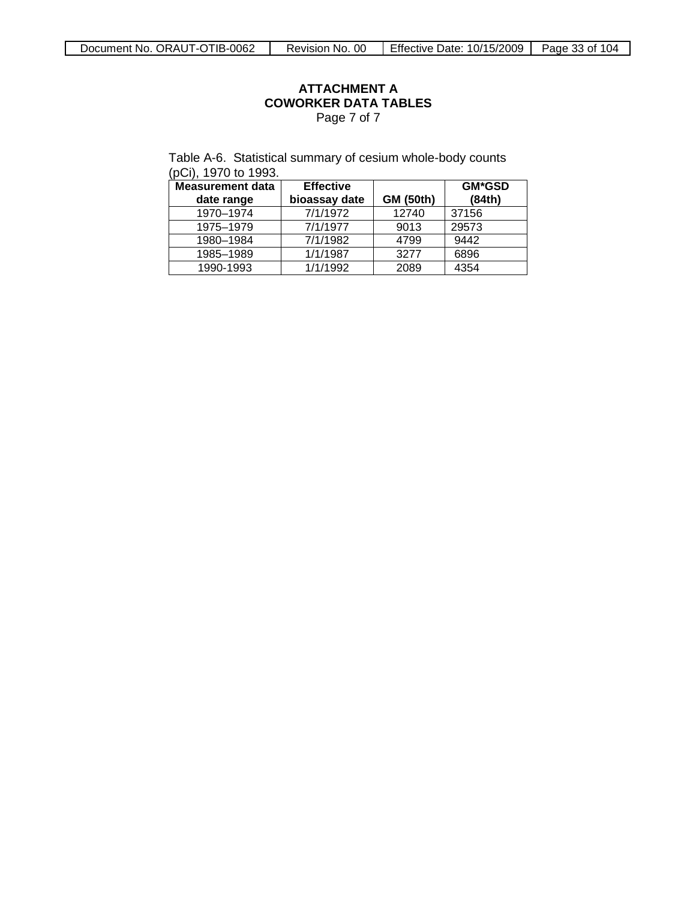### **ATTACHMENT A COWORKER DATA TABLES** Page 7 of 7

Table A-6. Statistical summary of cesium whole-body counts (pCi), 1970 to 1993.

| <b>Measurement data</b> | <b>Effective</b> |                  | <b>GM*GSD</b> |
|-------------------------|------------------|------------------|---------------|
| date range              | bioassay date    | <b>GM (50th)</b> | (84th)        |
| 1970-1974               | 7/1/1972         | 12740            | 37156         |
| 1975-1979               | 7/1/1977         | 9013             | 29573         |
| 1980-1984               | 7/1/1982         | 4799             | 9442          |
| 1985-1989               | 1/1/1987         | 3277             | 6896          |
| 1990-1993               | 1/1/1992         | 2089             | 4354          |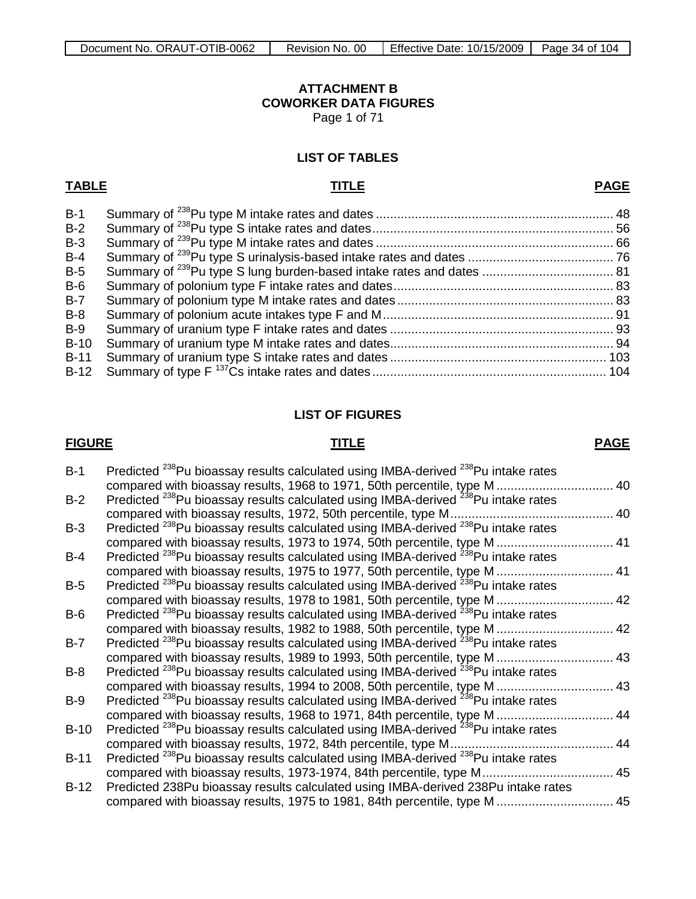## **ATTACHMENT B COWORKER DATA FIGURES**

Page 1 of 71

### <span id="page-33-0"></span>**LIST OF TABLES**

## **TABLE TITLE**

**PAGE**

| $B-1$  |  |
|--------|--|
| $B-2$  |  |
| $B-3$  |  |
| $B-4$  |  |
| $B-5$  |  |
| $B-6$  |  |
| $B-7$  |  |
| $B-8$  |  |
| $B-9$  |  |
| $B-10$ |  |
| $B-11$ |  |
| $B-12$ |  |

### **LIST OF FIGURES**

### **FIGURE TITLE**

### **PAGE**

| $B-1$  | Predicted <sup>238</sup> Pu bioassay results calculated using IMBA-derived <sup>238</sup> Pu intake rates |     |
|--------|-----------------------------------------------------------------------------------------------------------|-----|
|        | compared with bioassay results, 1968 to 1971, 50th percentile, type M 40                                  |     |
| $B-2$  | Predicted <sup>238</sup> Pu bioassay results calculated using IMBA-derived <sup>238</sup> Pu intake rates |     |
|        | compared with bioassay results, 1972, 50th percentile, type M                                             | 40  |
| $B-3$  | Predicted <sup>238</sup> Pu bioassay results calculated using IMBA-derived <sup>238</sup> Pu intake rates |     |
|        | compared with bioassay results, 1973 to 1974, 50th percentile, type M  41                                 |     |
| $B-4$  | Predicted <sup>238</sup> Pu bioassay results calculated using IMBA-derived <sup>238</sup> Pu intake rates |     |
|        | compared with bioassay results, 1975 to 1977, 50th percentile, type M  41                                 |     |
| $B-5$  | Predicted <sup>238</sup> Pu bioassay results calculated using IMBA-derived <sup>238</sup> Pu intake rates |     |
|        | compared with bioassay results, 1978 to 1981, 50th percentile, type M 42                                  |     |
| $B-6$  | Predicted <sup>238</sup> Pu bioassay results calculated using IMBA-derived <sup>238</sup> Pu intake rates |     |
|        | compared with bioassay results, 1982 to 1988, 50th percentile, type M 42                                  |     |
| $B-7$  | Predicted <sup>238</sup> Pu bioassay results calculated using IMBA-derived <sup>238</sup> Pu intake rates |     |
|        | compared with bioassay results, 1989 to 1993, 50th percentile, type M  43                                 |     |
| $B-8$  | Predicted <sup>238</sup> Pu bioassay results calculated using IMBA-derived <sup>238</sup> Pu intake rates |     |
|        | compared with bioassay results, 1994 to 2008, 50th percentile, type M                                     | .43 |
| $B-9$  | Predicted <sup>238</sup> Pu bioassay results calculated using IMBA-derived <sup>238</sup> Pu intake rates |     |
|        | compared with bioassay results, 1968 to 1971, 84th percentile, type M                                     | 44  |
| $B-10$ | Predicted <sup>238</sup> Pu bioassay results calculated using IMBA-derived <sup>238</sup> Pu intake rates |     |
|        | compared with bioassay results, 1972, 84th percentile, type M                                             | 44  |
| $B-11$ | Predicted <sup>238</sup> Pu bioassay results calculated using IMBA-derived <sup>238</sup> Pu intake rates |     |
|        | compared with bioassay results, 1973-1974, 84th percentile, type M                                        | 45  |
| $B-12$ | Predicted 238Pu bioassay results calculated using IMBA-derived 238Pu intake rates                         |     |
|        | compared with bioassay results, 1975 to 1981, 84th percentile, type M  45                                 |     |
|        |                                                                                                           |     |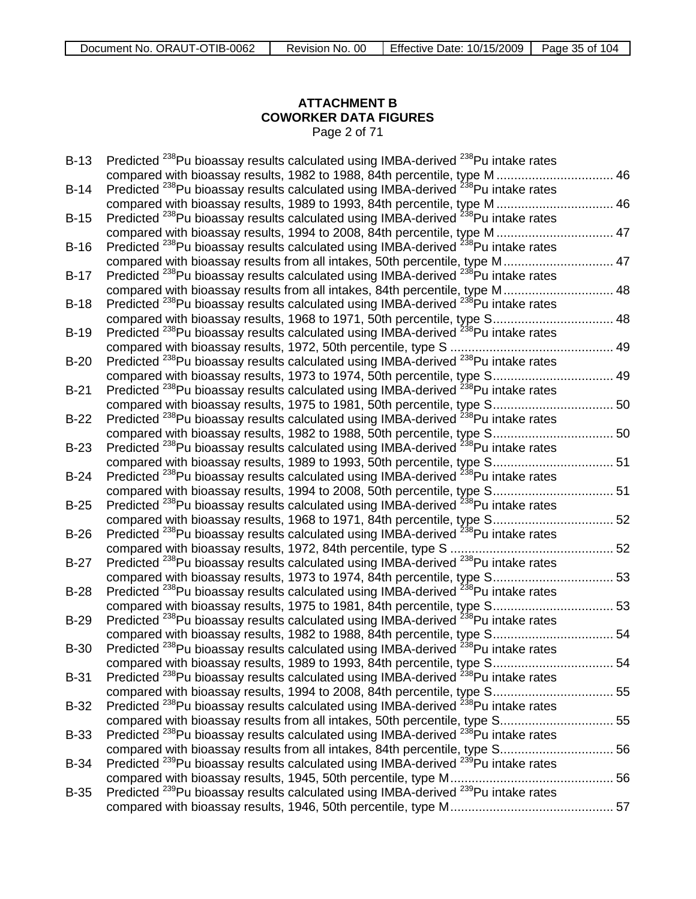# **ATTACHMENT B COWORKER DATA FIGURES**

Page 2 of 71

| $B-13$      | Predicted <sup>238</sup> Pu bioassay results calculated using IMBA-derived <sup>238</sup> Pu intake rates |  |
|-------------|-----------------------------------------------------------------------------------------------------------|--|
|             | compared with bioassay results, 1982 to 1988, 84th percentile, type M  46                                 |  |
| $B-14$      | Predicted <sup>238</sup> Pu bioassay results calculated using IMBA-derived <sup>238</sup> Pu intake rates |  |
|             | compared with bioassay results, 1989 to 1993, 84th percentile, type M  46                                 |  |
| $B-15$      | Predicted <sup>238</sup> Pu bioassay results calculated using IMBA-derived <sup>238</sup> Pu intake rates |  |
|             | compared with bioassay results, 1994 to 2008, 84th percentile, type M  47                                 |  |
| $B-16$      | Predicted <sup>238</sup> Pu bioassay results calculated using IMBA-derived <sup>238</sup> Pu intake rates |  |
|             | compared with bioassay results from all intakes, 50th percentile, type M 47                               |  |
| $B-17$      | Predicted <sup>238</sup> Pu bioassay results calculated using IMBA-derived <sup>238</sup> Pu intake rates |  |
|             | compared with bioassay results from all intakes, 84th percentile, type M 48                               |  |
| $B-18$      | Predicted <sup>238</sup> Pu bioassay results calculated using IMBA-derived <sup>238</sup> Pu intake rates |  |
|             | compared with bioassay results, 1968 to 1971, 50th percentile, type S 48                                  |  |
| $B-19$      | Predicted <sup>238</sup> Pu bioassay results calculated using IMBA-derived <sup>238</sup> Pu intake rates |  |
|             |                                                                                                           |  |
| $B-20$      | Predicted <sup>238</sup> Pu bioassay results calculated using IMBA-derived <sup>238</sup> Pu intake rates |  |
|             | compared with bioassay results, 1973 to 1974, 50th percentile, type S 49                                  |  |
| $B-21$      | Predicted <sup>238</sup> Pu bioassay results calculated using IMBA-derived <sup>238</sup> Pu intake rates |  |
|             | compared with bioassay results, 1975 to 1981, 50th percentile, type S 50                                  |  |
| $B-22$      | Predicted <sup>238</sup> Pu bioassay results calculated using IMBA-derived <sup>238</sup> Pu intake rates |  |
|             | compared with bioassay results, 1982 to 1988, 50th percentile, type S 50                                  |  |
| $B-23$      | Predicted <sup>238</sup> Pu bioassay results calculated using IMBA-derived <sup>238</sup> Pu intake rates |  |
|             | compared with bioassay results, 1989 to 1993, 50th percentile, type S 51                                  |  |
| $B-24$      | Predicted <sup>238</sup> Pu bioassay results calculated using IMBA-derived <sup>238</sup> Pu intake rates |  |
|             | compared with bioassay results, 1994 to 2008, 50th percentile, type S 51                                  |  |
| $B-25$      | Predicted <sup>238</sup> Pu bioassay results calculated using IMBA-derived <sup>238</sup> Pu intake rates |  |
|             | compared with bioassay results, 1968 to 1971, 84th percentile, type S 52                                  |  |
| $B-26$      | Predicted <sup>238</sup> Pu bioassay results calculated using IMBA-derived <sup>238</sup> Pu intake rates |  |
|             |                                                                                                           |  |
| $B-27$      | Predicted <sup>238</sup> Pu bioassay results calculated using IMBA-derived <sup>238</sup> Pu intake rates |  |
|             | compared with bioassay results, 1973 to 1974, 84th percentile, type S 53                                  |  |
| $B-28$      | Predicted <sup>238</sup> Pu bioassay results calculated using IMBA-derived <sup>238</sup> Pu intake rates |  |
|             | compared with bioassay results, 1975 to 1981, 84th percentile, type S 53                                  |  |
| $B-29$      | Predicted <sup>238</sup> Pu bioassay results calculated using IMBA-derived <sup>238</sup> Pu intake rates |  |
|             | compared with bioassay results, 1982 to 1988, 84th percentile, type S 54                                  |  |
| $B-30$      | Predicted <sup>238</sup> Pu bioassay results calculated using IMBA-derived <sup>238</sup> Pu intake rates |  |
|             | compared with bioassay results, 1989 to 1993, 84th percentile, type S 54                                  |  |
| <b>B-31</b> | Predicted <sup>238</sup> Pu bioassay results calculated using IMBA-derived <sup>238</sup> Pu intake rates |  |
|             | compared with bioassay results, 1994 to 2008, 84th percentile, type S 55                                  |  |
| $B-32$      | Predicted <sup>238</sup> Pu bioassay results calculated using IMBA-derived <sup>238</sup> Pu intake rates |  |
|             | compared with bioassay results from all intakes, 50th percentile, type S 55                               |  |
| <b>B-33</b> | Predicted <sup>238</sup> Pu bioassay results calculated using IMBA-derived <sup>238</sup> Pu intake rates |  |
|             | compared with bioassay results from all intakes, 84th percentile, type S56                                |  |
| <b>B-34</b> | Predicted <sup>239</sup> Pu bioassay results calculated using IMBA-derived <sup>239</sup> Pu intake rates |  |
|             |                                                                                                           |  |
| $B-35$      | Predicted <sup>239</sup> Pu bioassay results calculated using IMBA-derived <sup>239</sup> Pu intake rates |  |
|             |                                                                                                           |  |
|             |                                                                                                           |  |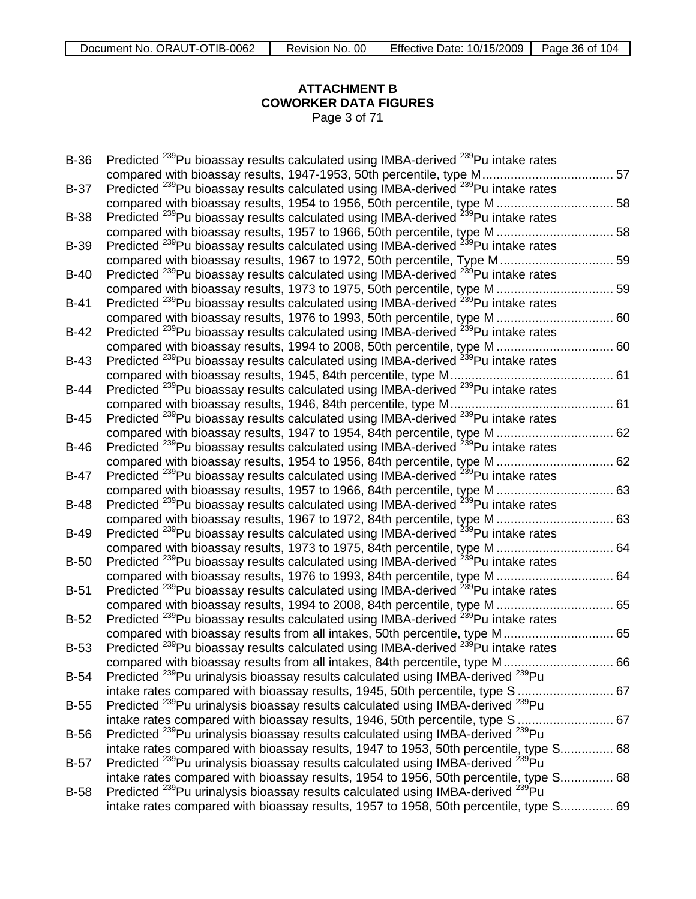# **ATTACHMENT B COWORKER DATA FIGURES**

Page 3 of 71

| <b>B-36</b> | Predicted <sup>239</sup> Pu bioassay results calculated using IMBA-derived <sup>239</sup> Pu intake rates |  |
|-------------|-----------------------------------------------------------------------------------------------------------|--|
|             | compared with bioassay results, 1947-1953, 50th percentile, type M 57                                     |  |
| $B-37$      | Predicted <sup>239</sup> Pu bioassay results calculated using IMBA-derived <sup>239</sup> Pu intake rates |  |
|             | compared with bioassay results, 1954 to 1956, 50th percentile, type M  58                                 |  |
| <b>B-38</b> | Predicted <sup>239</sup> Pu bioassay results calculated using IMBA-derived <sup>239</sup> Pu intake rates |  |
|             | compared with bioassay results, 1957 to 1966, 50th percentile, type M  58                                 |  |
| <b>B-39</b> | Predicted <sup>239</sup> Pu bioassay results calculated using IMBA-derived <sup>239</sup> Pu intake rates |  |
|             | compared with bioassay results, 1967 to 1972, 50th percentile, Type M 59                                  |  |
| $B-40$      | Predicted <sup>239</sup> Pu bioassay results calculated using IMBA-derived <sup>239</sup> Pu intake rates |  |
|             | compared with bioassay results, 1973 to 1975, 50th percentile, type M  59                                 |  |
| $B-41$      | Predicted <sup>239</sup> Pu bioassay results calculated using IMBA-derived <sup>239</sup> Pu intake rates |  |
|             | compared with bioassay results, 1976 to 1993, 50th percentile, type M  60                                 |  |
| $B-42$      | Predicted <sup>239</sup> Pu bioassay results calculated using IMBA-derived <sup>239</sup> Pu intake rates |  |
|             | compared with bioassay results, 1994 to 2008, 50th percentile, type M  60                                 |  |
| <b>B-43</b> | Predicted <sup>239</sup> Pu bioassay results calculated using IMBA-derived <sup>239</sup> Pu intake rates |  |
|             |                                                                                                           |  |
| B-44        | Predicted <sup>239</sup> Pu bioassay results calculated using IMBA-derived <sup>239</sup> Pu intake rates |  |
|             |                                                                                                           |  |
| $B-45$      | Predicted <sup>239</sup> Pu bioassay results calculated using IMBA-derived <sup>239</sup> Pu intake rates |  |
|             | compared with bioassay results, 1947 to 1954, 84th percentile, type M  62                                 |  |
| <b>B-46</b> | Predicted <sup>239</sup> Pu bioassay results calculated using IMBA-derived <sup>239</sup> Pu intake rates |  |
|             | compared with bioassay results, 1954 to 1956, 84th percentile, type M  62                                 |  |
| $B-47$      | Predicted <sup>239</sup> Pu bioassay results calculated using IMBA-derived <sup>239</sup> Pu intake rates |  |
|             | compared with bioassay results, 1957 to 1966, 84th percentile, type M  63                                 |  |
| $B-48$      | Predicted <sup>239</sup> Pu bioassay results calculated using IMBA-derived <sup>239</sup> Pu intake rates |  |
|             | compared with bioassay results, 1967 to 1972, 84th percentile, type M  63                                 |  |
| <b>B-49</b> | Predicted <sup>239</sup> Pu bioassay results calculated using IMBA-derived <sup>239</sup> Pu intake rates |  |
|             | compared with bioassay results, 1973 to 1975, 84th percentile, type M  64                                 |  |
| $B-50$      | Predicted <sup>239</sup> Pu bioassay results calculated using IMBA-derived <sup>239</sup> Pu intake rates |  |
|             | compared with bioassay results, 1976 to 1993, 84th percentile, type M  64                                 |  |
| $B-51$      | Predicted <sup>239</sup> Pu bioassay results calculated using IMBA-derived <sup>239</sup> Pu intake rates |  |
|             | compared with bioassay results, 1994 to 2008, 84th percentile, type M  65                                 |  |
| $B-52$      | Predicted <sup>239</sup> Pu bioassay results calculated using IMBA-derived <sup>239</sup> Pu intake rates |  |
|             | compared with bioassay results from all intakes, 50th percentile, type M 65                               |  |
| <b>B-53</b> | Predicted <sup>239</sup> Pu bioassay results calculated using IMBA-derived <sup>239</sup> Pu intake rates |  |
|             | compared with bioassay results from all intakes, 84th percentile, type M 66                               |  |
| $B-54$      | Predicted <sup>239</sup> Pu urinalysis bioassay results calculated using IMBA-derived <sup>239</sup> Pu   |  |
|             | intake rates compared with bioassay results, 1945, 50th percentile, type S  67                            |  |
| <b>B-55</b> | Predicted <sup>239</sup> Pu urinalysis bioassay results calculated using IMBA-derived <sup>239</sup> Pu   |  |
|             | intake rates compared with bioassay results, 1946, 50th percentile, type S  67                            |  |
| <b>B-56</b> | Predicted <sup>239</sup> Pu urinalysis bioassay results calculated using IMBA-derived <sup>239</sup> Pu   |  |
|             | intake rates compared with bioassay results, 1947 to 1953, 50th percentile, type S 68                     |  |
| <b>B-57</b> | Predicted <sup>239</sup> Pu urinalysis bioassay results calculated using IMBA-derived <sup>239</sup> Pu   |  |
|             | intake rates compared with bioassay results, 1954 to 1956, 50th percentile, type S 68                     |  |
| <b>B-58</b> | Predicted <sup>239</sup> Pu urinalysis bioassay results calculated using IMBA-derived <sup>239</sup> Pu   |  |
|             | intake rates compared with bioassay results, 1957 to 1958, 50th percentile, type S 69                     |  |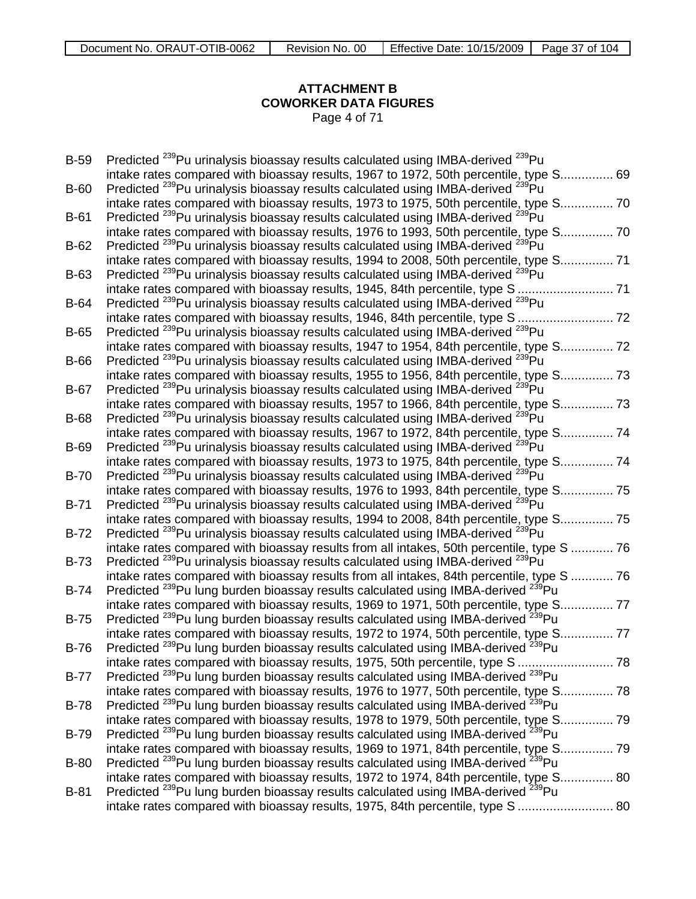## **ATTACHMENT B COWORKER DATA FIGURES** Page 4 of 71

| <b>B-59</b> | Predicted <sup>239</sup> Pu urinalysis bioassay results calculated using IMBA-derived <sup>239</sup> Pu  |
|-------------|----------------------------------------------------------------------------------------------------------|
|             | intake rates compared with bioassay results, 1967 to 1972, 50th percentile, type S 69                    |
| $B-60$      | Predicted <sup>239</sup> Pu urinalysis bioassay results calculated using IMBA-derived <sup>239</sup> Pu  |
|             | intake rates compared with bioassay results, 1973 to 1975, 50th percentile, type S 70                    |
| <b>B-61</b> | Predicted <sup>239</sup> Pu urinalysis bioassay results calculated using IMBA-derived <sup>239</sup> Pu  |
|             | intake rates compared with bioassay results, 1976 to 1993, 50th percentile, type S 70                    |
| $B-62$      | Predicted <sup>239</sup> Pu urinalysis bioassay results calculated using IMBA-derived <sup>239</sup> Pu  |
|             | intake rates compared with bioassay results, 1994 to 2008, 50th percentile, type S 71                    |
| <b>B-63</b> | Predicted <sup>239</sup> Pu urinalysis bioassay results calculated using IMBA-derived <sup>239</sup> Pu  |
|             |                                                                                                          |
| $B-64$      | Predicted <sup>239</sup> Pu urinalysis bioassay results calculated using IMBA-derived <sup>239</sup> Pu  |
|             | intake rates compared with bioassay results, 1946, 84th percentile, type S  72                           |
| <b>B-65</b> | Predicted <sup>239</sup> Pu urinalysis bioassay results calculated using IMBA-derived <sup>239</sup> Pu  |
|             | intake rates compared with bioassay results, 1947 to 1954, 84th percentile, type S 72                    |
| <b>B-66</b> | Predicted <sup>239</sup> Pu urinalysis bioassay results calculated using IMBA-derived <sup>239</sup> Pu  |
|             | intake rates compared with bioassay results, 1955 to 1956, 84th percentile, type S 73                    |
| B-67        | Predicted <sup>239</sup> Pu urinalysis bioassay results calculated using IMBA-derived <sup>239</sup> Pu  |
|             | intake rates compared with bioassay results, 1957 to 1966, 84th percentile, type S 73                    |
| <b>B-68</b> | Predicted <sup>239</sup> Pu urinalysis bioassay results calculated using IMBA-derived <sup>239</sup> Pu  |
|             | intake rates compared with bioassay results, 1967 to 1972, 84th percentile, type S 74                    |
| <b>B-69</b> | Predicted <sup>239</sup> Pu urinalysis bioassay results calculated using IMBA-derived <sup>239</sup> Pu  |
|             | intake rates compared with bioassay results, 1973 to 1975, 84th percentile, type S 74                    |
| $B-70$      | Predicted <sup>239</sup> Pu urinalysis bioassay results calculated using IMBA-derived <sup>239</sup> Pu  |
|             | intake rates compared with bioassay results, 1976 to 1993, 84th percentile, type S 75                    |
| $B-71$      | Predicted <sup>239</sup> Pu urinalysis bioassay results calculated using IMBA-derived <sup>239</sup> Pu  |
|             | intake rates compared with bioassay results, 1994 to 2008, 84th percentile, type S 75                    |
| $B-72$      | Predicted <sup>239</sup> Pu urinalysis bioassay results calculated using IMBA-derived <sup>239</sup> Pu  |
|             | intake rates compared with bioassay results from all intakes, 50th percentile, type S  76                |
| $B-73$      | Predicted <sup>239</sup> Pu urinalysis bioassay results calculated using IMBA-derived <sup>239</sup> Pu  |
|             | intake rates compared with bioassay results from all intakes, 84th percentile, type S  76                |
| $B-74$      | Predicted <sup>239</sup> Pu lung burden bioassay results calculated using IMBA-derived <sup>239</sup> Pu |
|             | intake rates compared with bioassay results, 1969 to 1971, 50th percentile, type S<br>. 77               |
| $B-75$      | Predicted <sup>239</sup> Pu lung burden bioassay results calculated using IMBA-derived <sup>239</sup> Pu |
|             | intake rates compared with bioassay results, 1972 to 1974, 50th percentile, type S.<br>77                |
| <b>B-76</b> | Predicted <sup>239</sup> Pu lung burden bioassay results calculated using IMBA-derived <sup>239</sup> Pu |
|             | intake rates compared with bioassay results, 1975, 50th percentile, type S  78                           |
| $B-77$      | Predicted <sup>239</sup> Pu lung burden bioassay results calculated using IMBA-derived <sup>239</sup> Pu |
|             | intake rates compared with bioassay results, 1976 to 1977, 50th percentile, type S 78                    |
| <b>B-78</b> | Predicted <sup>239</sup> Pu lung burden bioassay results calculated using IMBA-derived <sup>239</sup> Pu |
|             | intake rates compared with bioassay results, 1978 to 1979, 50th percentile, type S 79                    |
| <b>B-79</b> | Predicted <sup>239</sup> Pu lung burden bioassay results calculated using IMBA-derived <sup>239</sup> Pu |
|             | intake rates compared with bioassay results, 1969 to 1971, 84th percentile, type S 79                    |
| <b>B-80</b> | Predicted <sup>239</sup> Pu lung burden bioassay results calculated using IMBA-derived <sup>239</sup> Pu |
|             | intake rates compared with bioassay results, 1972 to 1974, 84th percentile, type S 80                    |
| <b>B-81</b> | Predicted <sup>239</sup> Pu lung burden bioassay results calculated using IMBA-derived <sup>239</sup> Pu |
|             | intake rates compared with bioassay results, 1975, 84th percentile, type S  80                           |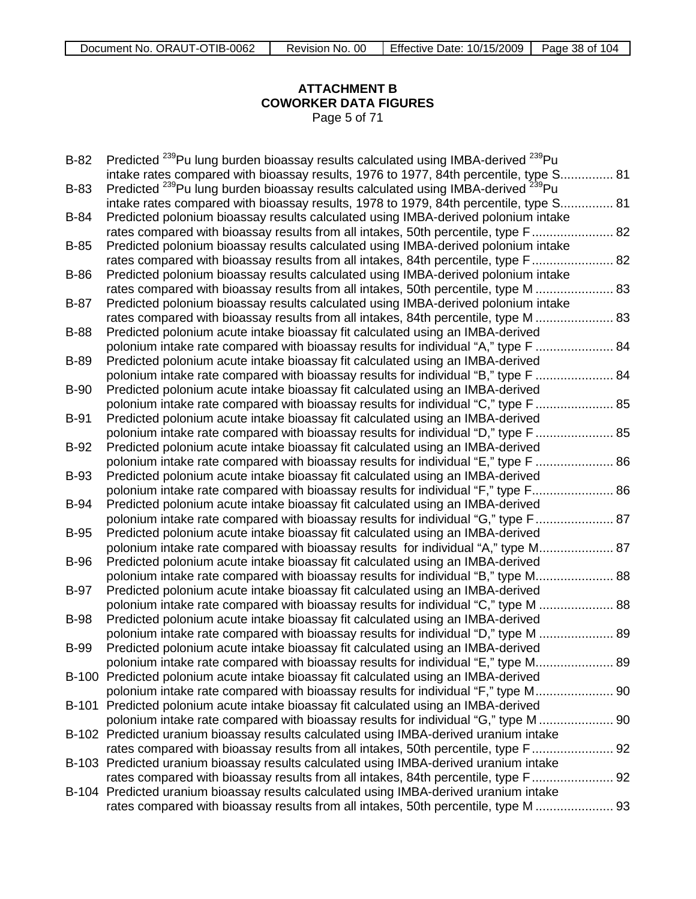## **ATTACHMENT B COWORKER DATA FIGURES** Page 5 of 71

| $B-82$      | Predicted <sup>239</sup> Pu lung burden bioassay results calculated using IMBA-derived <sup>239</sup> Pu |
|-------------|----------------------------------------------------------------------------------------------------------|
|             | intake rates compared with bioassay results, 1976 to 1977, 84th percentile, type S 81                    |
| B-83        | Predicted <sup>239</sup> Pu lung burden bioassay results calculated using IMBA-derived <sup>239</sup> Pu |
|             | intake rates compared with bioassay results, 1978 to 1979, 84th percentile, type S 81                    |
| <b>B-84</b> | Predicted polonium bioassay results calculated using IMBA-derived polonium intake                        |
|             | rates compared with bioassay results from all intakes, 50th percentile, type F 82                        |
| $B-85$      | Predicted polonium bioassay results calculated using IMBA-derived polonium intake                        |
|             | rates compared with bioassay results from all intakes, 84th percentile, type F 82                        |
| B-86        | Predicted polonium bioassay results calculated using IMBA-derived polonium intake                        |
|             | rates compared with bioassay results from all intakes, 50th percentile, type M  83                       |
| $B-87$      | Predicted polonium bioassay results calculated using IMBA-derived polonium intake                        |
|             | rates compared with bioassay results from all intakes, 84th percentile, type M  83                       |
| <b>B-88</b> | Predicted polonium acute intake bioassay fit calculated using an IMBA-derived                            |
|             | polonium intake rate compared with bioassay results for individual "A," type F  84                       |
| <b>B-89</b> | Predicted polonium acute intake bioassay fit calculated using an IMBA-derived                            |
|             | polonium intake rate compared with bioassay results for individual "B," type F  84                       |
| <b>B-90</b> | Predicted polonium acute intake bioassay fit calculated using an IMBA-derived                            |
|             | polonium intake rate compared with bioassay results for individual "C," type F  85                       |
| <b>B-91</b> | Predicted polonium acute intake bioassay fit calculated using an IMBA-derived                            |
|             | polonium intake rate compared with bioassay results for individual "D," type F  85                       |
| $B-92$      | Predicted polonium acute intake bioassay fit calculated using an IMBA-derived                            |
|             | polonium intake rate compared with bioassay results for individual "E," type F  86                       |
| <b>B-93</b> | Predicted polonium acute intake bioassay fit calculated using an IMBA-derived                            |
|             | polonium intake rate compared with bioassay results for individual "F," type F 86                        |
| <b>B-94</b> | Predicted polonium acute intake bioassay fit calculated using an IMBA-derived                            |
|             | polonium intake rate compared with bioassay results for individual "G," type F 87                        |
| <b>B-95</b> | Predicted polonium acute intake bioassay fit calculated using an IMBA-derived                            |
|             | polonium intake rate compared with bioassay results for individual "A," type M 87                        |
| <b>B-96</b> | Predicted polonium acute intake bioassay fit calculated using an IMBA-derived                            |
|             | polonium intake rate compared with bioassay results for individual "B," type M 88                        |
| <b>B-97</b> | Predicted polonium acute intake bioassay fit calculated using an IMBA-derived                            |
|             | polonium intake rate compared with bioassay results for individual "C," type M.<br>88                    |
| <b>B-98</b> | Predicted polonium acute intake bioassay fit calculated using an IMBA-derived                            |
|             | polonium intake rate compared with bioassay results for individual "D," type M<br>89                     |
| <b>B-99</b> | Predicted polonium acute intake bioassay fit calculated using an IMBA-derived                            |
|             | polonium intake rate compared with bioassay results for individual "E," type M 89                        |
|             | B-100 Predicted polonium acute intake bioassay fit calculated using an IMBA-derived                      |
|             | polonium intake rate compared with bioassay results for individual "F," type M 90                        |
|             | B-101 Predicted polonium acute intake bioassay fit calculated using an IMBA-derived                      |
|             | polonium intake rate compared with bioassay results for individual "G," type M  90                       |
|             | B-102 Predicted uranium bioassay results calculated using IMBA-derived uranium intake                    |
|             | rates compared with bioassay results from all intakes, 50th percentile, type F 92                        |
|             | B-103 Predicted uranium bioassay results calculated using IMBA-derived uranium intake                    |
|             | rates compared with bioassay results from all intakes, 84th percentile, type F 92                        |
|             | B-104 Predicted uranium bioassay results calculated using IMBA-derived uranium intake                    |
|             | rates compared with bioassay results from all intakes, 50th percentile, type M  93                       |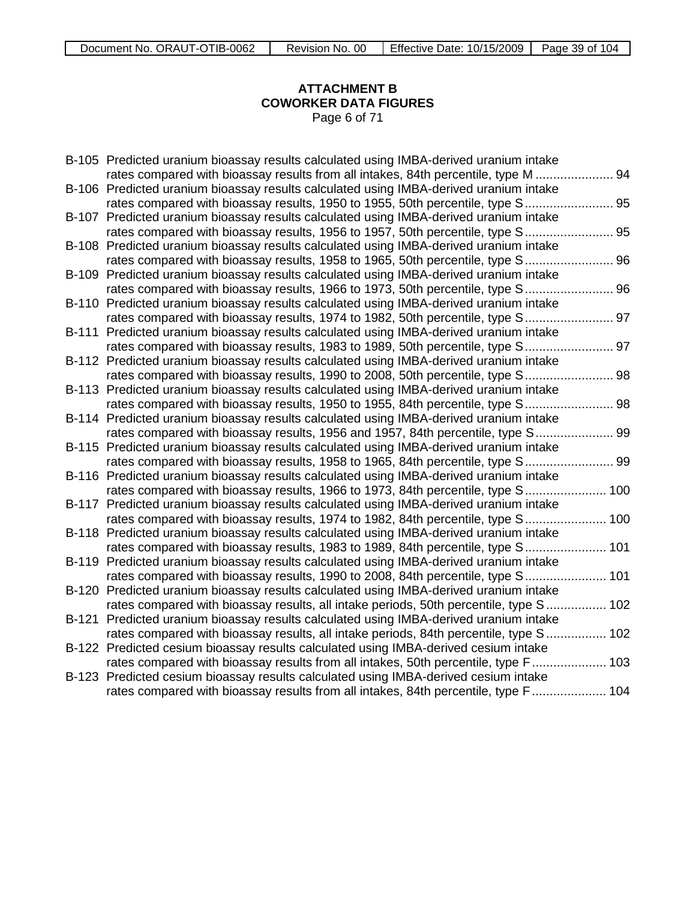## **ATTACHMENT B COWORKER DATA FIGURES** Page 6 of 71

| B-105 Predicted uranium bioassay results calculated using IMBA-derived uranium intake |
|---------------------------------------------------------------------------------------|
| rates compared with bioassay results from all intakes, 84th percentile, type M  94    |
| B-106 Predicted uranium bioassay results calculated using IMBA-derived uranium intake |
| rates compared with bioassay results, 1950 to 1955, 50th percentile, type S 95        |
| B-107 Predicted uranium bioassay results calculated using IMBA-derived uranium intake |
| rates compared with bioassay results, 1956 to 1957, 50th percentile, type S 95        |
| B-108 Predicted uranium bioassay results calculated using IMBA-derived uranium intake |
| rates compared with bioassay results, 1958 to 1965, 50th percentile, type S 96        |
| B-109 Predicted uranium bioassay results calculated using IMBA-derived uranium intake |
| rates compared with bioassay results, 1966 to 1973, 50th percentile, type S 96        |
| B-110 Predicted uranium bioassay results calculated using IMBA-derived uranium intake |
| rates compared with bioassay results, 1974 to 1982, 50th percentile, type S 97        |
| B-111 Predicted uranium bioassay results calculated using IMBA-derived uranium intake |
| rates compared with bioassay results, 1983 to 1989, 50th percentile, type S 97        |
| B-112 Predicted uranium bioassay results calculated using IMBA-derived uranium intake |
| rates compared with bioassay results, 1990 to 2008, 50th percentile, type S 98        |
| B-113 Predicted uranium bioassay results calculated using IMBA-derived uranium intake |
| rates compared with bioassay results, 1950 to 1955, 84th percentile, type S 98        |
| B-114 Predicted uranium bioassay results calculated using IMBA-derived uranium intake |
| rates compared with bioassay results, 1956 and 1957, 84th percentile, type S 99       |
| B-115 Predicted uranium bioassay results calculated using IMBA-derived uranium intake |
| rates compared with bioassay results, 1958 to 1965, 84th percentile, type S 99        |
| B-116 Predicted uranium bioassay results calculated using IMBA-derived uranium intake |
| rates compared with bioassay results, 1966 to 1973, 84th percentile, type S 100       |
| B-117 Predicted uranium bioassay results calculated using IMBA-derived uranium intake |
| rates compared with bioassay results, 1974 to 1982, 84th percentile, type S 100       |
| B-118 Predicted uranium bioassay results calculated using IMBA-derived uranium intake |
| rates compared with bioassay results, 1983 to 1989, 84th percentile, type S 101       |
| B-119 Predicted uranium bioassay results calculated using IMBA-derived uranium intake |
| rates compared with bioassay results, 1990 to 2008, 84th percentile, type S 101       |
| B-120 Predicted uranium bioassay results calculated using IMBA-derived uranium intake |
| rates compared with bioassay results, all intake periods, 50th percentile, type S 102 |
| B-121 Predicted uranium bioassay results calculated using IMBA-derived uranium intake |
| rates compared with bioassay results, all intake periods, 84th percentile, type S 102 |
| B-122 Predicted cesium bioassay results calculated using IMBA-derived cesium intake   |
| rates compared with bioassay results from all intakes, 50th percentile, type F 103    |
| B-123 Predicted cesium bioassay results calculated using IMBA-derived cesium intake   |
| rates compared with bioassay results from all intakes, 84th percentile, type F 104    |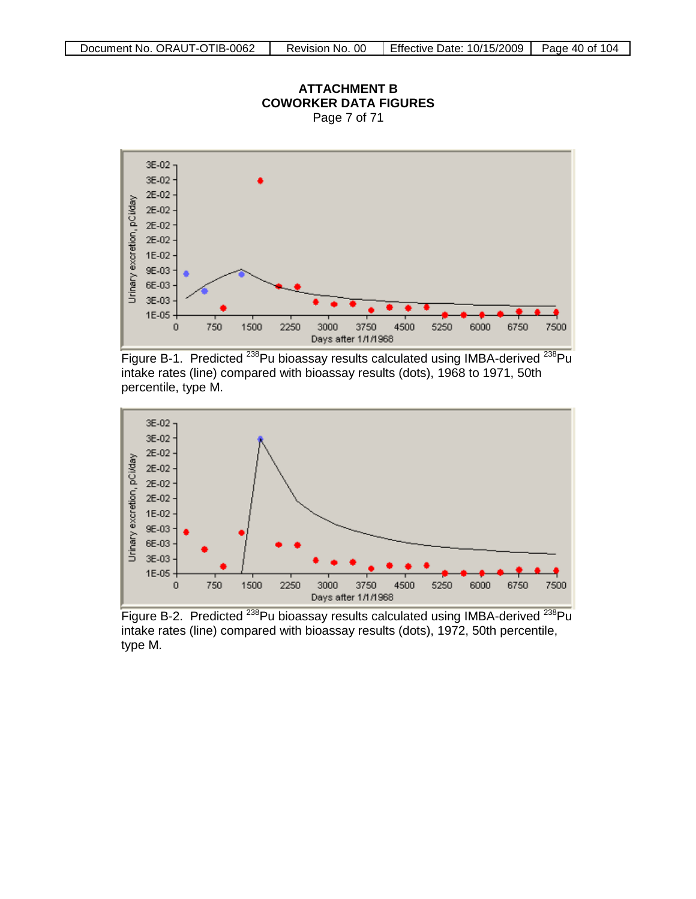percentile, type M.



### **ATTACHMENT B COWORKER DATA FIGURES** Page 7 of 71

Figure B-1. Predicted <sup>238</sup>Pu bioassay results calculated using IMBA-derived <sup>238</sup>Pu intake rates (line) compared with bioassay results (dots), 1968 to 1971, 50th



Figure B-2. Predicted <sup>238</sup>Pu bioassay results calculated using IMBA-derived <sup>238</sup>Pu intake rates (line) compared with bioassay results (dots), 1972, 50th percentile, type M.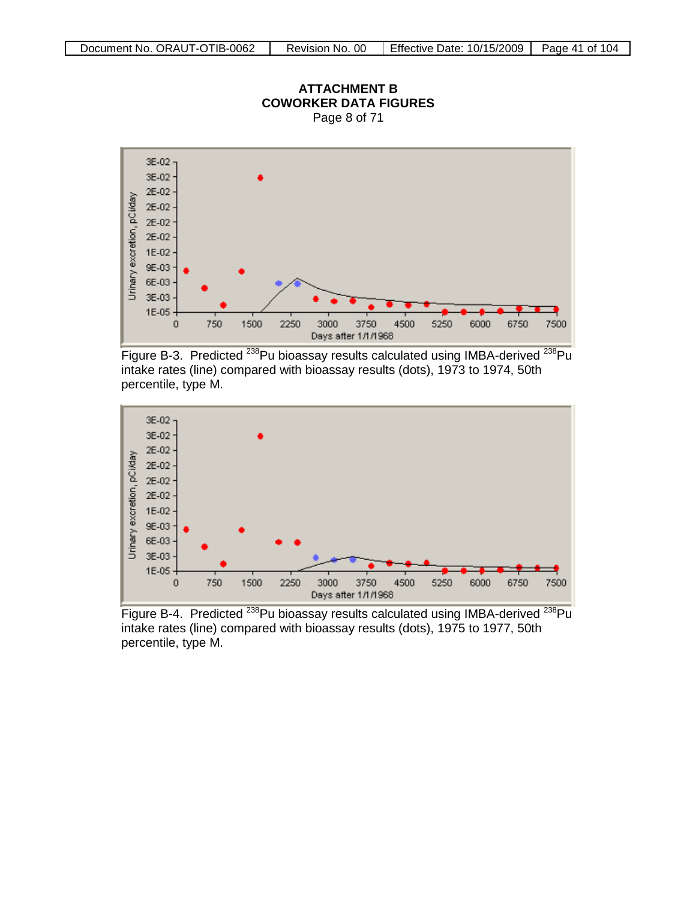

Figure B-3. Predicted <sup>238</sup>Pu bioassay results calculated using IMBA-derived <sup>238</sup>Pu intake rates (line) compared with bioassay results (dots), 1973 to 1974, 50th percentile, type M.



Figure B-4. Predicted <sup>238</sup>Pu bioassay results calculated using IMBA-derived <sup>238</sup>Pu intake rates (line) compared with bioassay results (dots), 1975 to 1977, 50th percentile, type M.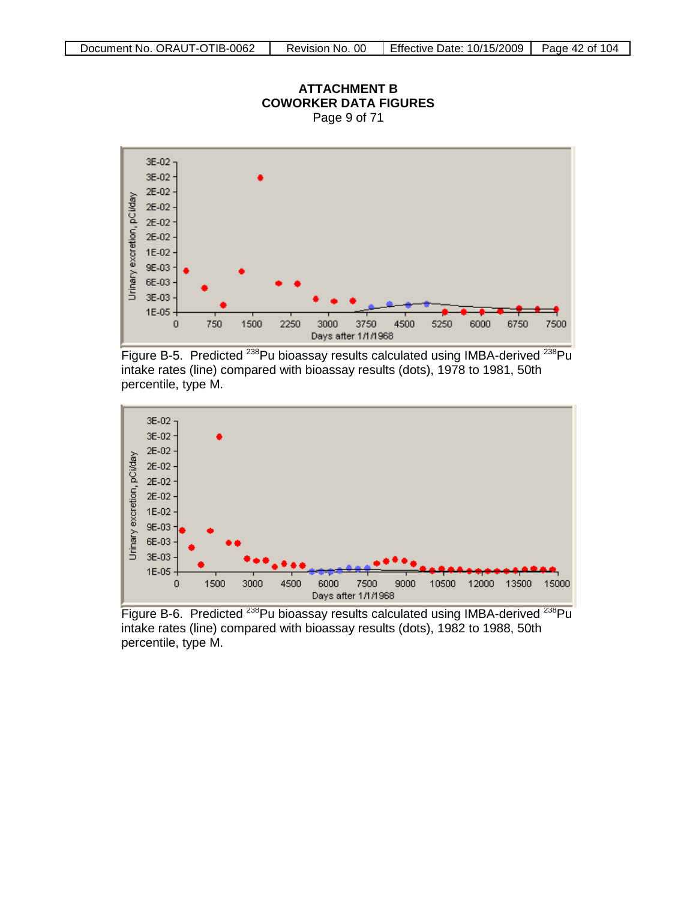

Figure B-5. Predicted <sup>238</sup>Pu bioassay results calculated using IMBA-derived <sup>238</sup>Pu intake rates (line) compared with bioassay results (dots), 1978 to 1981, 50th percentile, type M.



Figure B-6. Predicted <sup>238</sup>Pu bioassay results calculated using IMBA-derived <sup>238</sup>Pu intake rates (line) compared with bioassay results (dots), 1982 to 1988, 50th percentile, type M.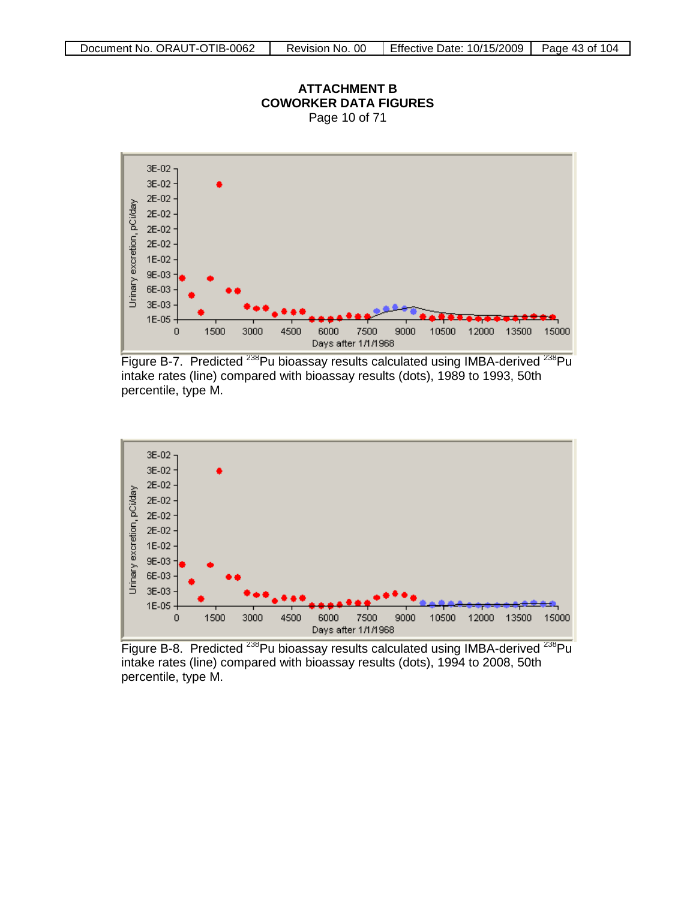

**ATTACHMENT B COWORKER DATA FIGURES**

Figure B-7. Predicted <sup>238</sup>Pu bioassay results calculated using IMBA-derived <sup>238</sup>Pu intake rates (line) compared with bioassay results (dots), 1989 to 1993, 50th percentile, type M.



Figure B-8. Predicted <sup>238</sup>Pu bioassay results calculated using IMBA-derived <sup>238</sup>Pu intake rates (line) compared with bioassay results (dots), 1994 to 2008, 50th percentile, type M.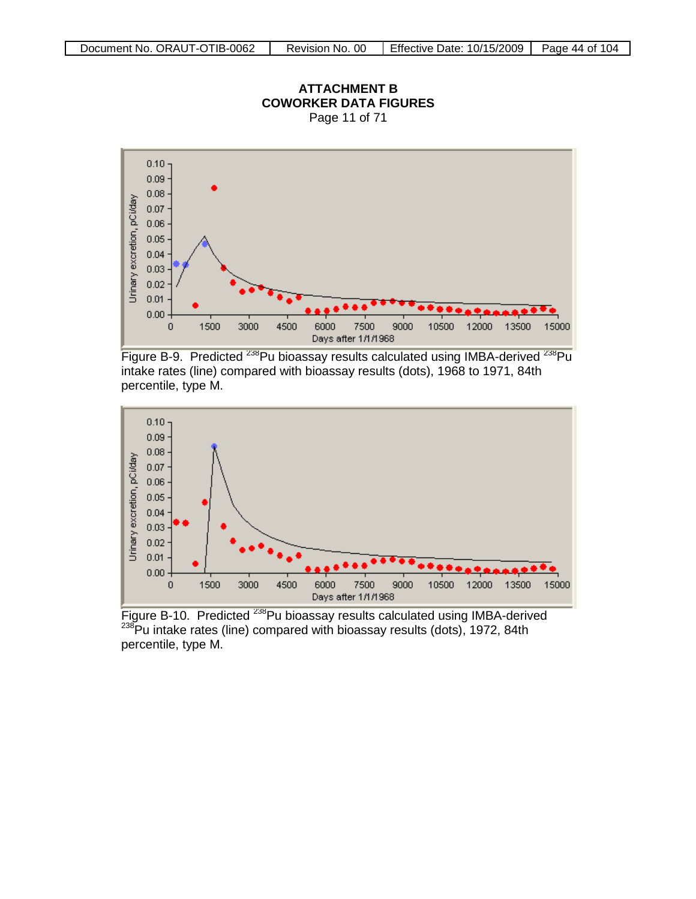

Figure B-9. Predicted <sup>238</sup>Pu bioassay results calculated using IMBA-derived <sup>238</sup>Pu intake rates (line) compared with bioassay results (dots), 1968 to 1971, 84th percentile, type M.



Figure B-10. Predicted <sup>238</sup>Pu bioassay results calculated using IMBA-derived  $238$ Pu intake rates (line) compared with bioassay results (dots), 1972, 84th percentile, type M.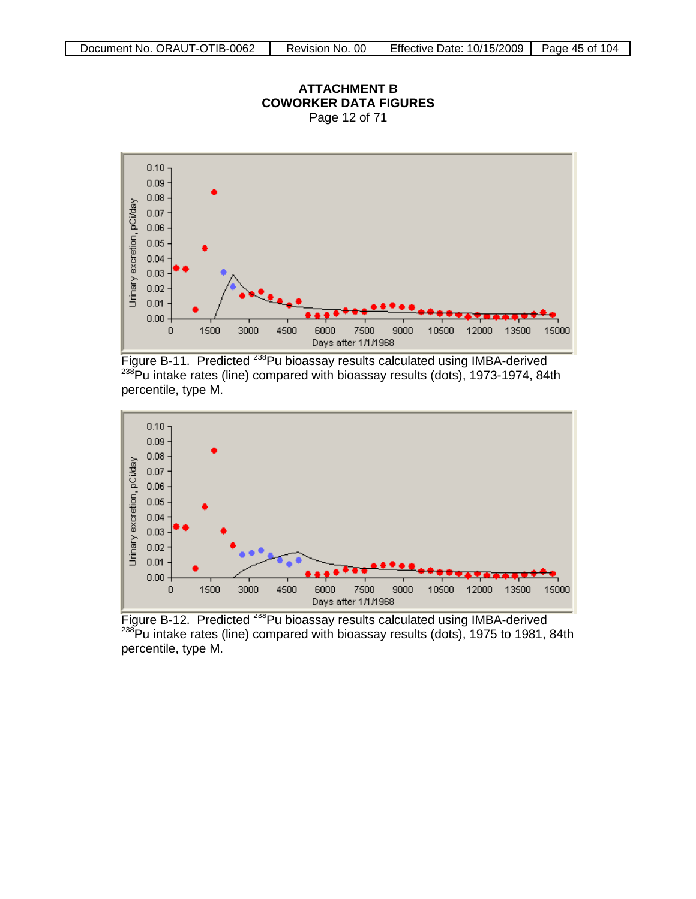

Figure B-11. Predicted <sup>238</sup>Pu bioassay results calculated using IMBA-derived <sup>238</sup>Pu intake rates (line) compared with bioassay results (dots), 1973-1974, 84th percentile, type M.



Figure B-12. Predicted <sup>238</sup>Pu bioassay results calculated using IMBA-derived  $238$ Pu intake rates (line) compared with bioassay results (dots), 1975 to 1981, 84th percentile, type M.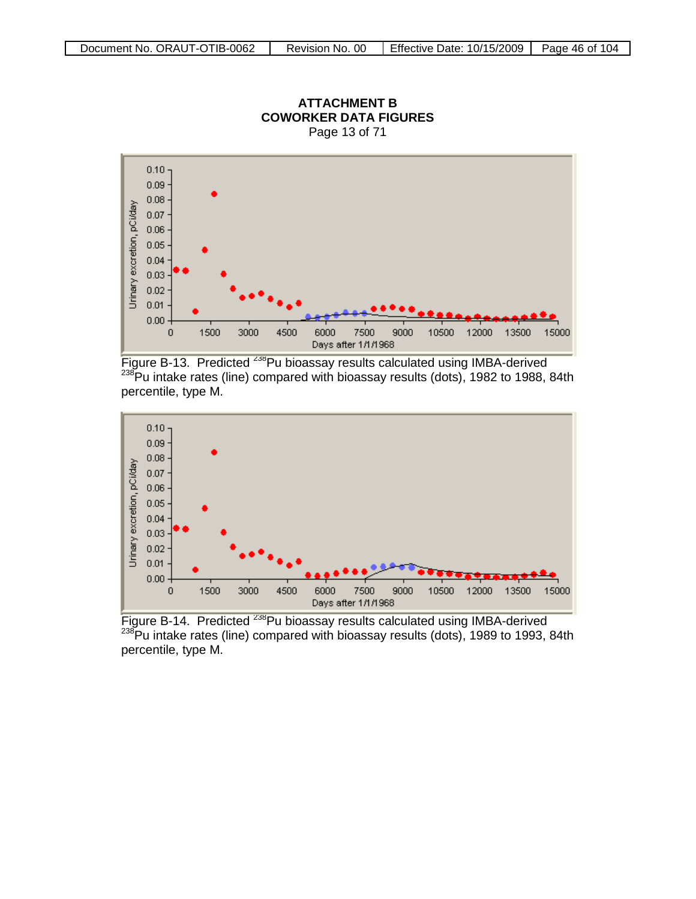

**ATTACHMENT B COWORKER DATA FIGURES** Page 13 of 71

Figure B-13. Predicted <sup>238</sup>Pu bioassay results calculated using IMBA-derived  $^{238}$ Pu intake rates (line) compared with bioassay results (dots), 1982 to 1988, 84th percentile, type M.



Figure B-14. Predicted <sup>238</sup>Pu bioassay results calculated using IMBA-derived 238Pu intake rates (line) compared with bioassay results (dots), 1989 to 1993, 84th percentile, type M.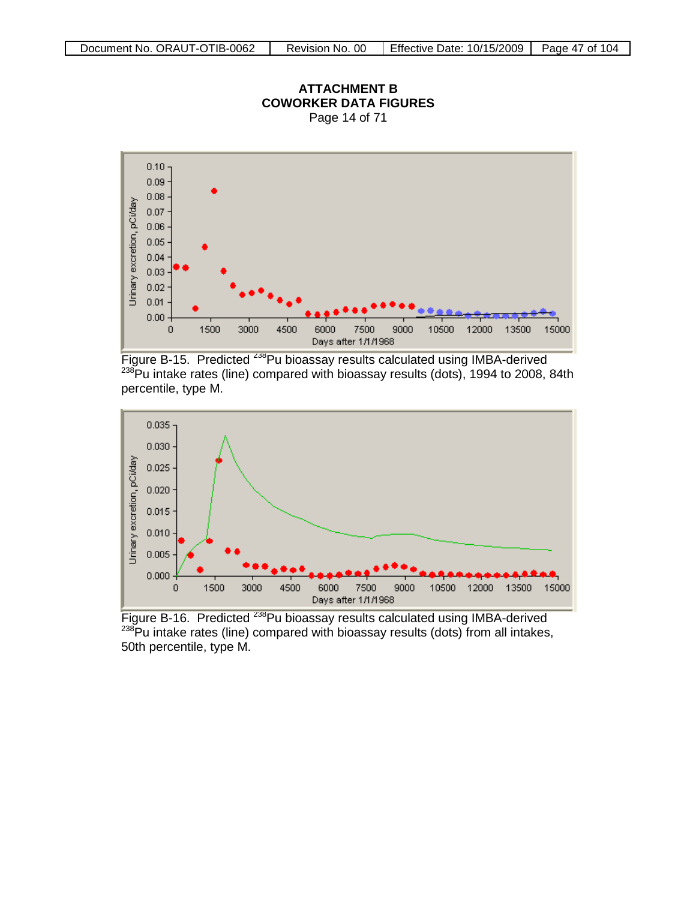

Figure B-15. Predicted <sup>238</sup>Pu bioassay results calculated using IMBA-derived  $238$ Pu intake rates (line) compared with bioassay results (dots), 1994 to 2008, 84th percentile, type M.



Figure B-16. Predicted <sup>238</sup>Pu bioassay results calculated using IMBA-derived  $238$ Pu intake rates (line) compared with bioassay results (dots) from all intakes, 50th percentile, type M.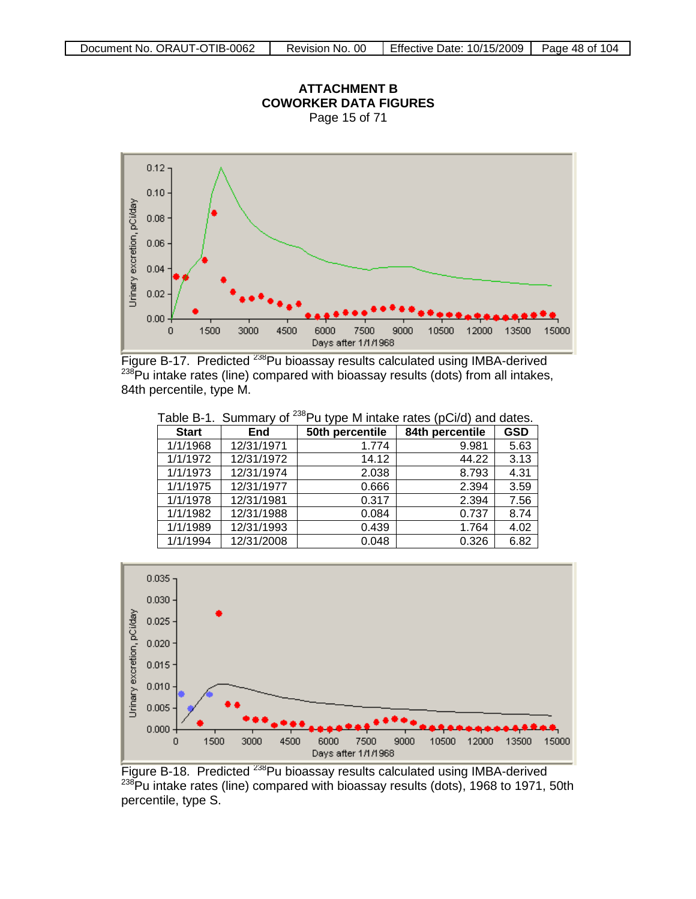

**ATTACHMENT B**

Figure B-17. Predicted <sup>238</sup>Pu bioassay results calculated using IMBA-derived  $238$ Pu intake rates (line) compared with bioassay results (dots) from all intakes, 84th percentile, type M.

|              |            |                 | $P = 0.7$ and $P = 0.00$ |            |
|--------------|------------|-----------------|--------------------------|------------|
| <b>Start</b> | <b>End</b> | 50th percentile | 84th percentile          | <b>GSD</b> |
| 1/1/1968     | 12/31/1971 | 1.774           | 9.981                    | 5.63       |
| 1/1/1972     | 12/31/1972 | 14.12           | 44.22                    | 3.13       |
| 1/1/1973     | 12/31/1974 | 2.038           | 8.793                    | 4.31       |
| 1/1/1975     | 12/31/1977 | 0.666           | 2.394                    | 3.59       |
| 1/1/1978     | 12/31/1981 | 0.317           | 2.394                    | 7.56       |
| 1/1/1982     | 12/31/1988 | 0.084           | 0.737                    | 8.74       |
| 1/1/1989     | 12/31/1993 | 0.439           | 1.764                    | 4.02       |
| 1/1/1994     | 12/31/2008 | 0.048           | 0.326                    | 6.82       |

Table B-1. Summary of <sup>238</sup>Pu type M intake rates (pCi/d) and dates.



Figure B-18. Predicted <sup>238</sup>Pu bioassay results calculated using IMBA-derived <sup>238</sup>Pu intake rates (line) compared with bioassay results (dots), 1968 to 1971, 50th percentile, type S.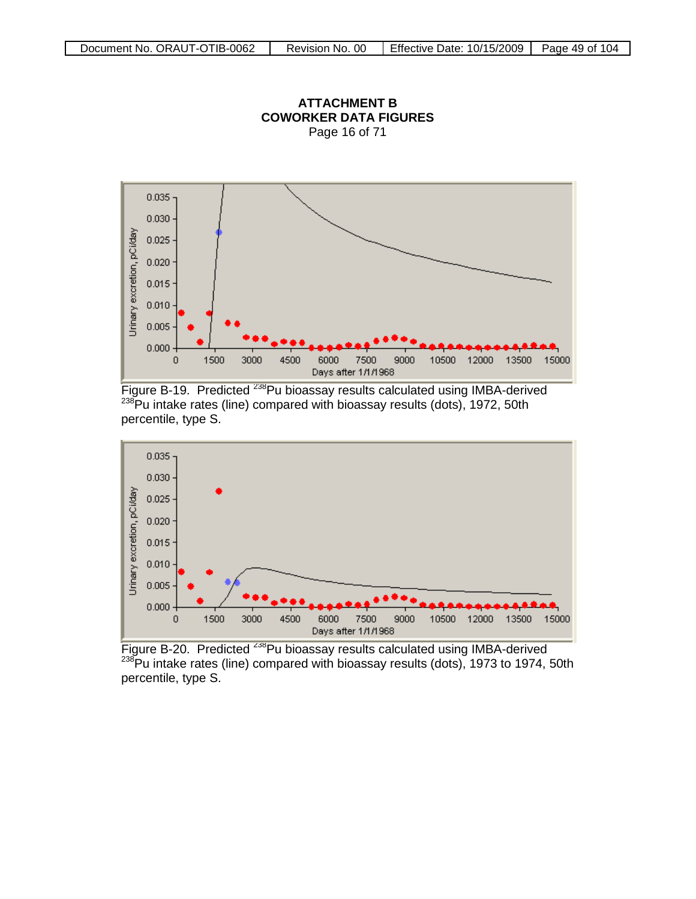

**ATTACHMENT B COWORKER DATA FIGURES** Page 16 of 71





Figure B-20. Predicted <sup>238</sup>Pu bioassay results calculated using IMBA-derived  $^{238}$ Pu intake rates (line) compared with bioassay results (dots), 1973 to 1974, 50th percentile, type S.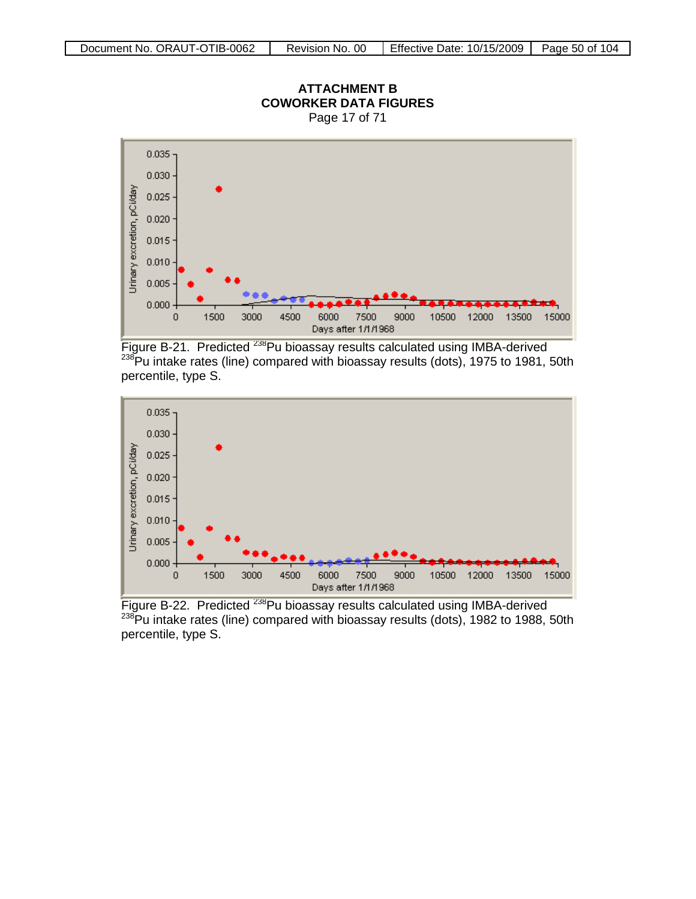

Figure B-21. Predicted <sup>238</sup>Pu bioassay results calculated using IMBA-derived 238Pu intake rates (line) compared with bioassay results (dots), 1975 to 1981, 50th percentile, type S.



Figure B-22. Predicted <sup>238</sup>Pu bioassay results calculated using IMBA-derived  $238$ Pu intake rates (line) compared with bioassay results (dots), 1982 to 1988, 50th percentile, type S.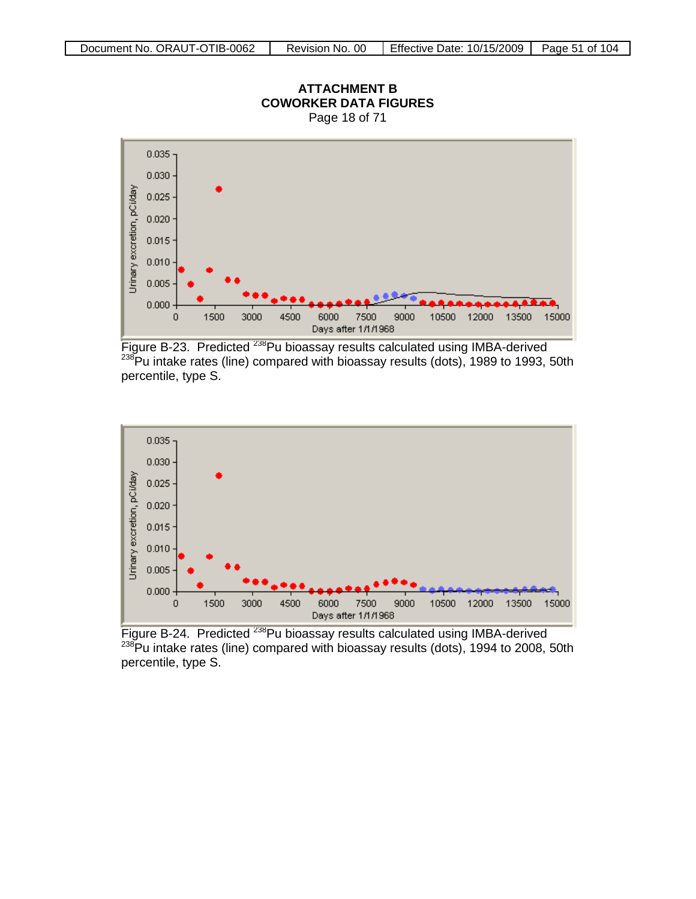

Figure B-23. Predicted <sup>238</sup>Pu bioassay results calculated using IMBA-derived 238Pu intake rates (line) compared with bioassay results (dots), 1989 to 1993, 50th percentile, type S.



Figure B-24. Predicted <sup>238</sup>Pu bioassay results calculated using IMBA-derived  $238$ Pu intake rates (line) compared with bioassay results (dots), 1994 to 2008, 50th percentile, type S.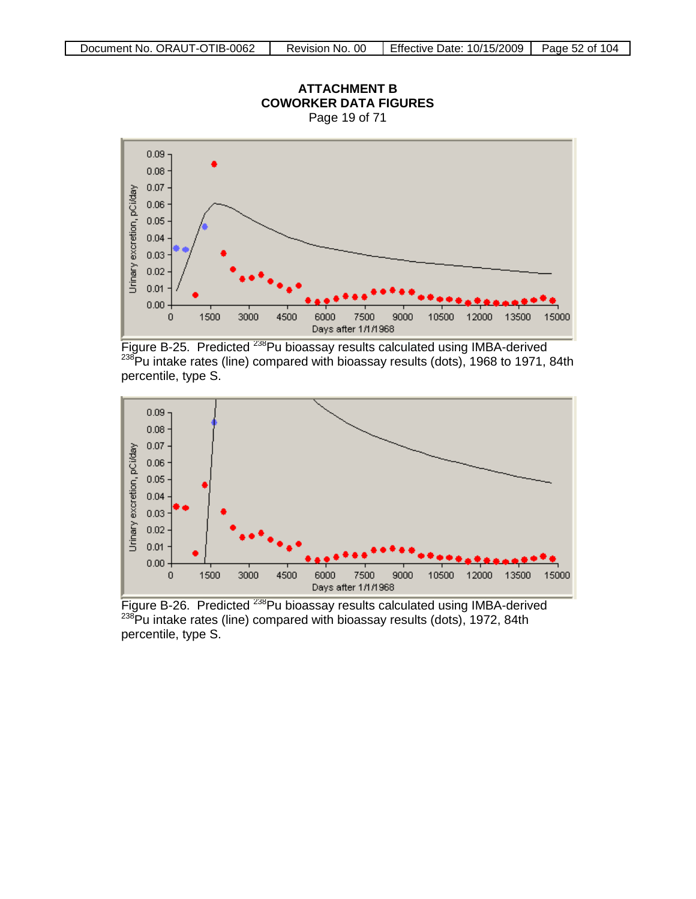

Figure B-25. Predicted <sup>238</sup>Pu bioassay results calculated using IMBA-derived 238Pu intake rates (line) compared with bioassay results (dots), 1968 to 1971, 84th percentile, type S.



Figure B-26. Predicted <sup>238</sup>Pu bioassay results calculated using IMBA-derived  $^{238}$ Pu intake rates (line) compared with bioassay results (dots), 1972, 84th percentile, type S.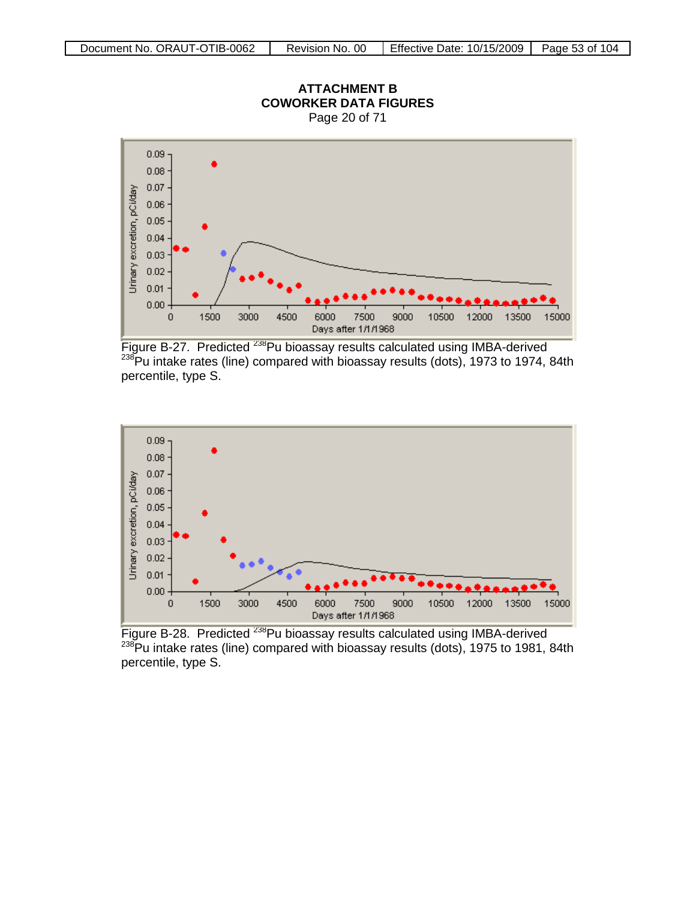

Figure B-27. Predicted <sup>238</sup>Pu bioassay results calculated using IMBA-derived 238Pu intake rates (line) compared with bioassay results (dots), 1973 to 1974, 84th percentile, type S.



Figure B-28. Predicted <sup>238</sup>Pu bioassay results calculated using IMBA-derived  $238$ Pu intake rates (line) compared with bioassay results (dots), 1975 to 1981, 84th percentile, type S.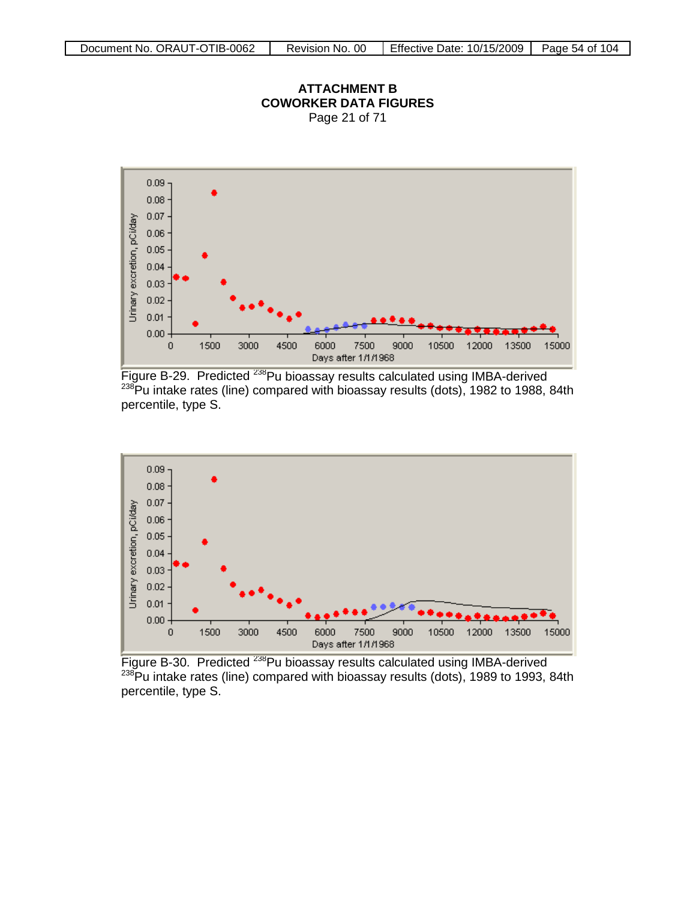

**ATTACHMENT B COWORKER DATA FIGURES** Page 21 of 71

Figure B-29. Predicted <sup>238</sup>Pu bioassay results calculated using IMBA-derived 238Pu intake rates (line) compared with bioassay results (dots), 1982 to 1988, 84th percentile, type S.



Figure B-30. Predicted <sup>238</sup>Pu bioassay results calculated using IMBA-derived  $238$ Pu intake rates (line) compared with bioassay results (dots), 1989 to 1993, 84th percentile, type S.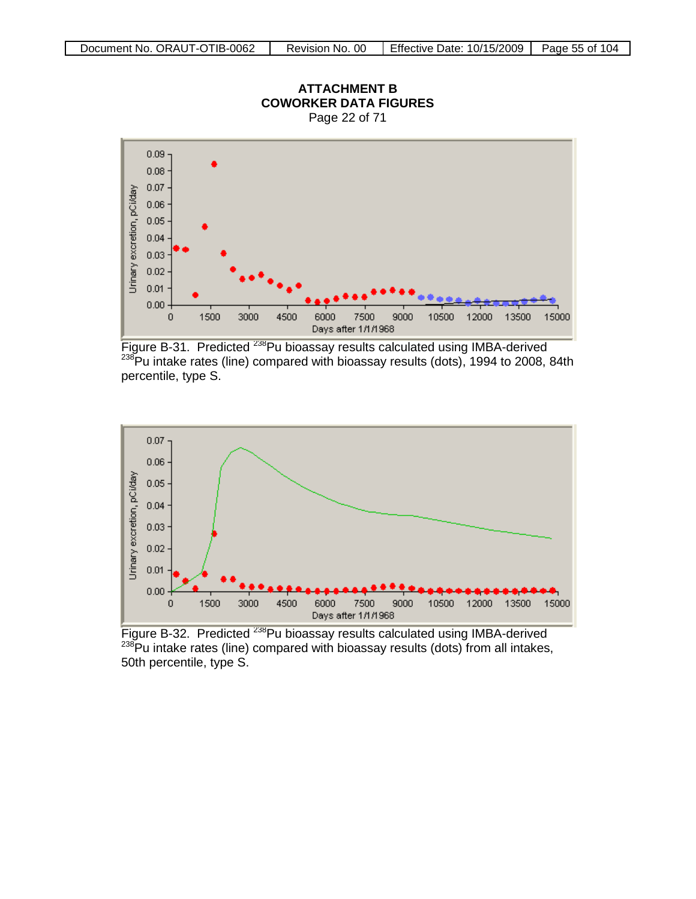

Figure B-31. Predicted <sup>238</sup>Pu bioassay results calculated using IMBA-derived 238Pu intake rates (line) compared with bioassay results (dots), 1994 to 2008, 84th percentile, type S.



Figure B-32. Predicted <sup>238</sup>Pu bioassay results calculated using IMBA-derived  $238$ Pu intake rates (line) compared with bioassay results (dots) from all intakes, 50th percentile, type S.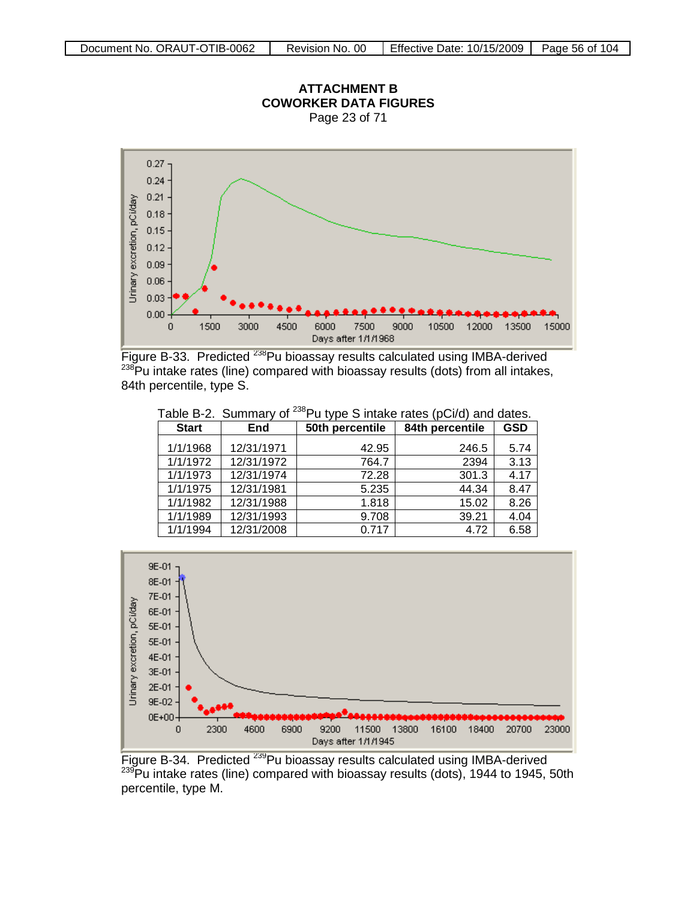

Figure B-33. Predicted <sup>238</sup>Pu bioassay results calculated using IMBA-derived  $238$ Pu intake rates (line) compared with bioassay results (dots) from all intakes, 84th percentile, type S.

| Table B-2. Summary of <sup>238</sup> Pu type S intake rates (pCi/d) and dates. |            |                 |                 |            |
|--------------------------------------------------------------------------------|------------|-----------------|-----------------|------------|
| <b>Start</b>                                                                   | End        | 50th percentile | 84th percentile | <b>GSD</b> |
| 1/1/1968                                                                       | 12/31/1971 | 42.95           | 246.5           | 5.74       |
| 1/1/1972                                                                       | 12/31/1972 | 764.7           | 2394            | 3.13       |
| 1/1/1973                                                                       | 12/31/1974 | 72.28           | 301.3           | 4.17       |
| 1/1/1975                                                                       | 12/31/1981 | 5.235           | 44.34           | 8.47       |
| 1/1/1982                                                                       | 12/31/1988 | 1.818           | 15.02           | 8.26       |
| 1/1/1989                                                                       | 12/31/1993 | 9.708           | 39.21           | 4.04       |
| 1/1/1994                                                                       | 12/31/2008 | 0.717           | 4.72            | 6.58       |

9E-01 8E-01 7E-01 6E-01



Figure B-34. Predicted <sup>239</sup>Pu bioassay results calculated using IMBA-derived <sup>239</sup>Pu intake rates (line) compared with bioassay results (dots), 1944 to 1945, 50th percentile, type M.

# **ATTACHMENT B**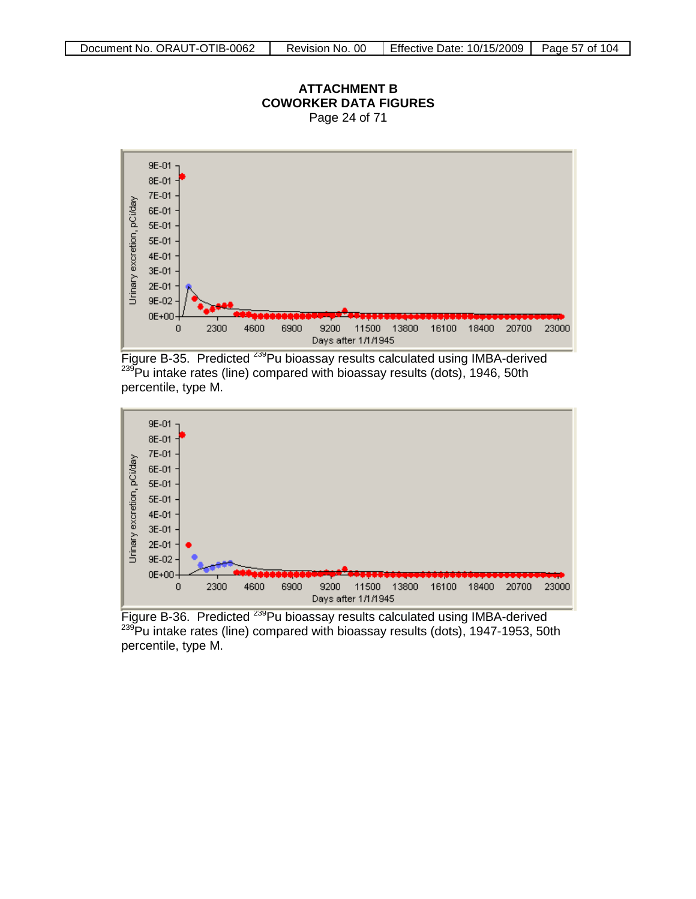

Figure B-35. Predicted <sup>239</sup>Pu bioassay results calculated using IMBA-derived  $239$ Pu intake rates (line) compared with bioassay results (dots), 1946, 50th percentile, type M.



Figure B-36. Predicted <sup>239</sup>Pu bioassay results calculated using IMBA-derived <sup>239</sup>Pu intake rates (line) compared with bioassay results (dots), 1947-1953, 50th percentile, type M.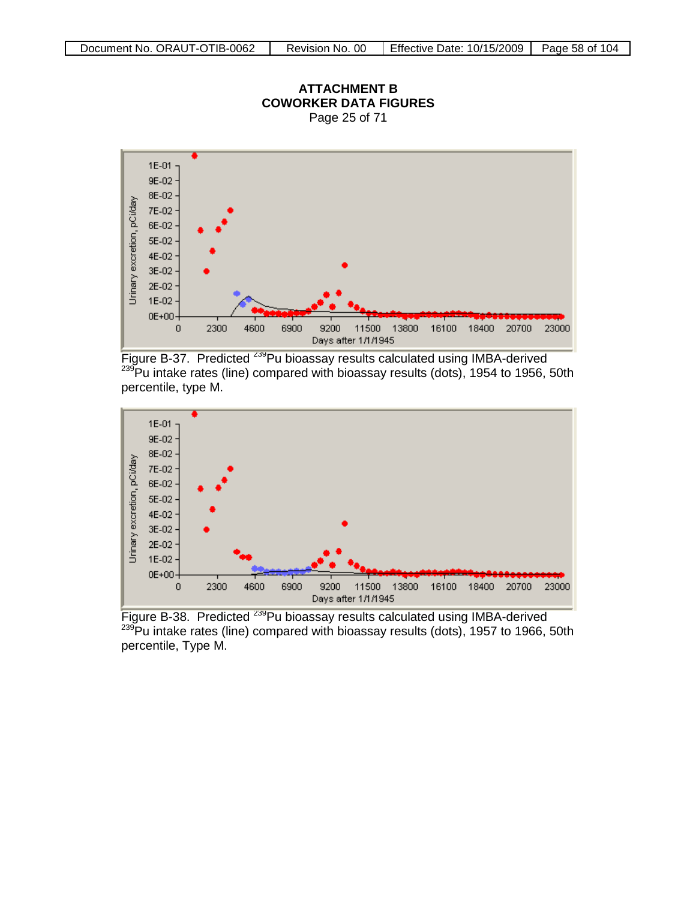

**ATTACHMENT B**

Figure B-37. Predicted <sup>239</sup>Pu bioassay results calculated using IMBA-derived  $239$ Pu intake rates (line) compared with bioassay results (dots), 1954 to 1956, 50th percentile, type M.



Figure B-38. Predicted <sup>239</sup>Pu bioassay results calculated using IMBA-derived <sup>239</sup>Pu intake rates (line) compared with bioassay results (dots), 1957 to 1966, 50th percentile, Type M.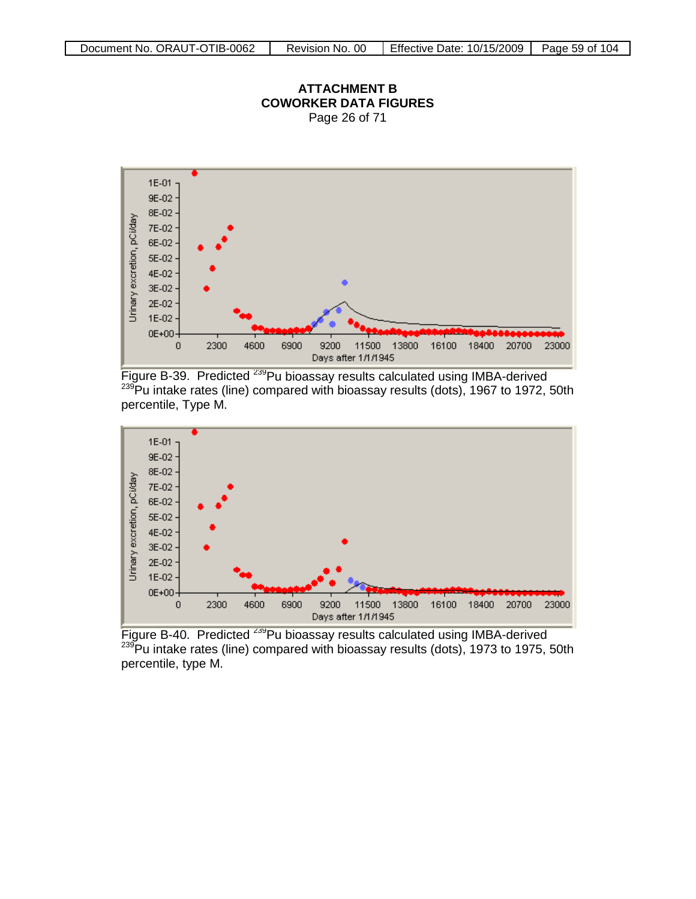



Figure B-39. Predicted <sup>239</sup>Pu bioassay results calculated using IMBA-derived 239Pu intake rates (line) compared with bioassay results (dots), 1967 to 1972, 50th percentile, Type M.



Figure B-40. Predicted <sup>239</sup>Pu bioassay results calculated using IMBA-derived 239Pu intake rates (line) compared with bioassay results (dots), 1973 to 1975, 50th percentile, type M.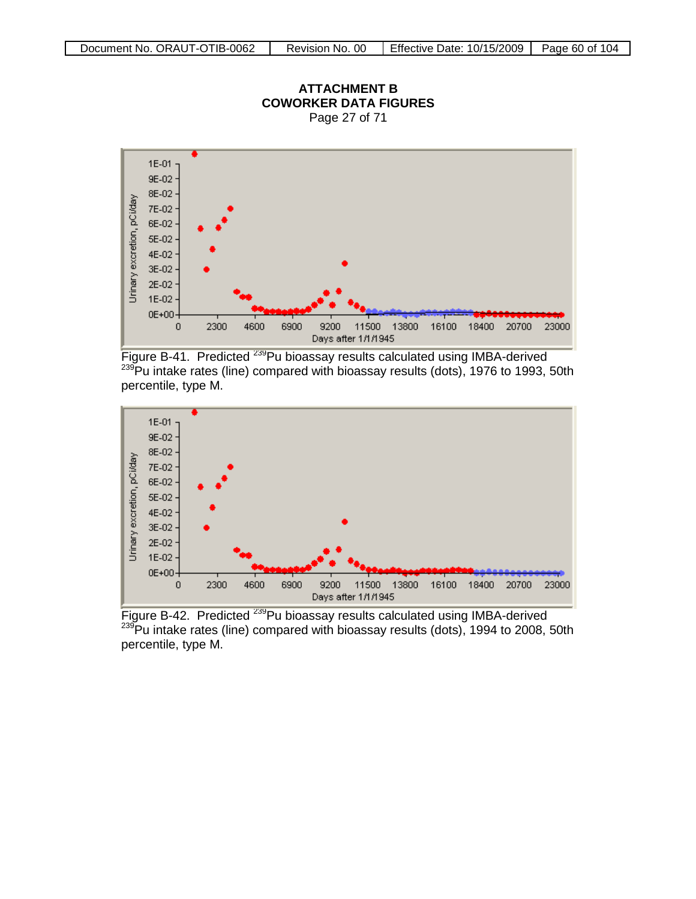

Figure B-41. Predicted <sup>239</sup>Pu bioassay results calculated using IMBA-derived  $239$ Pu intake rates (line) compared with bioassay results (dots), 1976 to 1993, 50th percentile, type M.



Figure B-42. Predicted <sup>239</sup>Pu bioassay results calculated using IMBA-derived 239 Pu intake rates (line) compared with bioassay results (dots), 1994 to 2008, 50th percentile, type M.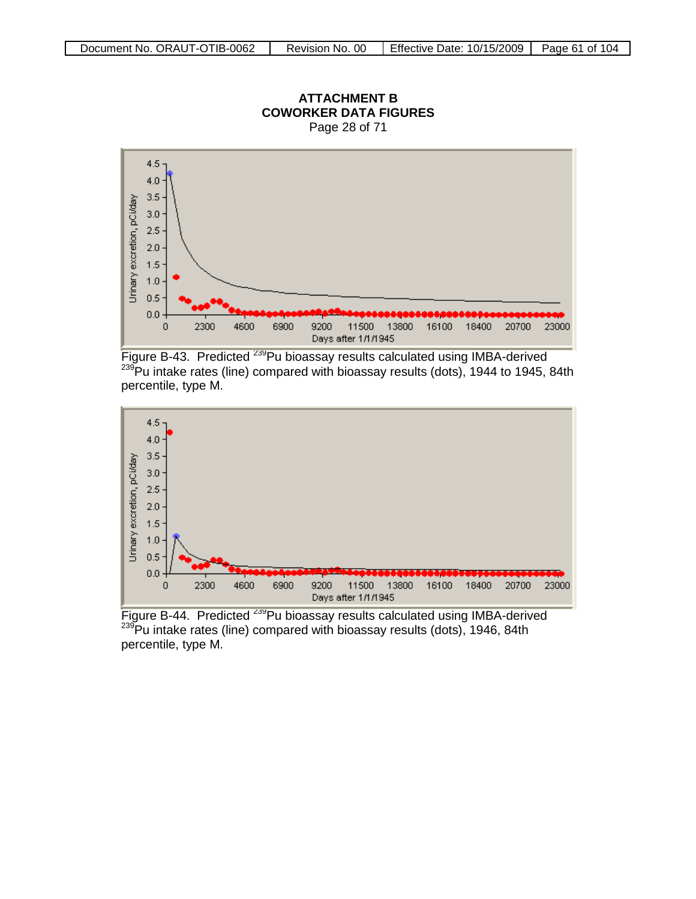

Page 28 of 71

Figure B-43. Predicted <sup>239</sup>Pu bioassay results calculated using IMBA-derived  $239$ Pu intake rates (line) compared with bioassay results (dots), 1944 to 1945, 84th percentile, type M.



Figure B-44. Predicted <sup>239</sup>Pu bioassay results calculated using IMBA-derived  $239$ Pu intake rates (line) compared with bioassay results (dots), 1946, 84th percentile, type M.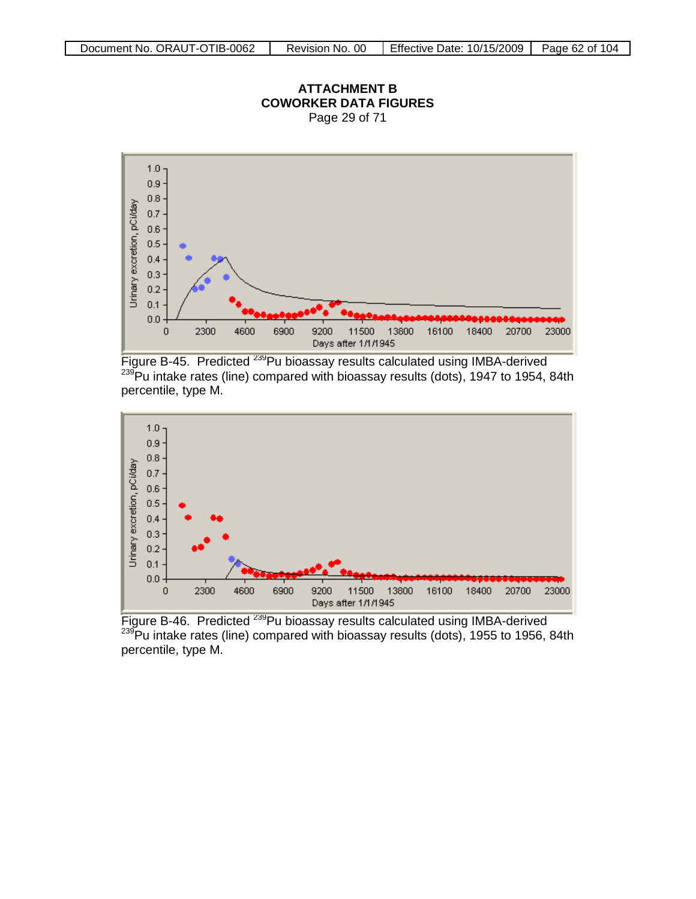

Figure B-45. Predicted <sup>239</sup>Pu bioassay results calculated using IMBA-derived 239Pu intake rates (line) compared with bioassay results (dots), 1947 to 1954, 84th percentile, type M.



Figure B-46. Predicted <sup>239</sup>Pu bioassay results calculated using IMBA-derived  $239$ Pu intake rates (line) compared with bioassay results (dots), 1955 to 1956, 84th percentile, type M.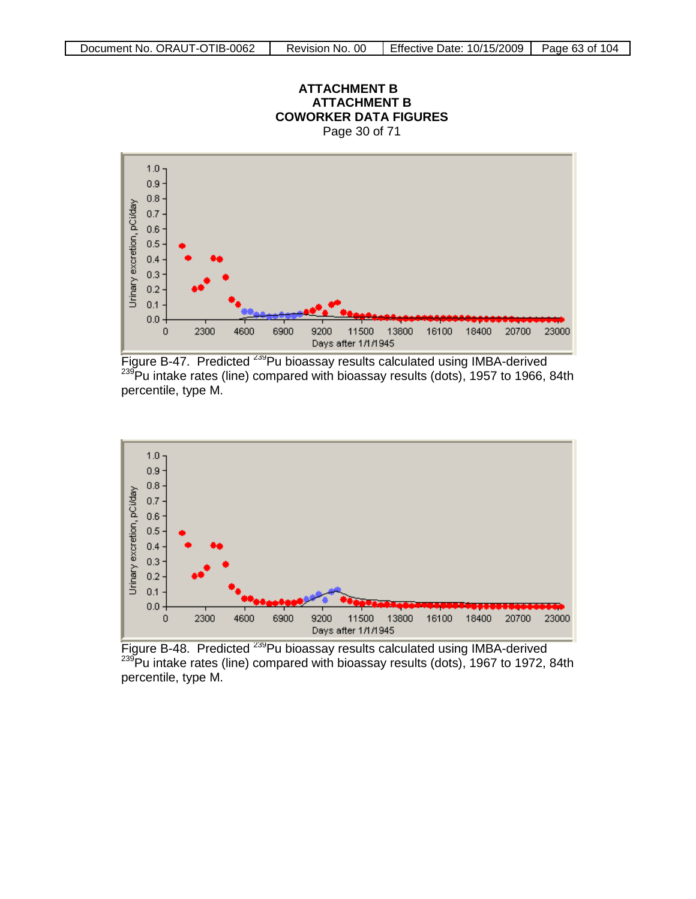



Figure B-47. Predicted <sup>239</sup>Pu bioassay results calculated using IMBA-derived  $^{239}$ Pu intake rates (line) compared with bioassay results (dots), 1957 to 1966, 84th percentile, type M.



Figure B-48. Predicted <sup>239</sup>Pu bioassay results calculated using IMBA-derived  $239$ Pu intake rates (line) compared with bioassay results (dots), 1967 to 1972, 84th percentile, type M.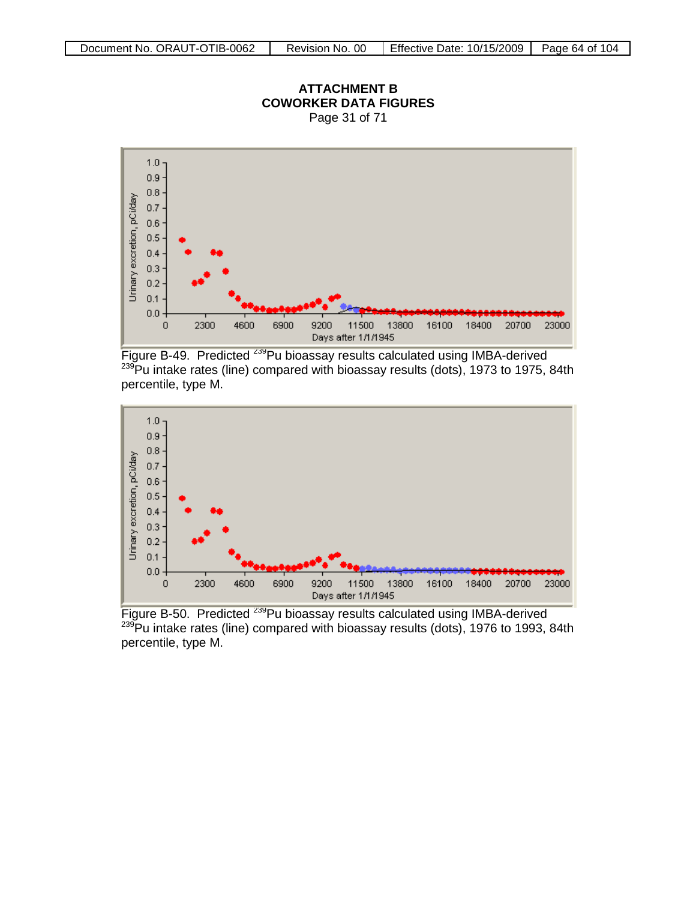

Figure B-49. Predicted <sup>239</sup>Pu bioassay results calculated using IMBA-derived <sup>239</sup>Pu intake rates (line) compared with bioassay results (dots), 1973 to 1975, 84th percentile, type M.



Figure B-50. Predicted <sup>239</sup>Pu bioassay results calculated using IMBA-derived  $239$ Pu intake rates (line) compared with bioassay results (dots), 1976 to 1993, 84th percentile, type M.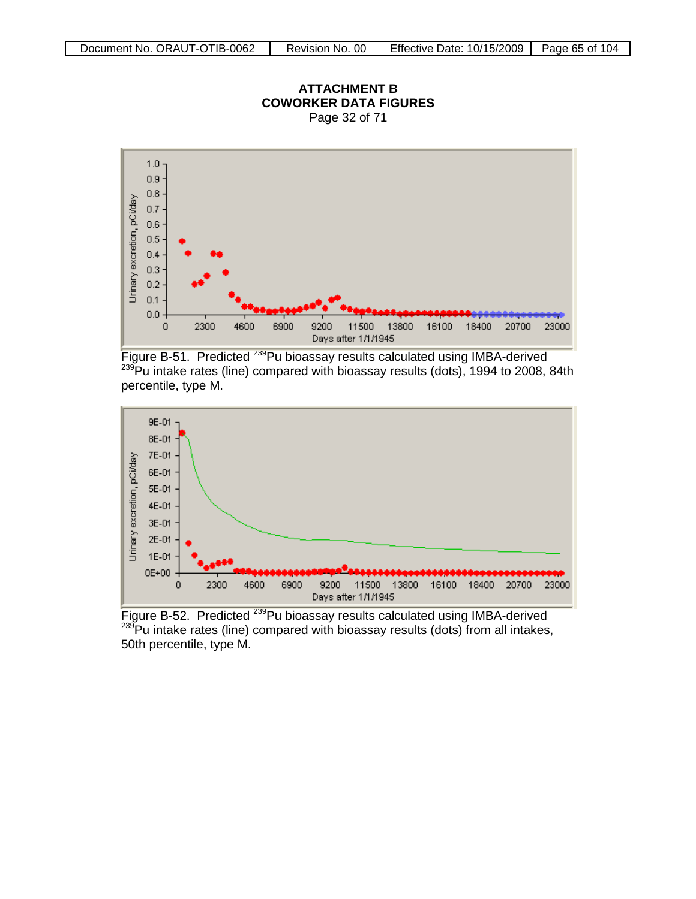

### **ATTACHMENT B COWORKER DATA FIGURES** Page 32 of 71

Figure B-51. Predicted <sup>239</sup>Pu bioassay results calculated using IMBA-derived  $239$ Pu intake rates (line) compared with bioassay results (dots), 1994 to 2008, 84th percentile, type M.



Figure B-52. Predicted <sup>239</sup>Pu bioassay results calculated using IMBA-derived  $239$ Pu intake rates (line) compared with bioassay results (dots) from all intakes, 50th percentile, type M.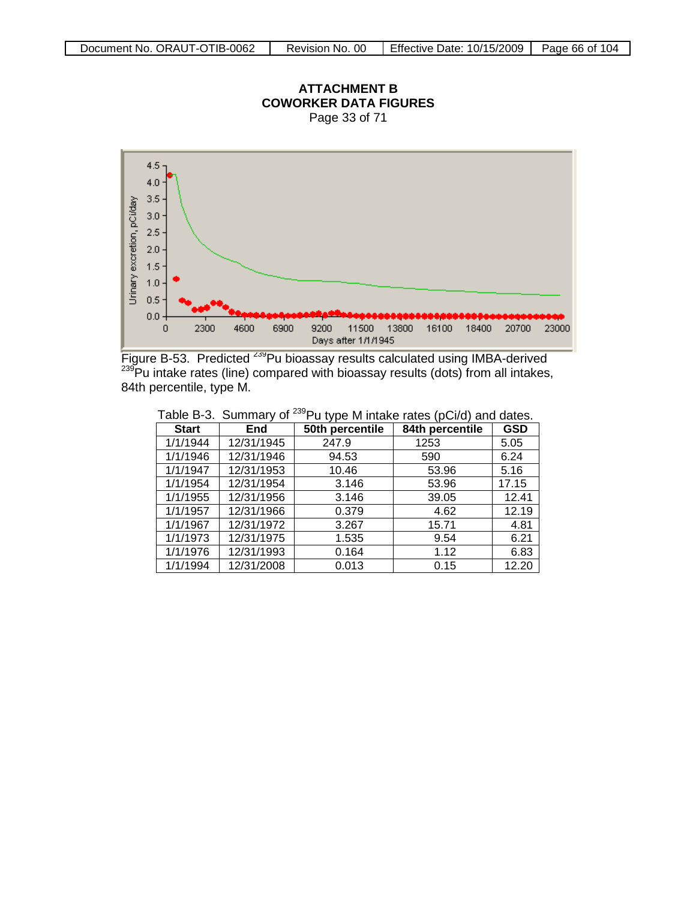

**ATTACHMENT B**

Figure B-53. Predicted <sup>239</sup>Pu bioassay results calculated using IMBA-derived <sup>239</sup>Pu intake rates (line) compared with bioassay results (dots) from all intakes, 84th percentile, type M.

|              | יט זייווייש: שטאט | $\frac{1}{2}$ a type in intented at each $\frac{1}{2}$ |                 |            |
|--------------|-------------------|--------------------------------------------------------|-----------------|------------|
| <b>Start</b> | End               | 50th percentile                                        | 84th percentile | <b>GSD</b> |
| 1/1/1944     | 12/31/1945        | 247.9                                                  | 1253            | 5.05       |
| 1/1/1946     | 12/31/1946        | 94.53                                                  | 590             | 6.24       |
| 1/1/1947     | 12/31/1953        | 10.46                                                  | 53.96           | 5.16       |
| 1/1/1954     | 12/31/1954        | 3.146                                                  | 53.96           | 17.15      |
| 1/1/1955     | 12/31/1956        | 3.146                                                  | 39.05           | 12.41      |
| 1/1/1957     | 12/31/1966        | 0.379                                                  | 4.62            | 12.19      |
| 1/1/1967     | 12/31/1972        | 3.267                                                  | 15.71           | 4.81       |
| 1/1/1973     | 12/31/1975        | 1.535                                                  | 9.54            | 6.21       |
| 1/1/1976     | 12/31/1993        | 0.164                                                  | 1.12            | 6.83       |
| 1/1/1994     | 12/31/2008        | 0.013                                                  | 0.15            | 12.20      |

Table B-3. Summary of <sup>239</sup>Pu type M intake rates (pCi/d) and dates.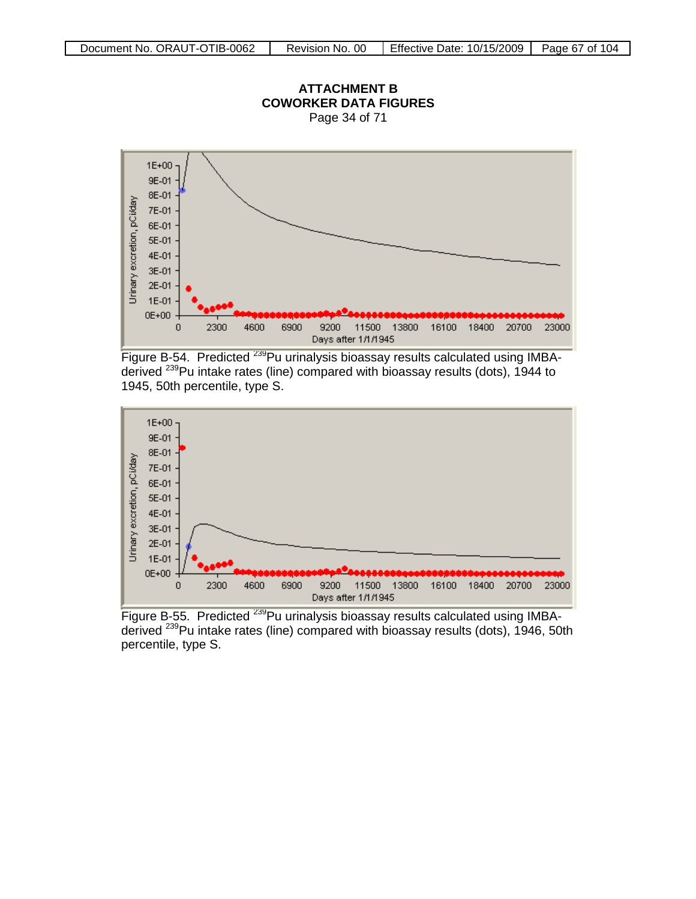

Figure B-54. Predicted <sup>239</sup>Pu urinalysis bioassay results calculated using IMBAderived 239Pu intake rates (line) compared with bioassay results (dots), 1944 to 1945, 50th percentile, type S.



Figure B-55. Predicted <sup>239</sup>Pu urinalysis bioassay results calculated using IMBAderived <sup>239</sup>Pu intake rates (line) compared with bioassay results (dots), 1946, 50th percentile, type S.

**ATTACHMENT B COWORKER DATA FIGURES**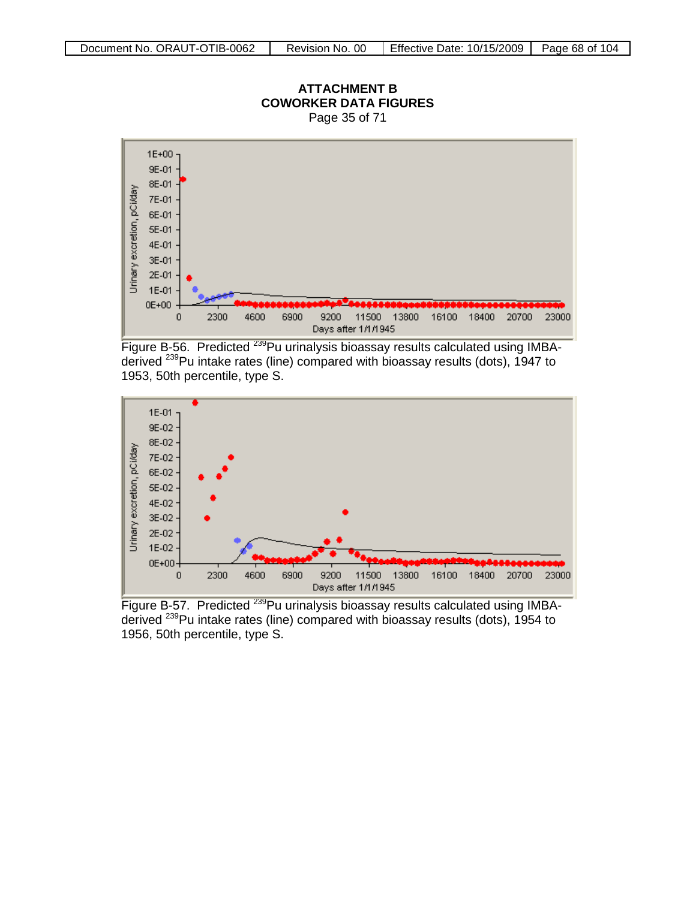

Figure B-56. Predicted <sup>239</sup>Pu urinalysis bioassay results calculated using IMBAderived 239Pu intake rates (line) compared with bioassay results (dots), 1947 to 1953, 50th percentile, type S.



Figure B-57. Predicted <sup>239</sup>Pu urinalysis bioassay results calculated using IMBAderived <sup>239</sup>Pu intake rates (line) compared with bioassay results (dots), 1954 to 1956, 50th percentile, type S.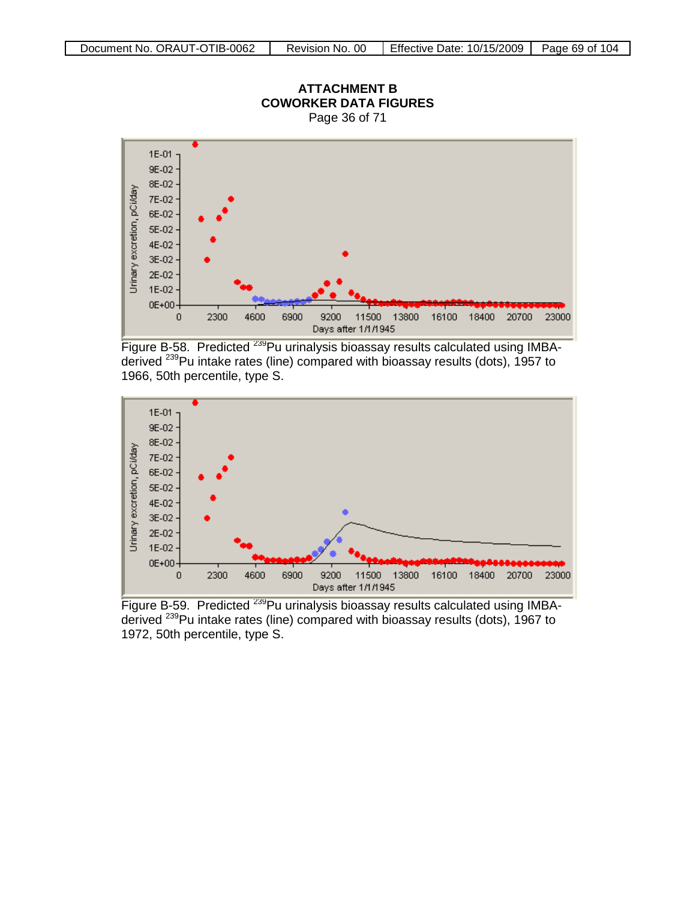

**ATTACHMENT B**

Figure B-58. Predicted <sup>239</sup>Pu urinalysis bioassay results calculated using IMBAderived 239Pu intake rates (line) compared with bioassay results (dots), 1957 to 1966, 50th percentile, type S.



Figure B-59. Predicted <sup>239</sup>Pu urinalysis bioassay results calculated using IMBAderived <sup>239</sup>Pu intake rates (line) compared with bioassay results (dots), 1967 to 1972, 50th percentile, type S.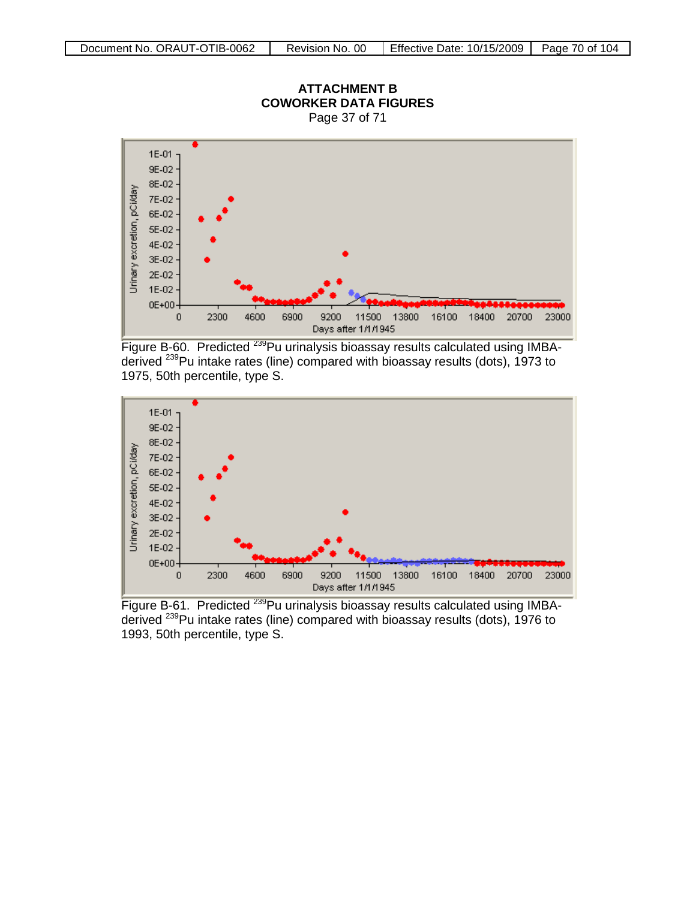

Figure B-60. Predicted <sup>239</sup>Pu urinalysis bioassay results calculated using IMBAderived 239Pu intake rates (line) compared with bioassay results (dots), 1973 to 1975, 50th percentile, type S.



Figure B-61. Predicted <sup>239</sup>Pu urinalysis bioassay results calculated using IMBAderived <sup>239</sup>Pu intake rates (line) compared with bioassay results (dots), 1976 to 1993, 50th percentile, type S.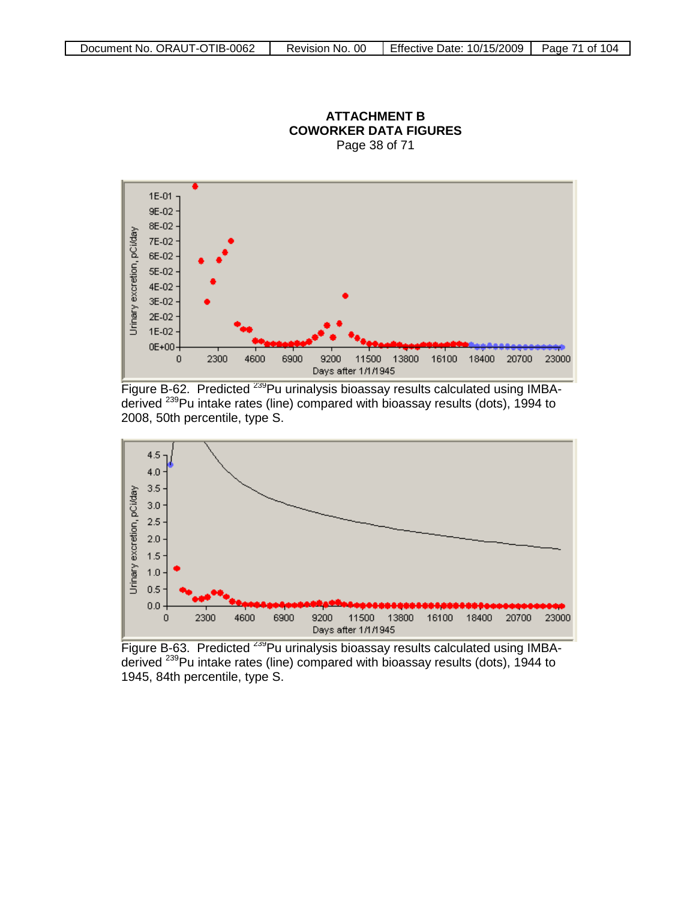

### **ATTACHMENT B COWORKER DATA FIGURES** Page 38 of 71

Figure B-62. Predicted <sup>239</sup>Pu urinalysis bioassay results calculated using IMBAderived 239Pu intake rates (line) compared with bioassay results (dots), 1994 to 2008, 50th percentile, type S.



Figure B-63. Predicted <sup>239</sup>Pu urinalysis bioassay results calculated using IMBAderived 239Pu intake rates (line) compared with bioassay results (dots), 1944 to 1945, 84th percentile, type S.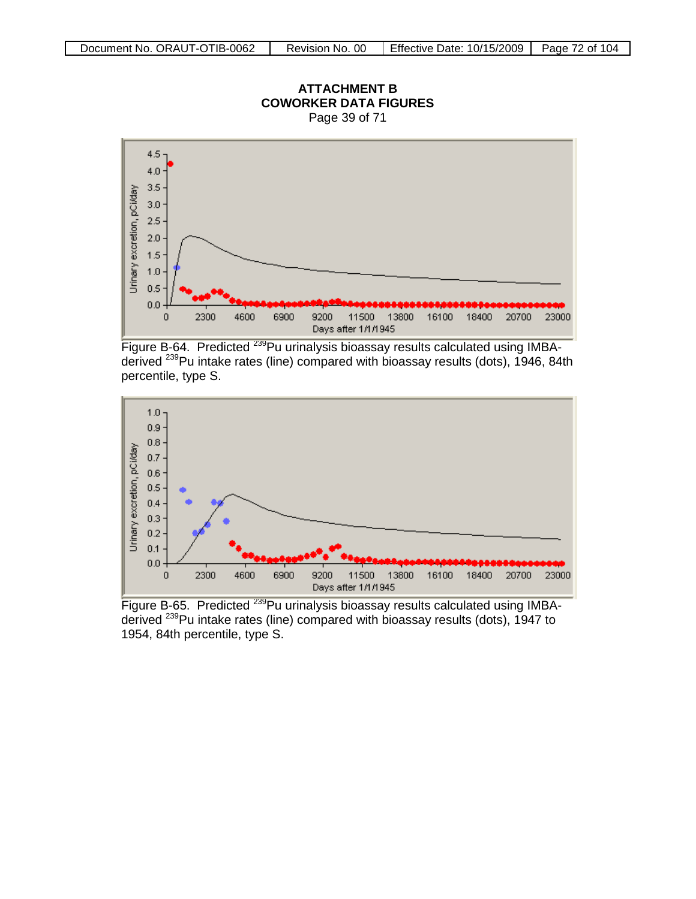

**ATTACHMENT B COWORKER DATA FIGURES**

Figure B-64. Predicted <sup>239</sup>Pu urinalysis bioassay results calculated using IMBAderived <sup>239</sup>Pu intake rates (line) compared with bioassay results (dots), 1946, 84th percentile, type S.



Figure B-65. Predicted <sup>239</sup>Pu urinalysis bioassay results calculated using IMBAderived <sup>239</sup>Pu intake rates (line) compared with bioassay results (dots), 1947 to 1954, 84th percentile, type S.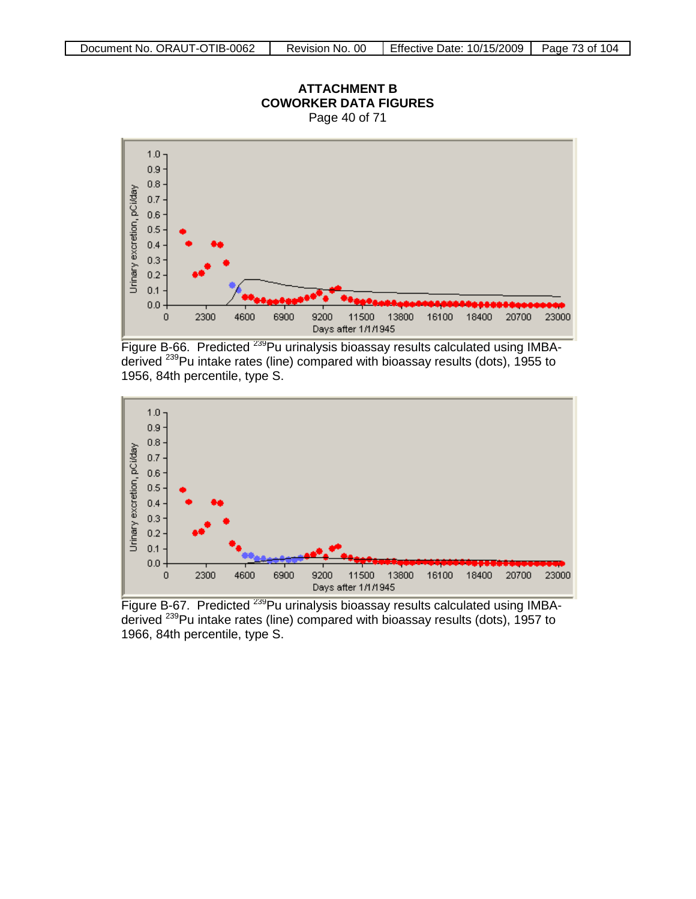

Figure B-66. Predicted <sup>239</sup>Pu urinalysis bioassay results calculated using IMBAderived 239Pu intake rates (line) compared with bioassay results (dots), 1955 to 1956, 84th percentile, type S.



Figure B-67. Predicted <sup>239</sup>Pu urinalysis bioassay results calculated using IMBAderived <sup>239</sup>Pu intake rates (line) compared with bioassay results (dots), 1957 to 1966, 84th percentile, type S.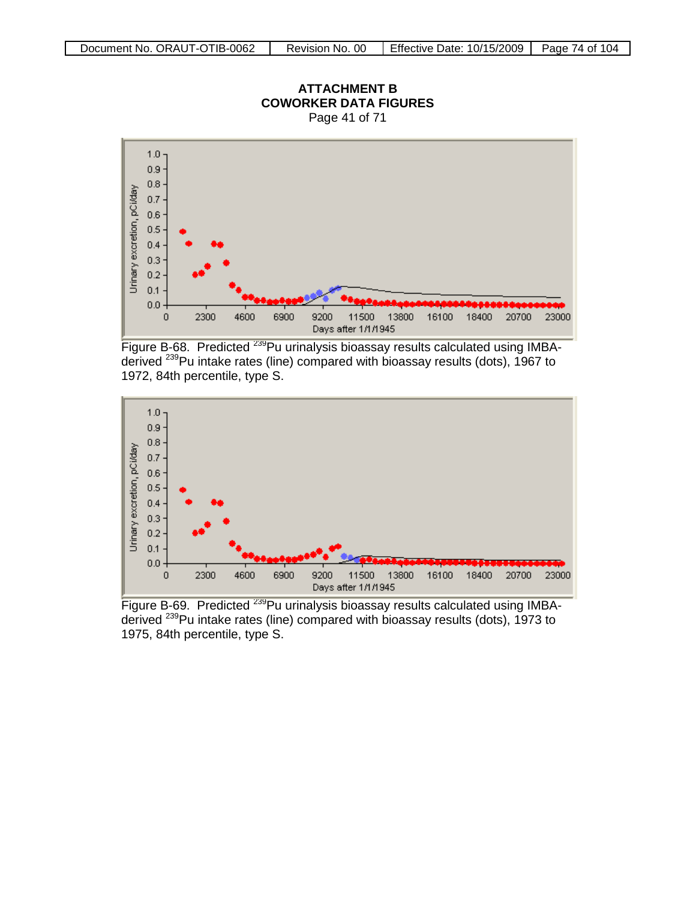

Figure B-68. Predicted <sup>239</sup>Pu urinalysis bioassay results calculated using IMBAderived 239Pu intake rates (line) compared with bioassay results (dots), 1967 to 1972, 84th percentile, type S.



Figure B-69. Predicted <sup>239</sup>Pu urinalysis bioassay results calculated using IMBAderived <sup>239</sup>Pu intake rates (line) compared with bioassay results (dots), 1973 to 1975, 84th percentile, type S.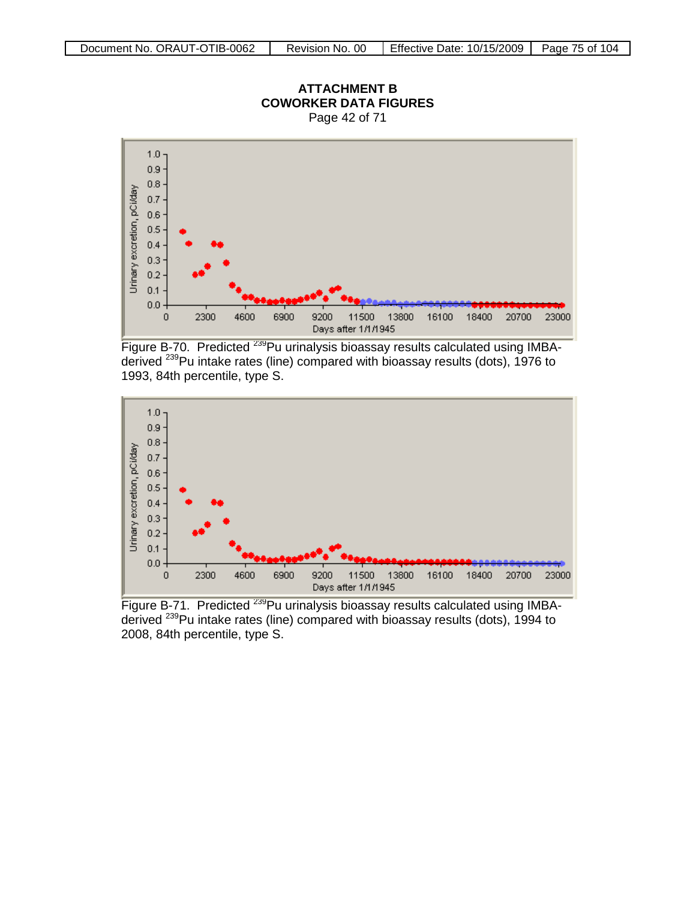

**ATTACHMENT B COWORKER DATA FIGURES**





Figure B-71. Predicted <sup>239</sup>Pu urinalysis bioassay results calculated using IMBAderived <sup>239</sup>Pu intake rates (line) compared with bioassay results (dots), 1994 to 2008, 84th percentile, type S.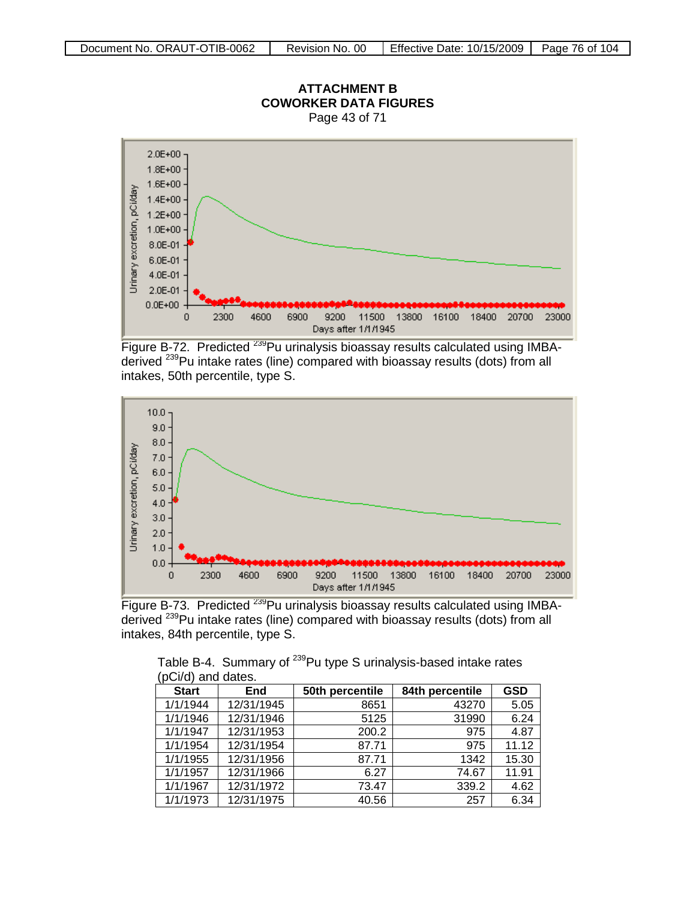

## **ATTACHMENT B**

Figure B-72. Predicted <sup>239</sup>Pu urinalysis bioassay results calculated using IMBAderived 239Pu intake rates (line) compared with bioassay results (dots) from all intakes, 50th percentile, type S.



Figure B-73. Predicted <sup>239</sup>Pu urinalysis bioassay results calculated using IMBAderived <sup>239</sup>Pu intake rates (line) compared with bioassay results (dots) from all intakes, 84th percentile, type S.

| pului dilu dales. |            |                 |                 |            |  |
|-------------------|------------|-----------------|-----------------|------------|--|
| <b>Start</b>      | End        | 50th percentile | 84th percentile | <b>GSD</b> |  |
| 1/1/1944          | 12/31/1945 | 8651            | 43270           | 5.05       |  |
| 1/1/1946          | 12/31/1946 | 5125            | 31990           | 6.24       |  |
| 1/1/1947          | 12/31/1953 | 200.2           | 975             | 4.87       |  |
| 1/1/1954          | 12/31/1954 | 87.71           | 975             | 11.12      |  |
| 1/1/1955          | 12/31/1956 | 87.71           | 1342            | 15.30      |  |
| 1/1/1957          | 12/31/1966 | 6.27            | 74.67           | 11.91      |  |
| 1/1/1967          | 12/31/1972 | 73.47           | 339.2           | 4.62       |  |
| 1/1/1973          | 12/31/1975 | 40.56           | 257             | 6.34       |  |

Table B-4. Summary of <sup>239</sup>Pu type S urinalysis-based intake rates  $(nC)/d)$  and dates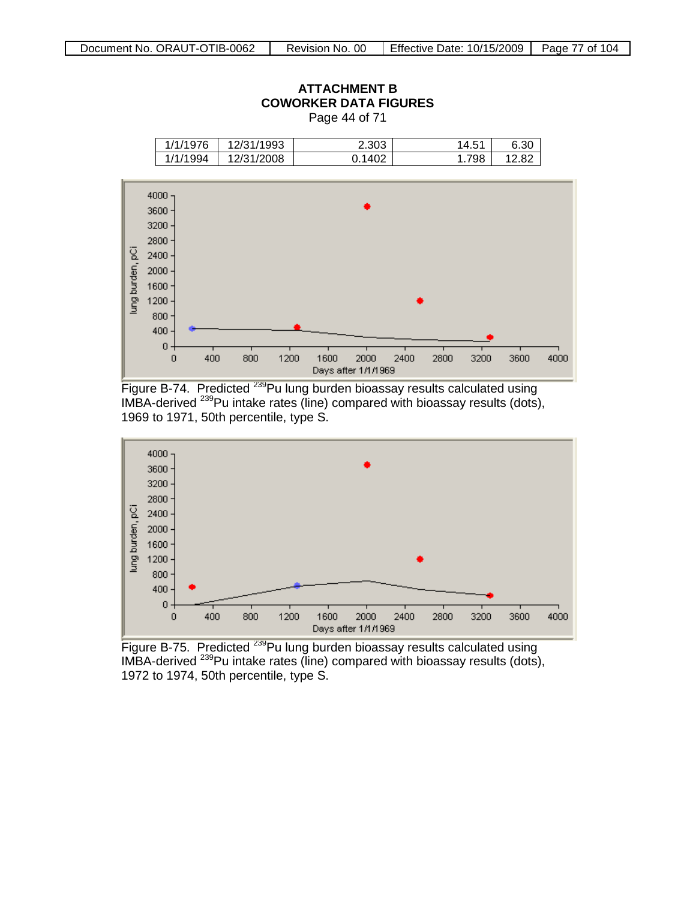

Figure B-74. Predicted <sup>239</sup>Pu lung burden bioassay results calculated using IMBA-derived <sup>239</sup>Pu intake rates (line) compared with bioassay results (dots), 1969 to 1971, 50th percentile, type S.



Figure B-75. Predicted <sup>239</sup>Pu lung burden bioassay results calculated using IMBA-derived 239Pu intake rates (line) compared with bioassay results (dots), 1972 to 1974, 50th percentile, type S.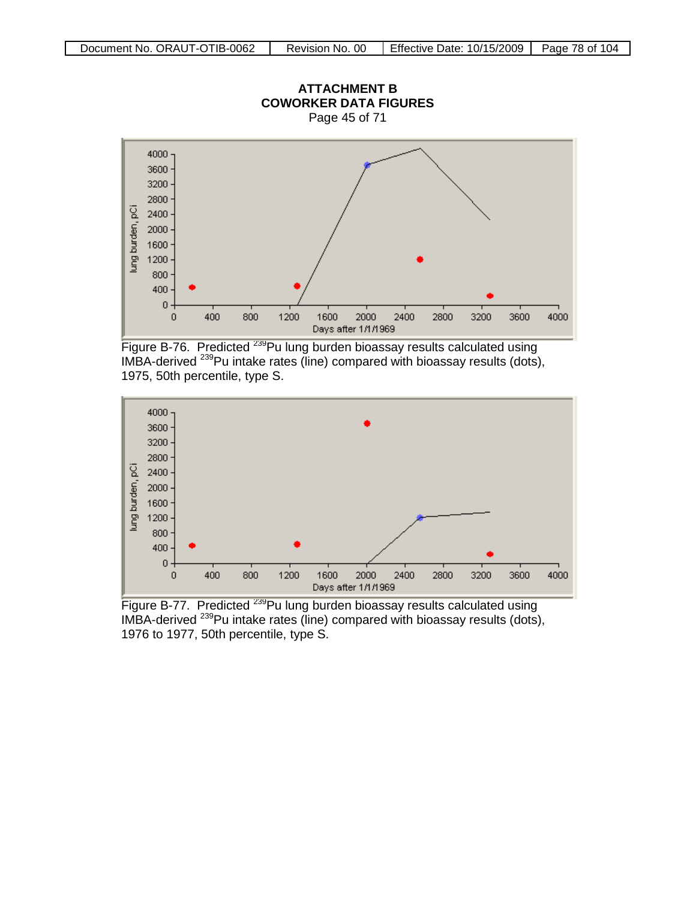

Figure B-76. Predicted <sup>239</sup>Pu lung burden bioassay results calculated using IMBA-derived 239Pu intake rates (line) compared with bioassay results (dots), 1975, 50th percentile, type S.



Figure B-77. Predicted <sup>239</sup>Pu lung burden bioassay results calculated using IMBA-derived <sup>239</sup>Pu intake rates (line) compared with bioassay results (dots), 1976 to 1977, 50th percentile, type S.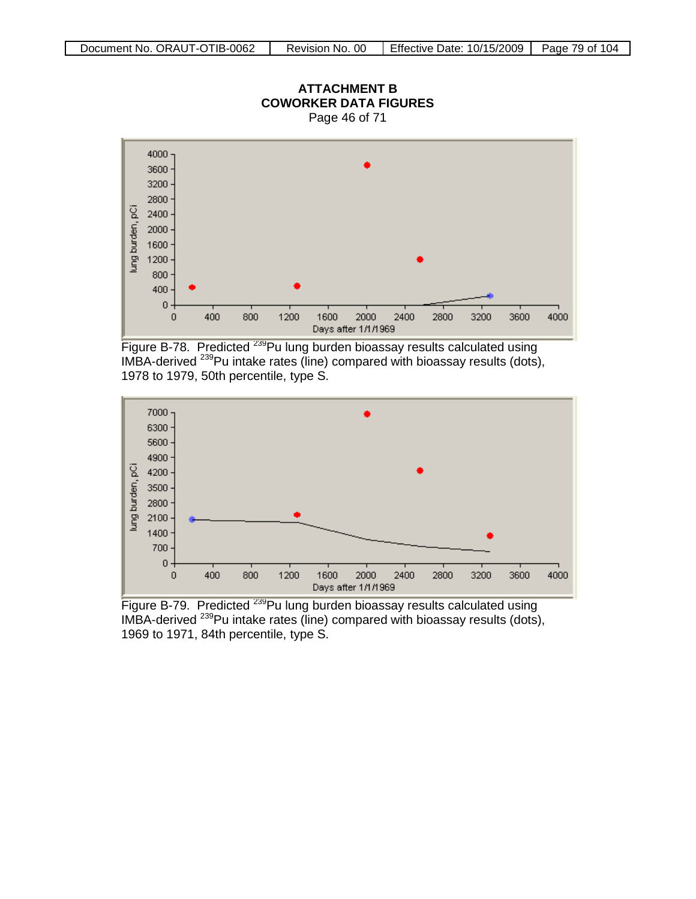

Figure B-78. Predicted <sup>239</sup>Pu lung burden bioassay results calculated using IMBA-derived <sup>239</sup>Pu intake rates (line) compared with bioassay results (dots), 1978 to 1979, 50th percentile, type S.



Figure B-79. Predicted <sup>239</sup>Pu lung burden bioassay results calculated using IMBA-derived <sup>239</sup>Pu intake rates (line) compared with bioassay results (dots), 1969 to 1971, 84th percentile, type S.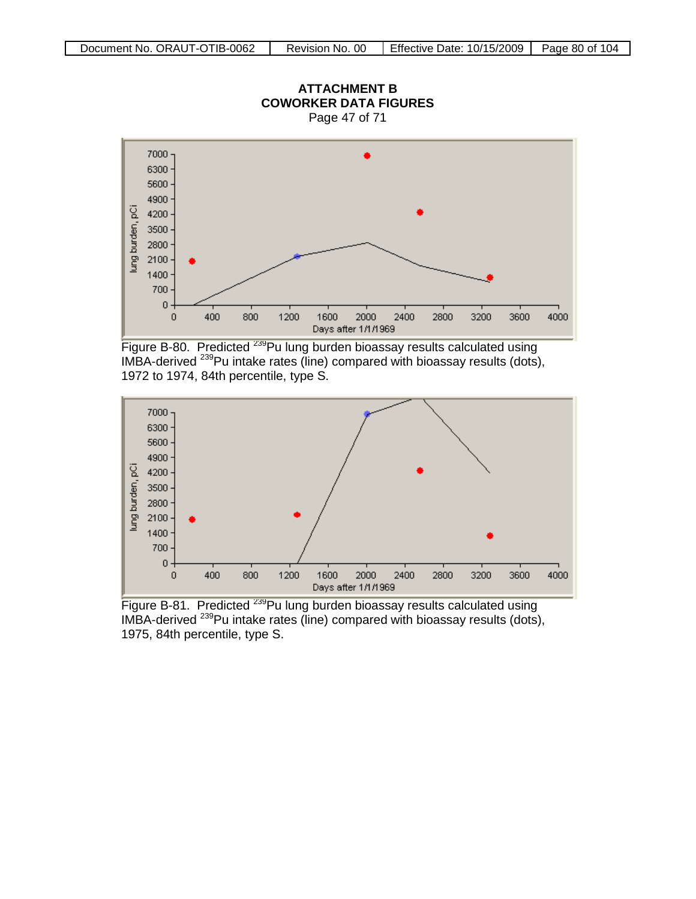

**ATTACHMENT B**





Figure B-81. Predicted <sup>239</sup>Pu lung burden bioassay results calculated using IMBA-derived <sup>239</sup>Pu intake rates (line) compared with bioassay results (dots), 1975, 84th percentile, type S.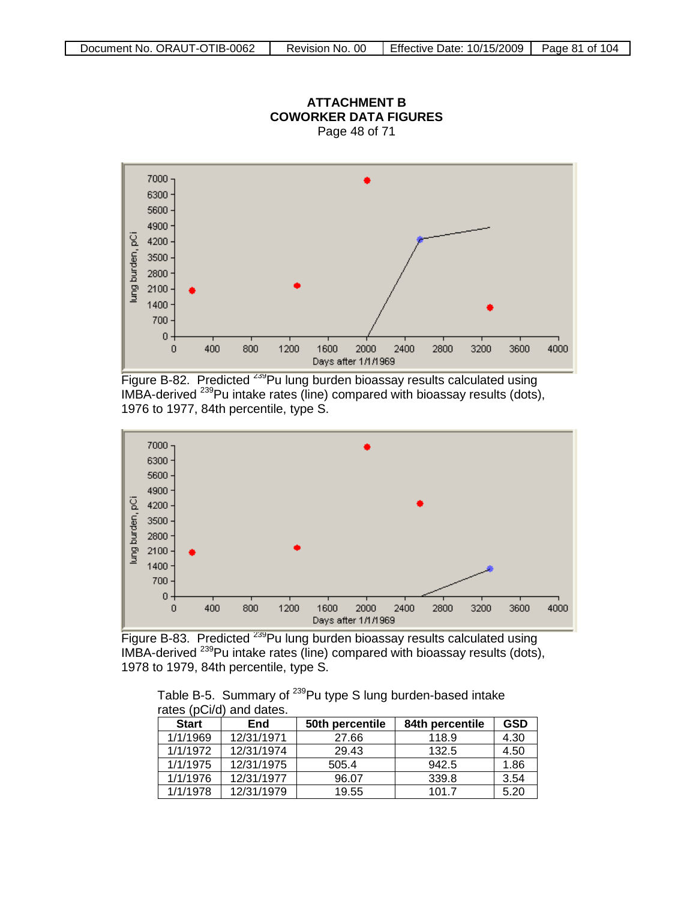



Figure B-82. Predicted <sup>239</sup>Pu lung burden bioassay results calculated using IMBA-derived 239Pu intake rates (line) compared with bioassay results (dots), 1976 to 1977, 84th percentile, type S.



Figure B-83. Predicted <sup>239</sup>Pu lung burden bioassay results calculated using IMBA-derived 239Pu intake rates (line) compared with bioassay results (dots), 1978 to 1979, 84th percentile, type S.

Table B-5. Summary of <sup>239</sup>Pu type S lung burden-based intake rates (pCi/d) and dates.

| <b>Start</b> | End        | 50th percentile | 84th percentile | <b>GSD</b> |
|--------------|------------|-----------------|-----------------|------------|
| 1/1/1969     | 12/31/1971 | 27.66           | 118.9           | 4.30       |
| 1/1/1972     | 12/31/1974 | 29.43           | 132.5           | 4.50       |
| 1/1/1975     | 12/31/1975 | 505.4           | 942.5           | 1.86       |
| 1/1/1976     | 12/31/1977 | 96.07           | 339.8           | 3.54       |
| 1/1/1978     | 12/31/1979 | 19.55           | 101.7           | 5.20       |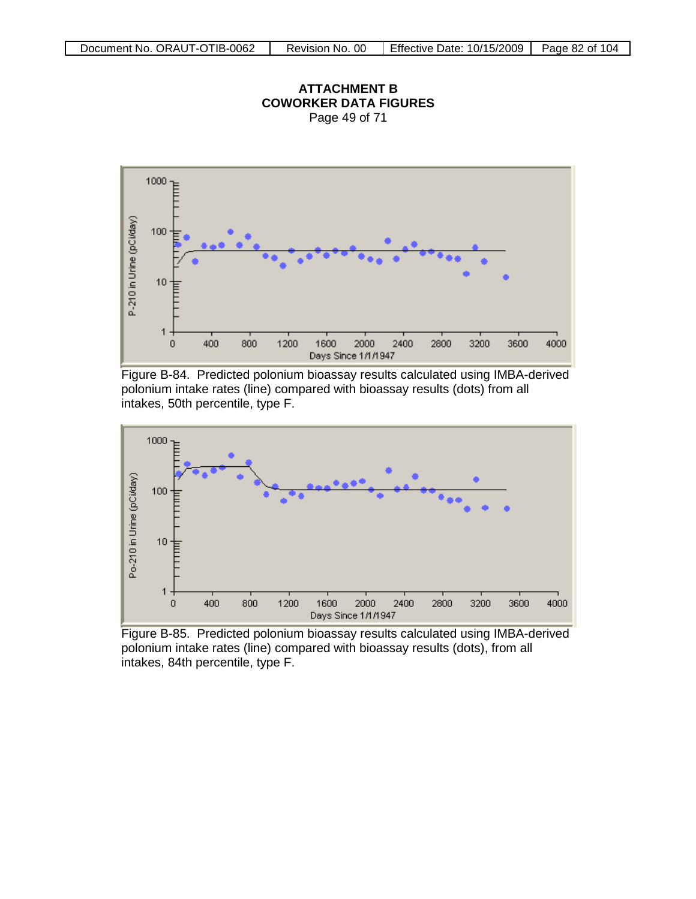



Figure B-84. Predicted polonium bioassay results calculated using IMBA-derived polonium intake rates (line) compared with bioassay results (dots) from all intakes, 50th percentile, type F.



Figure B-85. Predicted polonium bioassay results calculated using IMBA-derived polonium intake rates (line) compared with bioassay results (dots), from all intakes, 84th percentile, type F.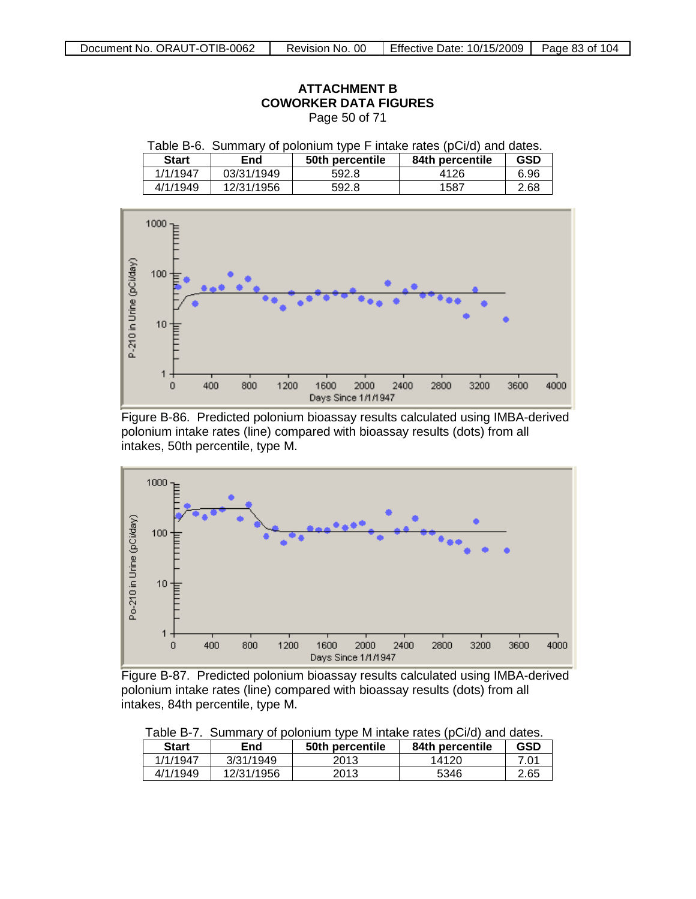| P-210 in Urine (pCi/day) | $1000 - p$<br>100<br>ᄂ<br>10<br>ᄐ<br>$\mathbf{1}$ |            |              |                                     |      |              |      |
|--------------------------|---------------------------------------------------|------------|--------------|-------------------------------------|------|--------------|------|
|                          | $\bf{0}$                                          | 400<br>800 | 1200<br>1600 | 2000<br>2400<br>Days Since 1/1/1947 | 2800 | 3200<br>3600 | 4000 |

#### **ATTACHMENT B ATTACHMENT COWORKER DATA FIGURES FIGURES** Page 50 of 71

Table B-6. Summary of polonium type F intake rates (pCi/d) and dates.<br>
Start | End | 50th percentile | 84th percentile | GSD

1/1/1947 03/31/1949 592.8 4126 6.96<br>4/1/1949 12/31/1956 592.8 1587 2.68

12/31/1956 592.8 1587 2.68

**Start End 50th** percentile

Figure B-86. Predicted polonium bioassay results calculated using IMBA-derived polonium intake rates (line) compared with bioassay results (dots) from all intakes, 50th percentile, type M.



Figure B-87. Predicted polonium bioassay results calculated using IMBA-derived polonium intake rates (line) compared with bioassay results (dots) from all intakes, 84th percentile, type M.

| Table D-7.<br>Surfitually be polonium type in intake rates (pulla) and dates. |            |                 |                 |            |  |
|-------------------------------------------------------------------------------|------------|-----------------|-----------------|------------|--|
| <b>Start</b>                                                                  | End        | 50th percentile | 84th percentile | <b>GSD</b> |  |
| 1/1/1947                                                                      | 3/31/1949  | 2013            | 14120           | 7.01       |  |
| 4/1/1949                                                                      | 12/31/1956 | 2013            | 5346            | 2.65       |  |

Table B-7. Summary of polonium type M intake rates (pCi/d) and dates.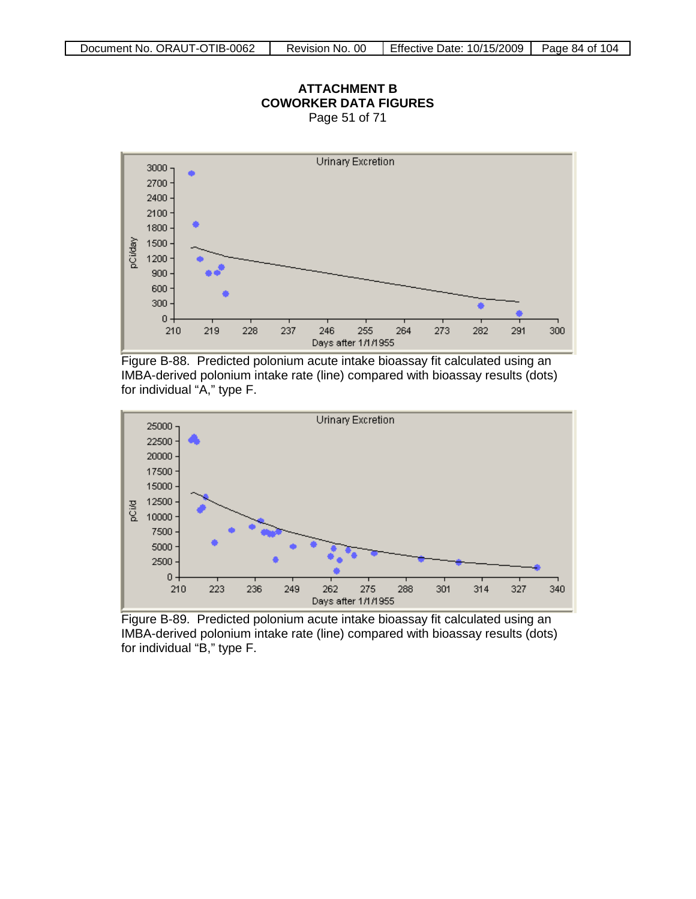

#### **ATTACHMENT B COWORKER DATA FIGURES** Page 51 of 71

Figure B-88. Predicted polonium acute intake bioassay fit calculated using an IMBA-derived polonium intake rate (line) compared with bioassay results (dots) for individual "A," type F.



Figure B-89. Predicted polonium acute intake bioassay fit calculated using an IMBA-derived polonium intake rate (line) compared with bioassay results (dots) for individual "B," type F.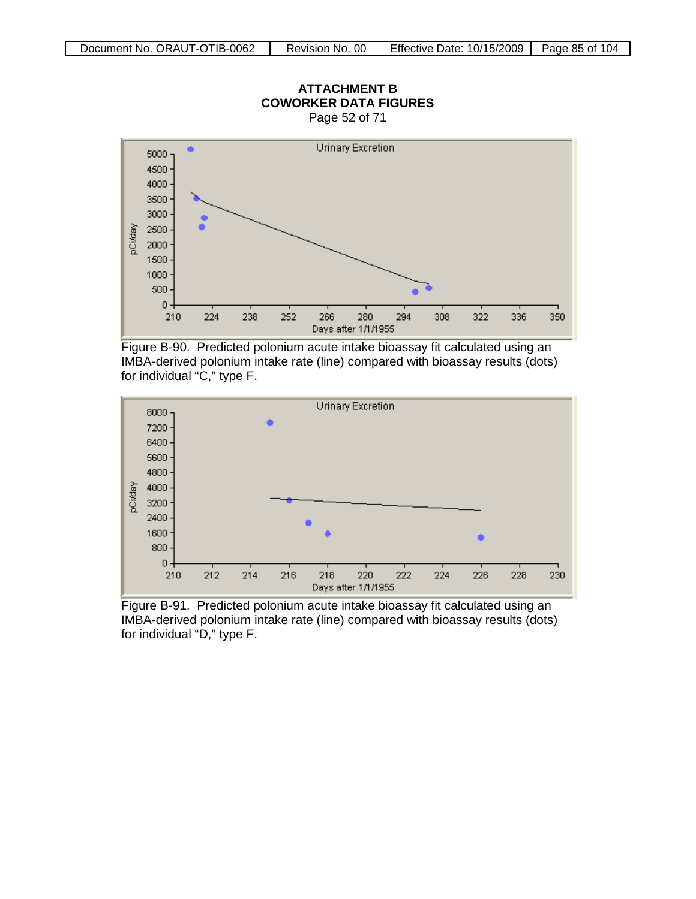

Figure B-90. Predicted polonium acute intake bioassay fit calculated using an IMBA-derived polonium intake rate (line) compared with bioassay results (dots) for individual "C," type F.



Figure B-91. Predicted polonium acute intake bioassay fit calculated using an IMBA-derived polonium intake rate (line) compared with bioassay results (dots) for individual "D," type F.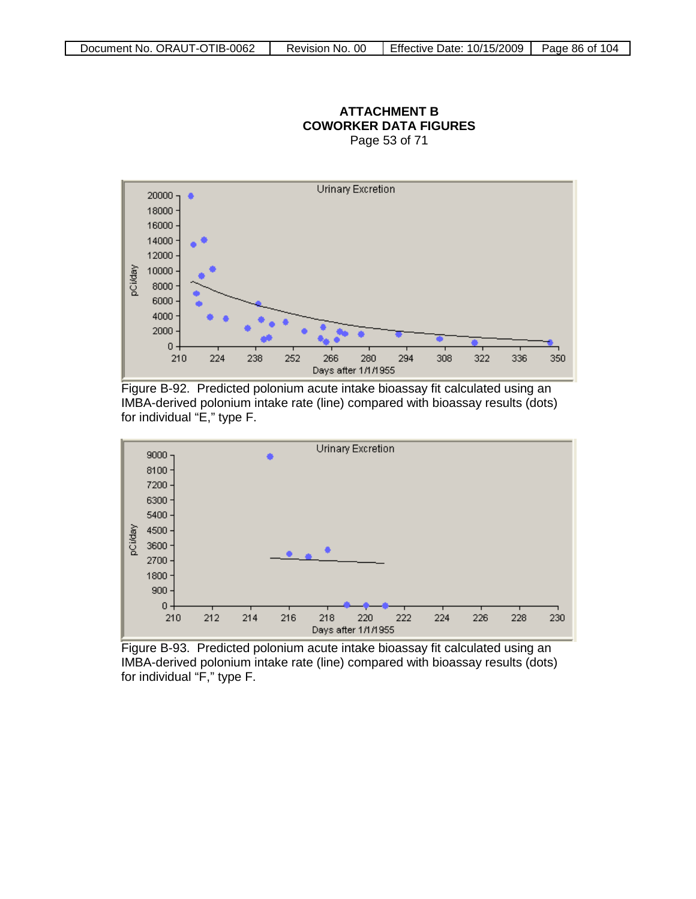#### **ATTACHMENT B COWORKER DATA FIGURES** Page 53 of 71



Figure B-92. Predicted polonium acute intake bioassay fit calculated using an IMBA-derived polonium intake rate (line) compared with bioassay results (dots) for individual "E," type F.



Figure B-93. Predicted polonium acute intake bioassay fit calculated using an IMBA-derived polonium intake rate (line) compared with bioassay results (dots) for individual "F," type F.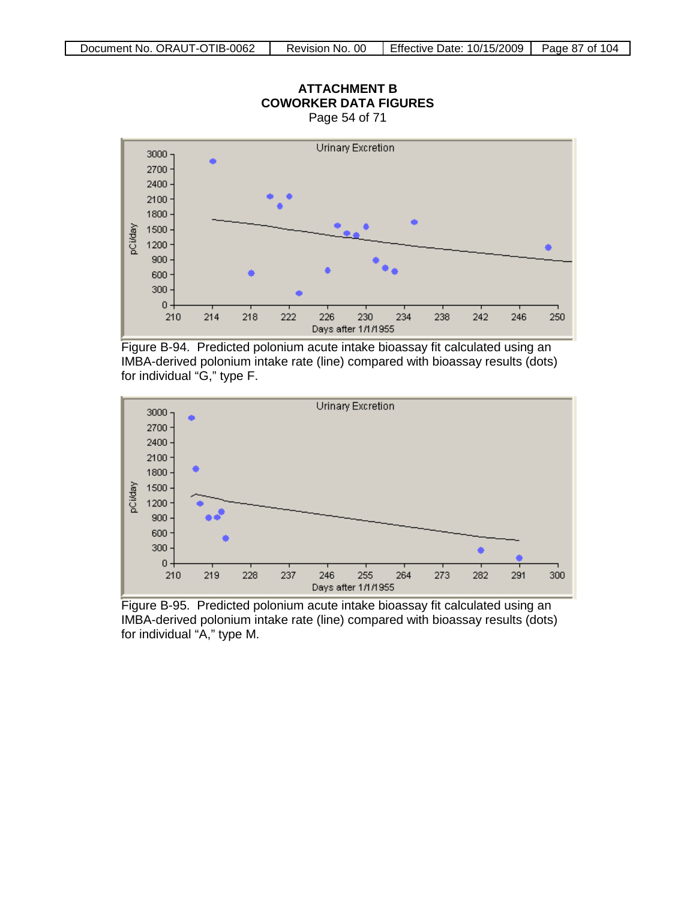

**ATTACHMENT B**

Figure B-94. Predicted polonium acute intake bioassay fit calculated using an IMBA-derived polonium intake rate (line) compared with bioassay results (dots) for individual "G," type F.



Figure B-95. Predicted polonium acute intake bioassay fit calculated using an IMBA-derived polonium intake rate (line) compared with bioassay results (dots) for individual "A," type M.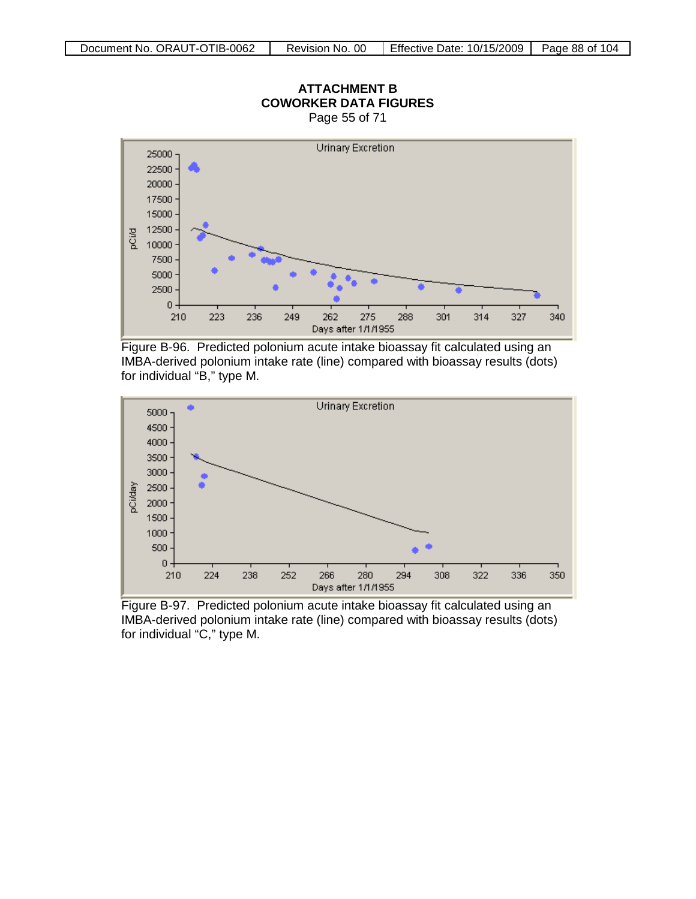





Figure B-97. Predicted polonium acute intake bioassay fit calculated using an IMBA-derived polonium intake rate (line) compared with bioassay results (dots) for individual "C," type M.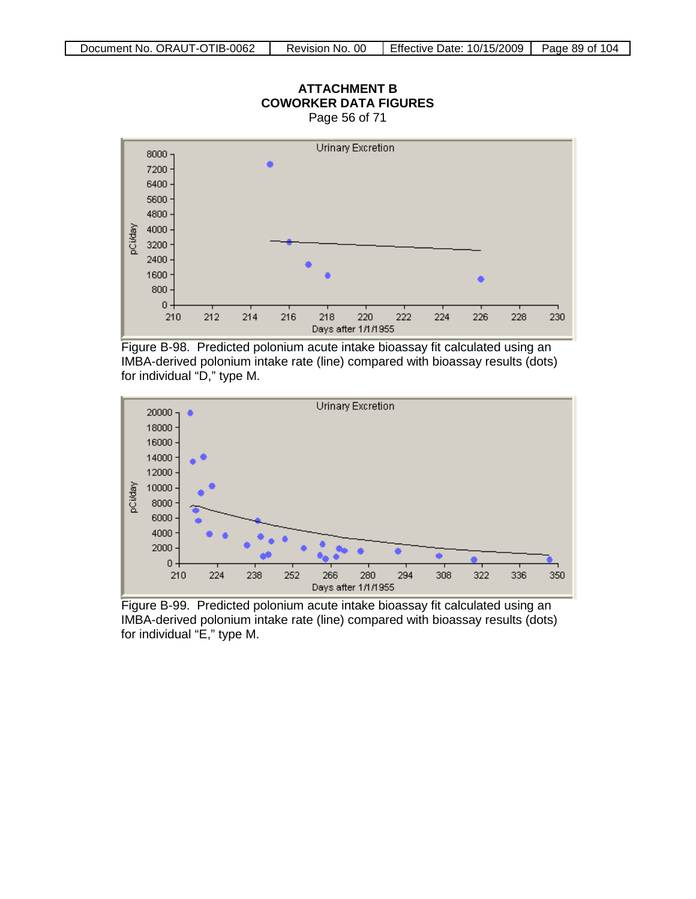

**ATTACHMENT B**

Figure B-98. Predicted polonium acute intake bioassay fit calculated using an IMBA-derived polonium intake rate (line) compared with bioassay results (dots) for individual "D," type M.



Figure B-99. Predicted polonium acute intake bioassay fit calculated using an IMBA-derived polonium intake rate (line) compared with bioassay results (dots) for individual "E," type M.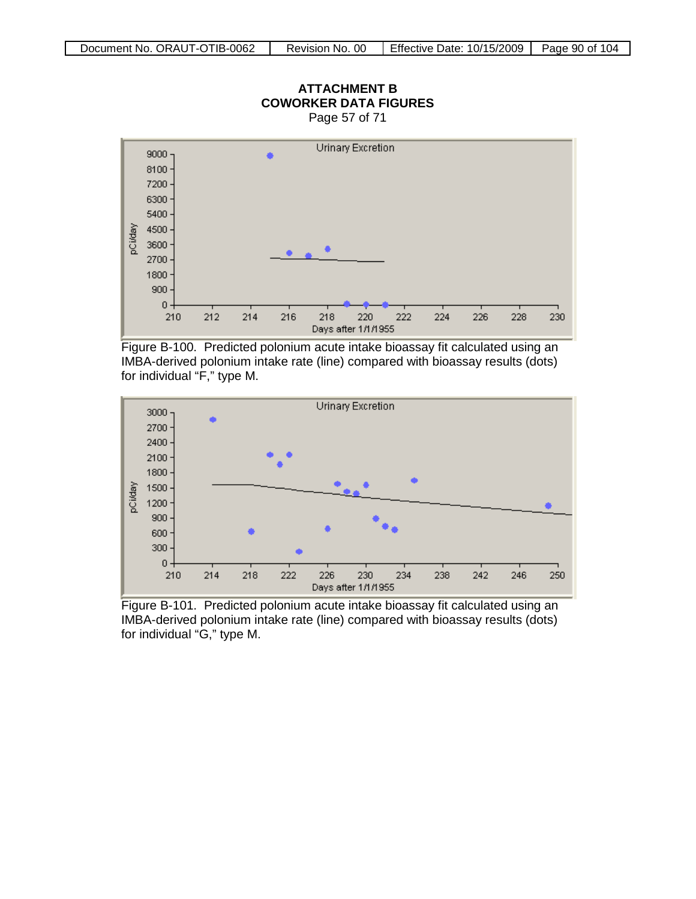

# **ATTACHMENT B**

Figure B-100. Predicted polonium acute intake bioassay fit calculated using an IMBA-derived polonium intake rate (line) compared with bioassay results (dots) for individual "F," type M.



Figure B-101. Predicted polonium acute intake bioassay fit calculated using an IMBA-derived polonium intake rate (line) compared with bioassay results (dots) for individual "G," type M.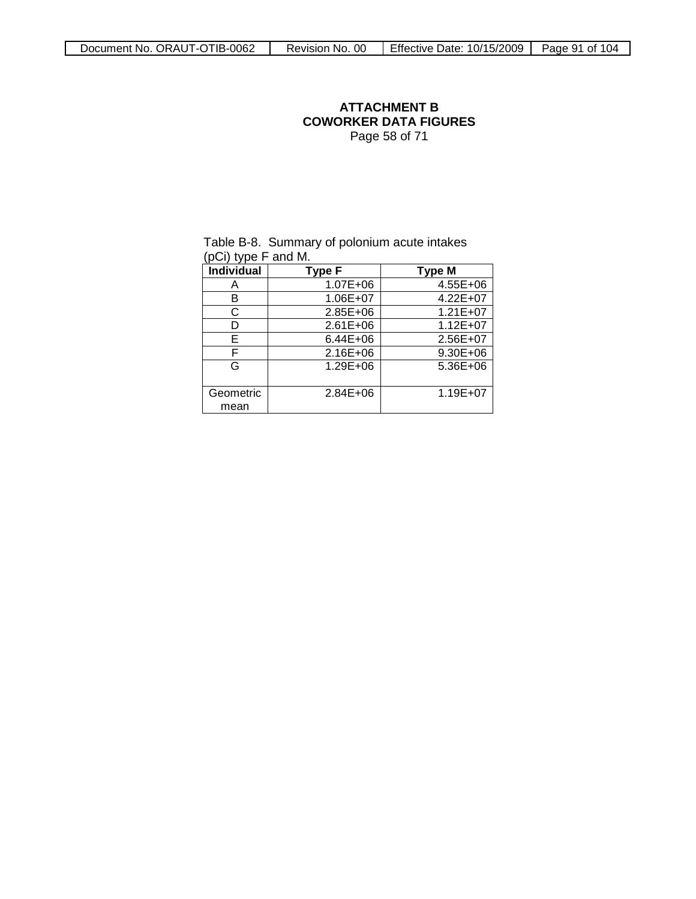#### **ATTACHMENT B COWORKER DATA FIGURES** Page 58 of 71

|                   | (pui) type r and M. |               |  |  |  |  |
|-------------------|---------------------|---------------|--|--|--|--|
| <b>Individual</b> | Type F              | <b>Type M</b> |  |  |  |  |
| A                 | 1.07E+06            | 4.55E+06      |  |  |  |  |
| в                 | 1.06E+07            | 4.22E+07      |  |  |  |  |
| С                 | 2.85E+06            | $1.21E+07$    |  |  |  |  |
| D                 | $2.61E + 06$        | $1.12E + 07$  |  |  |  |  |
| Е                 | 6.44E+06            | 2.56E+07      |  |  |  |  |
| F                 | 2.16E+06            | 9.30E+06      |  |  |  |  |
| G                 | 1.29E+06            | 5.36E+06      |  |  |  |  |
| Geometric         | 2.84E+06            | 1.19E+07      |  |  |  |  |
| mean              |                     |               |  |  |  |  |

#### Table B-8. Summary of polonium acute intakes (pCi) type F and M.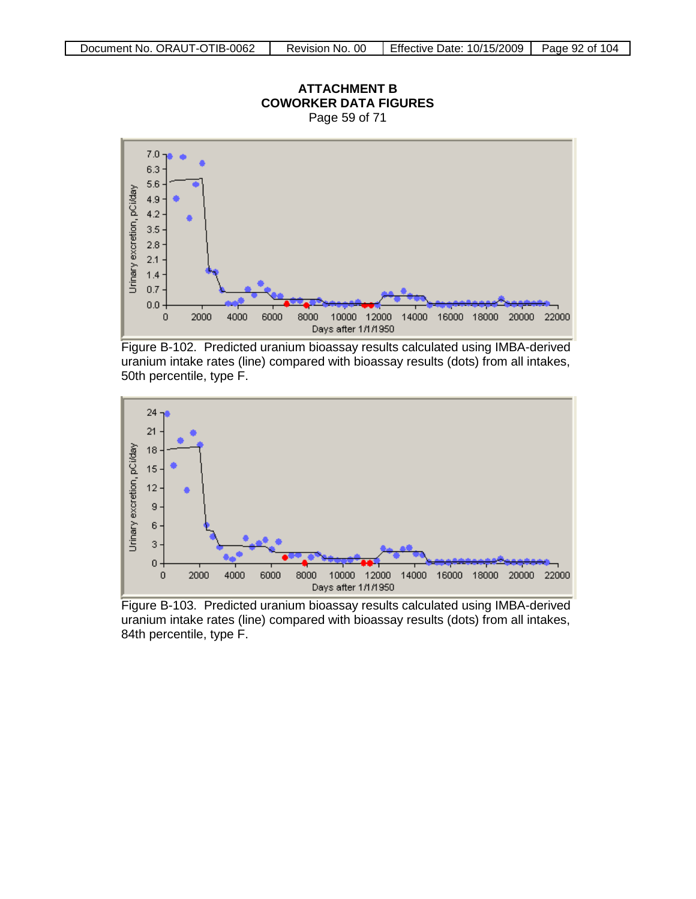

## **ATTACHMENT B**

Figure B-102. Predicted uranium bioassay results calculated using IMBA-derived uranium intake rates (line) compared with bioassay results (dots) from all intakes, 50th percentile, type F.



Figure B-103. Predicted uranium bioassay results calculated using IMBA-derived uranium intake rates (line) compared with bioassay results (dots) from all intakes, 84th percentile, type F.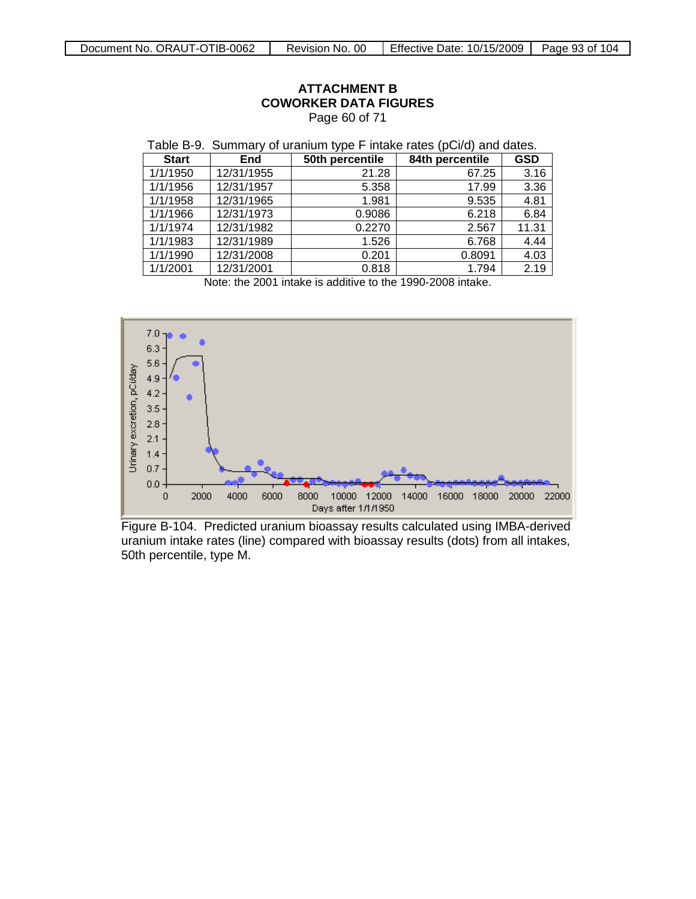| Table B-9. Summary of uranium type F intake rates (pCi/d) and dates. |            |                 |                 |            |  |
|----------------------------------------------------------------------|------------|-----------------|-----------------|------------|--|
| <b>Start</b>                                                         | End        | 50th percentile | 84th percentile | <b>GSD</b> |  |
| 1/1/1950                                                             | 12/31/1955 | 21.28           | 67.25           | 3.16       |  |
| 1/1/1956                                                             | 12/31/1957 | 5.358           | 17.99           | 3.36       |  |
| 1/1/1958                                                             | 12/31/1965 | 1.981           | 9.535           | 4.81       |  |
| 1/1/1966                                                             | 12/31/1973 | 0.9086          | 6.218           | 6.84       |  |
| 1/1/1974                                                             | 12/31/1982 | 0.2270          | 2.567           | 11.31      |  |
| 1/1/1983                                                             | 12/31/1989 | 1.526           | 6.768           | 4.44       |  |
| 1/1/1990                                                             | 12/31/2008 | 0.201           | 0.8091          | 4.03       |  |
| 1/1/2001                                                             | 12/31/2001 | 0.818           | 1.794           | 2.19       |  |

#### **ATTACHMENT B COWORKER DATA FIGURES** Page 60 of 71

Note: the 2001 intake is additive to the 1990-2008 intake.



Figure B-104. Predicted uranium bioassay results calculated using IMBA-derived uranium intake rates (line) compared with bioassay results (dots) from all intakes, 50th percentile, type M.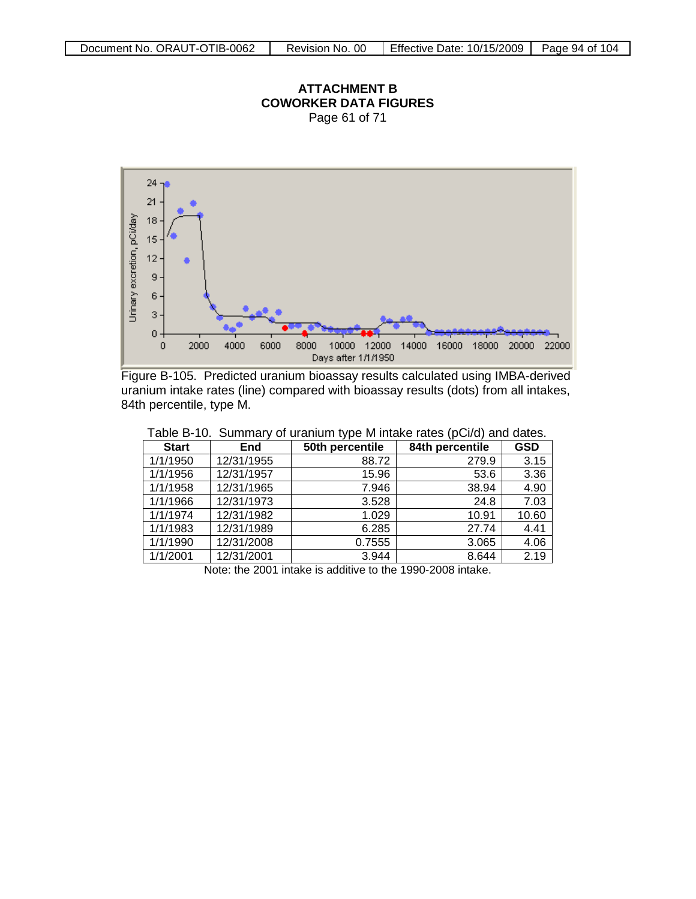#### **ATTACHMENT B COWORKER DATA FIGURES** Page 61 of 71



Figure B-105. Predicted uranium bioassay results calculated using IMBA-derived uranium intake rates (line) compared with bioassay results (dots) from all intakes, 84th percentile, type M.

| <b>Start</b> | <b>End</b> | 50th percentile | 84th percentile | <b>GSD</b> |
|--------------|------------|-----------------|-----------------|------------|
| 1/1/1950     | 12/31/1955 | 88.72           | 279.9           | 3.15       |
| 1/1/1956     | 12/31/1957 | 15.96           | 53.6            | 3.36       |
| 1/1/1958     | 12/31/1965 | 7.946           | 38.94           | 4.90       |
| 1/1/1966     | 12/31/1973 | 3.528           | 24.8            | 7.03       |
| 1/1/1974     | 12/31/1982 | 1.029           | 10.91           | 10.60      |
| 1/1/1983     | 12/31/1989 | 6.285           | 27.74           | 4.41       |
| 1/1/1990     | 12/31/2008 | 0.7555          | 3.065           | 4.06       |
| 1/1/2001     | 12/31/2001 | 3.944           | 8.644           | 2.19       |

Table B-10. Summary of uranium type M intake rates (pCi/d) and dates.

Note: the 2001 intake is additive to the 1990-2008 intake.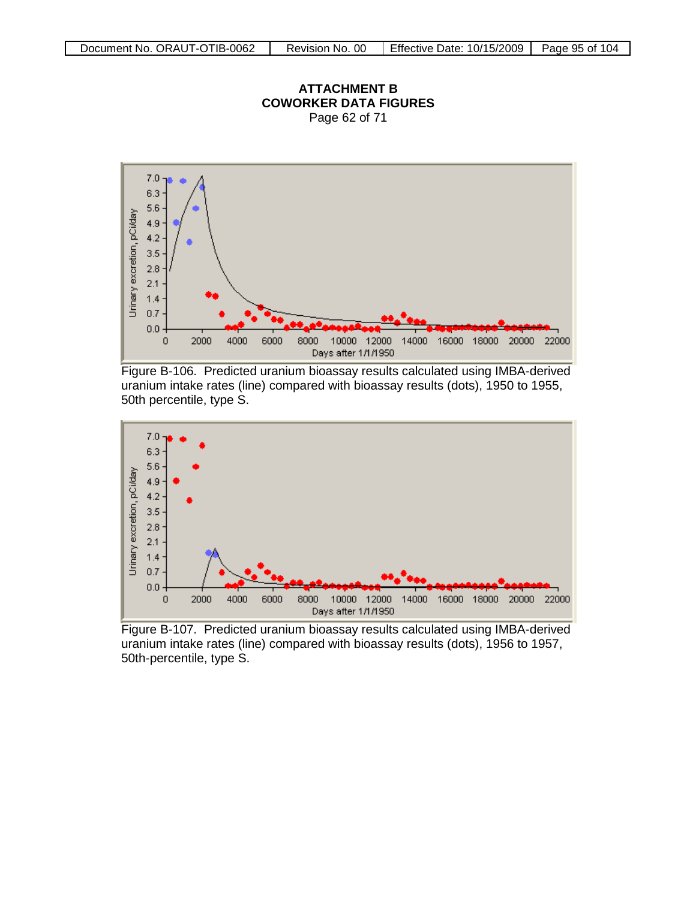#### **ATTACHMENT B COWORKER DATA FIGURES** Page 62 of 71



Figure B-106. Predicted uranium bioassay results calculated using IMBA-derived uranium intake rates (line) compared with bioassay results (dots), 1950 to 1955, 50th percentile, type S.



Figure B-107. Predicted uranium bioassay results calculated using IMBA-derived uranium intake rates (line) compared with bioassay results (dots), 1956 to 1957, 50th-percentile, type S.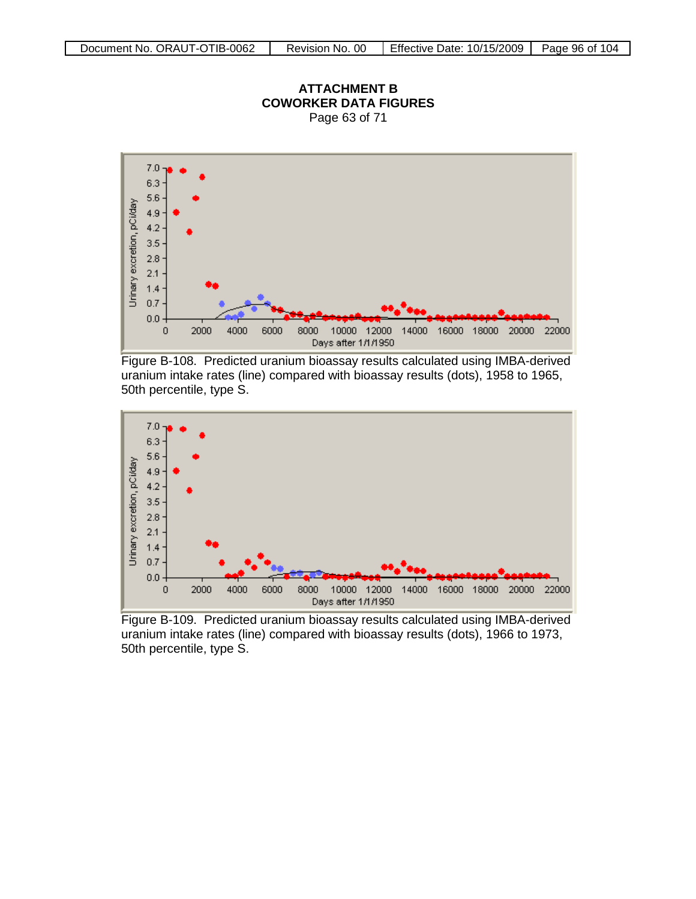

**ATTACHMENT B COWORKER DATA FIGURES** Page 63 of 71

Figure B-108. Predicted uranium bioassay results calculated using IMBA-derived uranium intake rates (line) compared with bioassay results (dots), 1958 to 1965, 50th percentile, type S.



Figure B-109. Predicted uranium bioassay results calculated using IMBA-derived uranium intake rates (line) compared with bioassay results (dots), 1966 to 1973, 50th percentile, type S.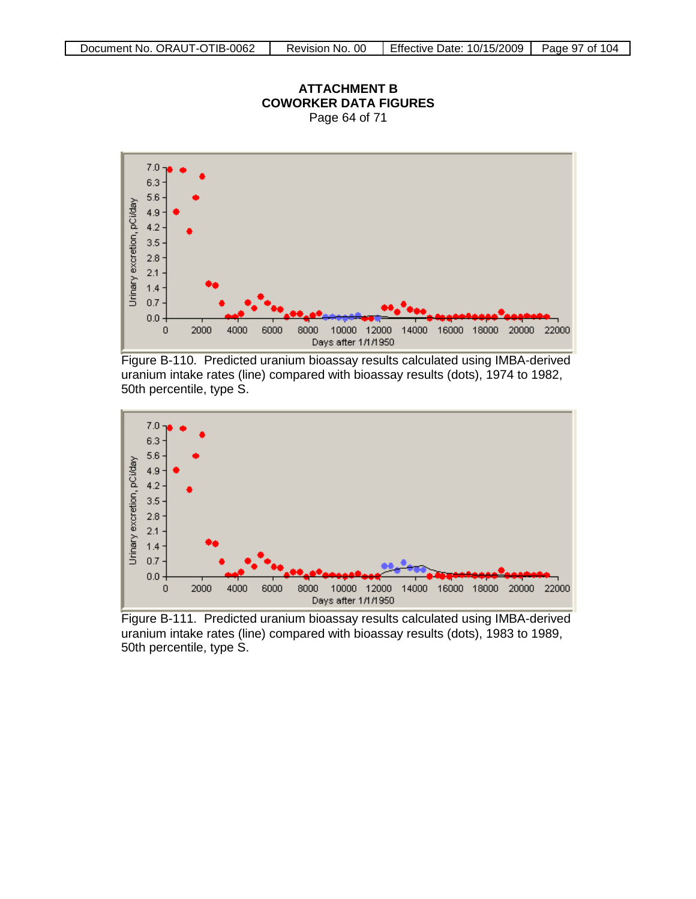

**ATTACHMENT B COWORKER DATA FIGURES** Page 64 of 71

Figure B-110. Predicted uranium bioassay results calculated using IMBA-derived uranium intake rates (line) compared with bioassay results (dots), 1974 to 1982, 50th percentile, type S.



Figure B-111. Predicted uranium bioassay results calculated using IMBA-derived uranium intake rates (line) compared with bioassay results (dots), 1983 to 1989, 50th percentile, type S.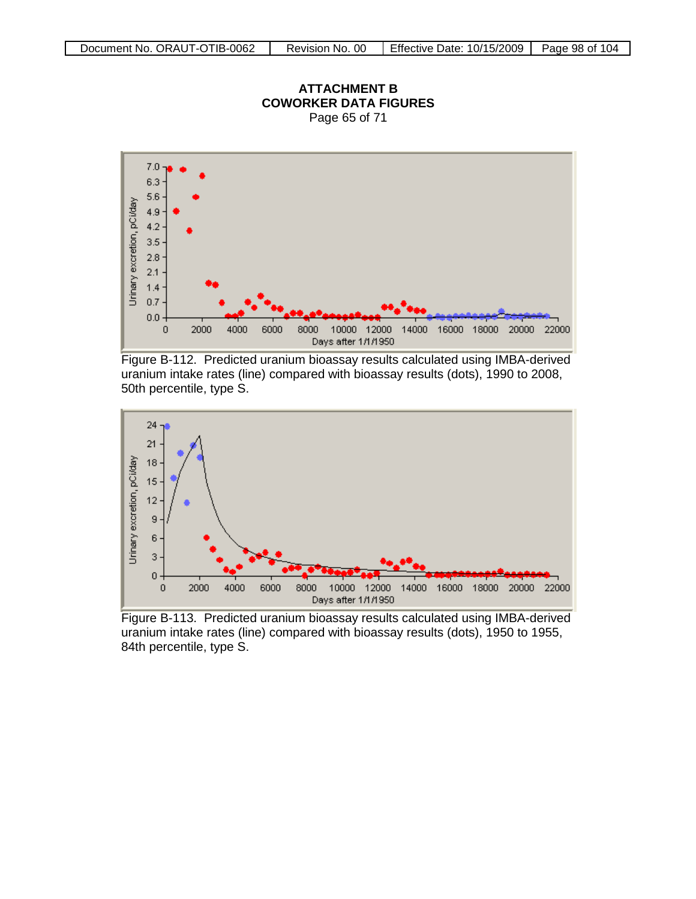

#### **ATTACHMENT B COWORKER DATA FIGURES** Page 65 of 71

Figure B-112. Predicted uranium bioassay results calculated using IMBA-derived uranium intake rates (line) compared with bioassay results (dots), 1990 to 2008, 50th percentile, type S.



Figure B-113. Predicted uranium bioassay results calculated using IMBA-derived uranium intake rates (line) compared with bioassay results (dots), 1950 to 1955, 84th percentile, type S.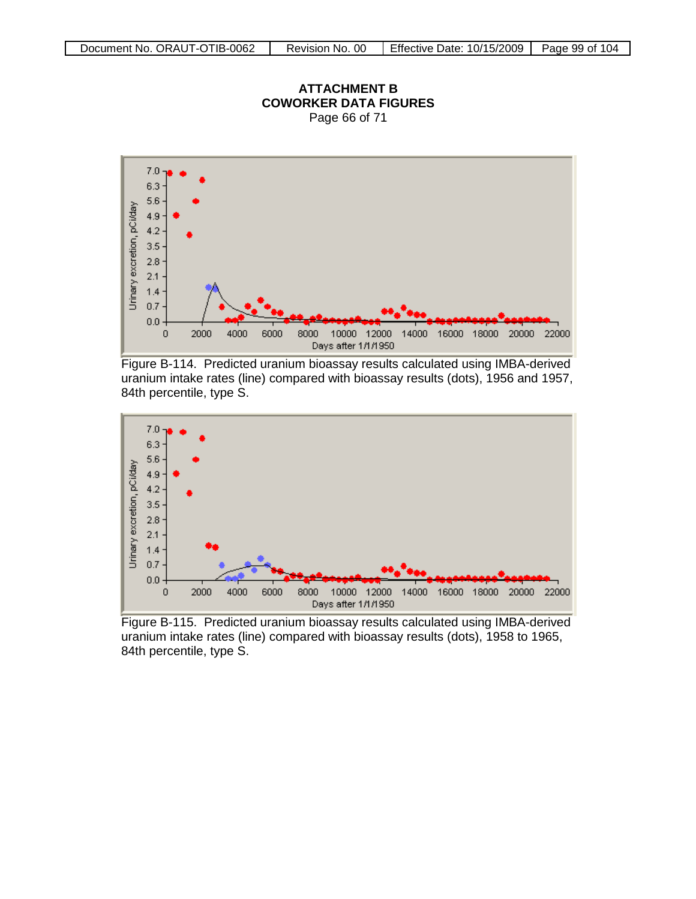

**ATTACHMENT B COWORKER DATA FIGURES**

Figure B-114. Predicted uranium bioassay results calculated using IMBA-derived uranium intake rates (line) compared with bioassay results (dots), 1956 and 1957, 84th percentile, type S.



Figure B-115. Predicted uranium bioassay results calculated using IMBA-derived uranium intake rates (line) compared with bioassay results (dots), 1958 to 1965, 84th percentile, type S.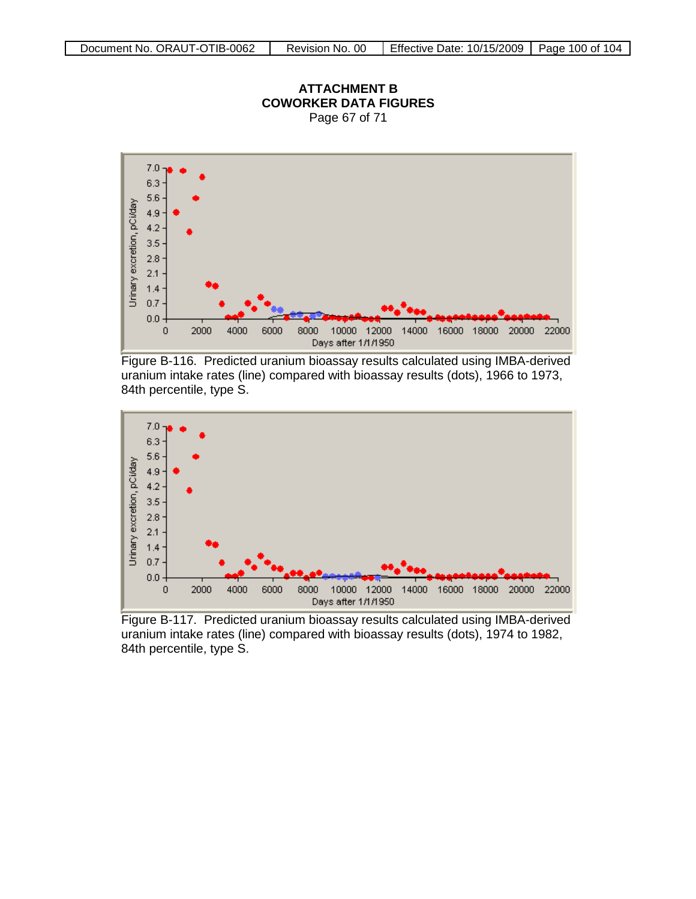

**ATTACHMENT B COWORKER DATA FIGURES** Page 67 of 71

Figure B-116. Predicted uranium bioassay results calculated using IMBA-derived uranium intake rates (line) compared with bioassay results (dots), 1966 to 1973, 84th percentile, type S.



Figure B-117. Predicted uranium bioassay results calculated using IMBA-derived uranium intake rates (line) compared with bioassay results (dots), 1974 to 1982, 84th percentile, type S.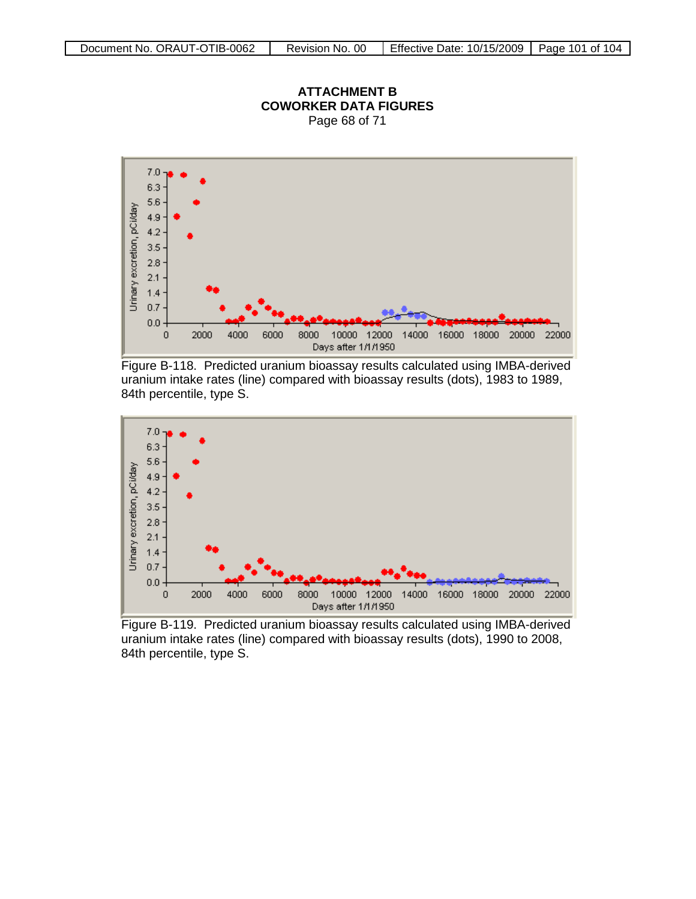

**ATTACHMENT B COWORKER DATA FIGURES** Page 68 of 71

Figure B-118. Predicted uranium bioassay results calculated using IMBA-derived uranium intake rates (line) compared with bioassay results (dots), 1983 to 1989, 84th percentile, type S.



Figure B-119. Predicted uranium bioassay results calculated using IMBA-derived uranium intake rates (line) compared with bioassay results (dots), 1990 to 2008, 84th percentile, type S.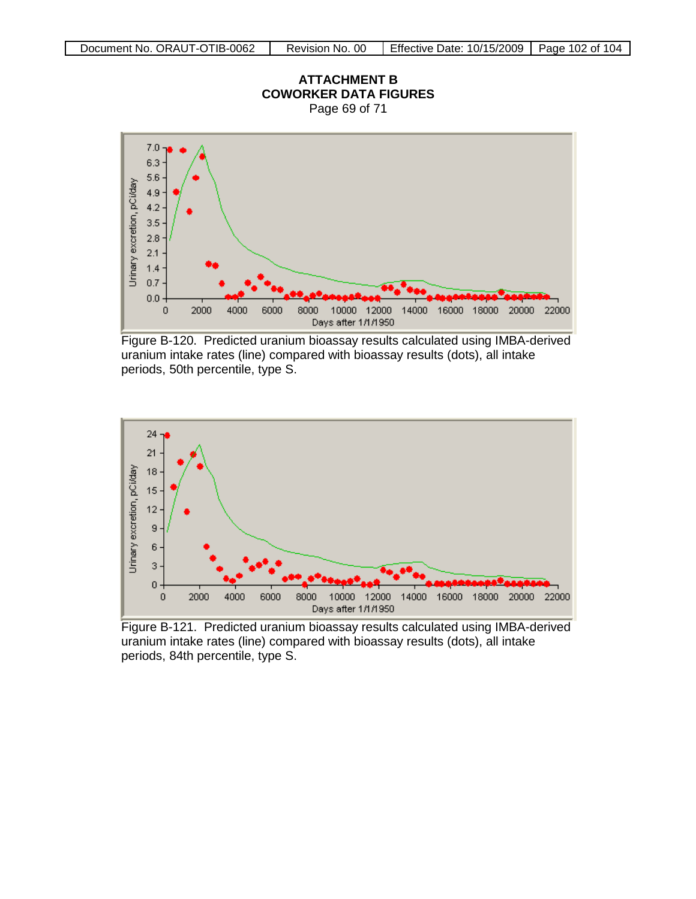Page 69 of 71



Figure B-120. Predicted uranium bioassay results calculated using IMBA-derived uranium intake rates (line) compared with bioassay results (dots), all intake periods, 50th percentile, type S.



Figure B-121. Predicted uranium bioassay results calculated using IMBA-derived uranium intake rates (line) compared with bioassay results (dots), all intake periods, 84th percentile, type S.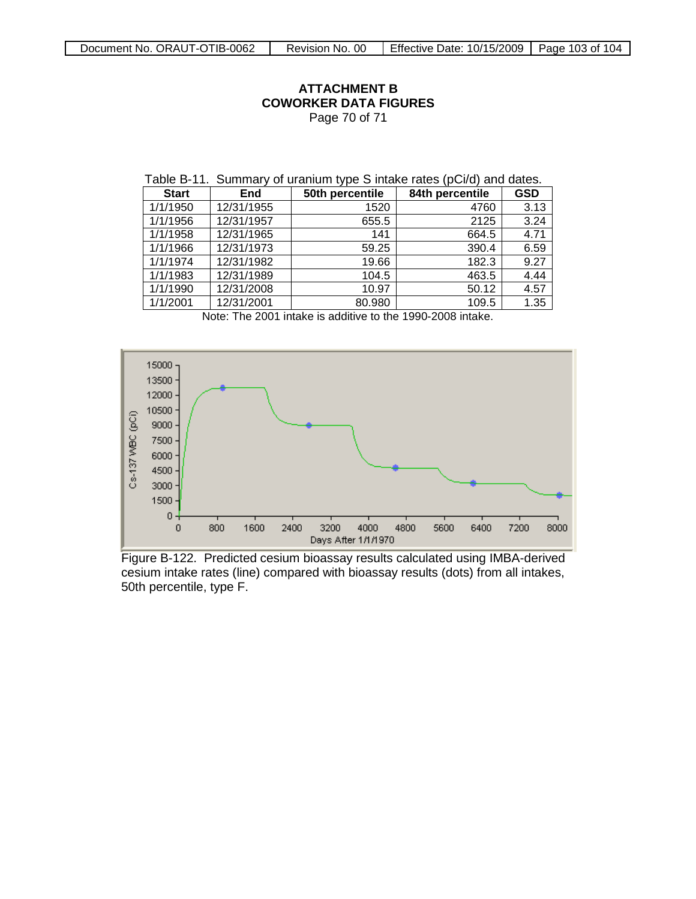#### **ATTACHMENT B COWORKER DATA FIGURES** Page 70 of 71

| Table B-11. Summary of uranium type S intake rates (pCi/d) and dates. |  |  |  |
|-----------------------------------------------------------------------|--|--|--|
|-----------------------------------------------------------------------|--|--|--|

| $\mathbf{r} = \mathbf{r} \cdot \mathbf{r}$ , which seems the set of $\mathbf{r} = \mathbf{r} \cdot \mathbf{r}$ |            |                 |                 |            |
|----------------------------------------------------------------------------------------------------------------|------------|-----------------|-----------------|------------|
| <b>Start</b>                                                                                                   | <b>End</b> | 50th percentile | 84th percentile | <b>GSD</b> |
| 1/1/1950                                                                                                       | 12/31/1955 | 1520            | 4760            | 3.13       |
| 1/1/1956                                                                                                       | 12/31/1957 | 655.5           | 2125            | 3.24       |
| 1/1/1958                                                                                                       | 12/31/1965 | 141             | 664.5           | 4.71       |
| 1/1/1966                                                                                                       | 12/31/1973 | 59.25           | 390.4           | 6.59       |
| 1/1/1974                                                                                                       | 12/31/1982 | 19.66           | 182.3           | 9.27       |
| 1/1/1983                                                                                                       | 12/31/1989 | 104.5           | 463.5           | 4.44       |
| 1/1/1990                                                                                                       | 12/31/2008 | 10.97           | 50.12           | 4.57       |
| 1/1/2001                                                                                                       | 12/31/2001 | 80.980          | 109.5           | 1.35       |

Note: The 2001 intake is additive to the 1990-2008 intake.



Figure B-122. Predicted cesium bioassay results calculated using IMBA-derived cesium intake rates (line) compared with bioassay results (dots) from all intakes, 50th percentile, type F.